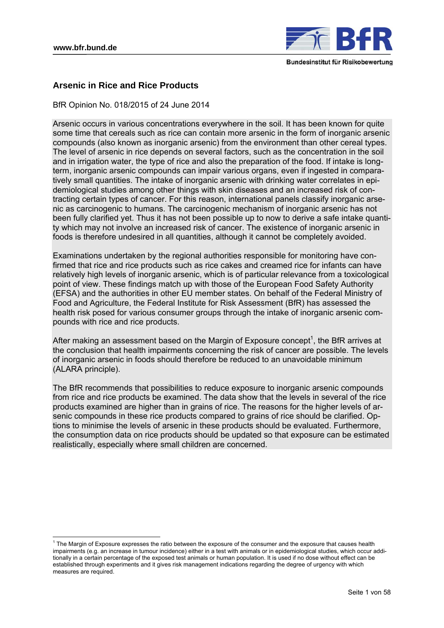

# **Arsenic in Rice and Rice Products**

BfR Opinion No. 018/2015 of 24 June 2014

Arsenic occurs in various concentrations everywhere in the soil. It has been known for quite some time that cereals such as rice can contain more arsenic in the form of inorganic arsenic compounds (also known as inorganic arsenic) from the environment than other cereal types. The level of arsenic in rice depends on several factors, such as the concentration in the soil and in irrigation water, the type of rice and also the preparation of the food. If intake is longterm, inorganic arsenic compounds can impair various organs, even if ingested in comparatively small quantities. The intake of inorganic arsenic with drinking water correlates in epidemiological studies among other things with skin diseases and an increased risk of contracting certain types of cancer. For this reason, international panels classify inorganic arsenic as carcinogenic to humans. The carcinogenic mechanism of inorganic arsenic has not been fully clarified yet. Thus it has not been possible up to now to derive a safe intake quantity which may not involve an increased risk of cancer. The existence of inorganic arsenic in foods is therefore undesired in all quantities, although it cannot be completely avoided.

Examinations undertaken by the regional authorities responsible for monitoring have confirmed that rice and rice products such as rice cakes and creamed rice for infants can have relatively high levels of inorganic arsenic, which is of particular relevance from a toxicological point of view. These findings match up with those of the European Food Safety Authority (EFSA) and the authorities in other EU member states. On behalf of the Federal Ministry of Food and Agriculture, the Federal Institute for Risk Assessment (BfR) has assessed the health risk posed for various consumer groups through the intake of inorganic arsenic compounds with rice and rice products.

After making an assessment based on the Margin of Exposure concept<sup>1</sup>, the BfR arrives at the conclusion that health impairments concerning the risk of cancer are possible. The levels of inorganic arsenic in foods should therefore be reduced to an unavoidable minimum (ALARA principle).

The BfR recommends that possibilities to reduce exposure to inorganic arsenic compounds from rice and rice products be examined. The data show that the levels in several of the rice products examined are higher than in grains of rice. The reasons for the higher levels of arsenic compounds in these rice products compared to grains of rice should be clarified. Options to minimise the levels of arsenic in these products should be evaluated. Furthermore, the consumption data on rice products should be updated so that exposure can be estimated realistically, especially where small children are concerned.

 1 The Margin of Exposure expresses the ratio between the exposure of the consumer and the exposure that causes health impairments (e.g. an increase in tumour incidence) either in a test with animals or in epidemiological studies, which occur additionally in a certain percentage of the exposed test animals or human population. It is used if no dose without effect can be established through experiments and it gives risk management indications regarding the degree of urgency with which measures are required.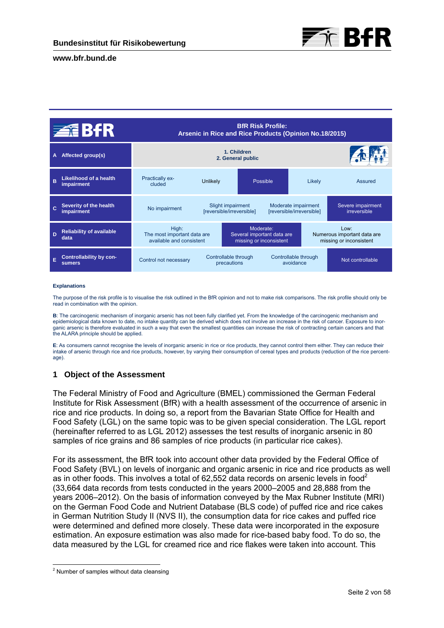

|   | <b>ZEBIR</b>                                    |                                                                  | Arsenic in Rice and Rice Products (Opinion No.18/2015) |                                                                    | <b>BfR Risk Profile:</b>                         |        |                                                                |  |
|---|-------------------------------------------------|------------------------------------------------------------------|--------------------------------------------------------|--------------------------------------------------------------------|--------------------------------------------------|--------|----------------------------------------------------------------|--|
| A | Affected group(s)                               |                                                                  | 1. Children<br>2. General public                       |                                                                    |                                                  |        |                                                                |  |
| B | Likelihood of a health<br><b>impairment</b>     | <b>Practically ex-</b><br>cluded                                 | Unlikely                                               |                                                                    | Possible                                         | Likely | Assured                                                        |  |
|   | Severity of the health<br><b>impairment</b>     | No impairment                                                    |                                                        | Slight impairment<br>[reversible/irreversible]                     | Moderate impairment<br>[reversible/irreversible] |        | Severe impairment<br>irreversible                              |  |
| Ð | <b>Reliability of available</b><br>data         | High:<br>The most important data are<br>available and consistent |                                                        | Moderate:<br>Several important data are<br>missing or inconsistent |                                                  |        | Low:<br>Numerous important data are<br>missing or inconsistent |  |
| E | <b>Controllability by con-</b><br><b>sumers</b> | Control not necessary                                            |                                                        | Controllable through<br>precautions                                | Controllable through<br>avoidance                |        | Not controllable                                               |  |

#### **Explanations**

The purpose of the risk profile is to visualise the risk outlined in the BfR opinion and not to make risk comparisons. The risk profile should only be read in combination with the opinion.

**B**: The carcinogenic mechanism of inorganic arsenic has not been fully clarified yet. From the knowledge of the carcinogenic mechanism and epidemiological data known to date, no intake quantity can be derived which does not involve an increase in the risk of cancer. Exposure to inorganic arsenic is therefore evaluated in such a way that even the smallest quantities can increase the risk of contracting certain cancers and that the ALARA principle should be applied.

**E**: As consumers cannot recognise the levels of inorganic arsenic in rice or rice products, they cannot control them either. They can reduce their intake of arsenic through rice and rice products, however, by varying their consumption of cereal types and products (reduction of the rice percentage).

# **1 Object of the Assessment**

The Federal Ministry of Food and Agriculture (BMEL) commissioned the German Federal Institute for Risk Assessment (BfR) with a health assessment of the occurrence of arsenic in rice and rice products. In doing so, a report from the Bavarian State Office for Health and Food Safety (LGL) on the same topic was to be given special consideration. The LGL report (hereinafter referred to as LGL 2012) assesses the test results of inorganic arsenic in 80 samples of rice grains and 86 samples of rice products (in particular rice cakes).

For its assessment, the BfR took into account other data provided by the Federal Office of Food Safety (BVL) on levels of inorganic and organic arsenic in rice and rice products as well as in other foods. This involves a total of  $62,552$  data records on arsenic levels in food<sup>2</sup> (33,664 data records from tests conducted in the years 2000–2005 and 28,888 from the years 2006–2012). On the basis of information conveyed by the Max Rubner Institute (MRI) on the German Food Code and Nutrient Database (BLS code) of puffed rice and rice cakes in German Nutrition Study II (NVS II), the consumption data for rice cakes and puffed rice were determined and defined more closely. These data were incorporated in the exposure estimation. An exposure estimation was also made for rice-based baby food. To do so, the data measured by the LGL for creamed rice and rice flakes were taken into account. This

-

 $2$  Number of samples without data cleansing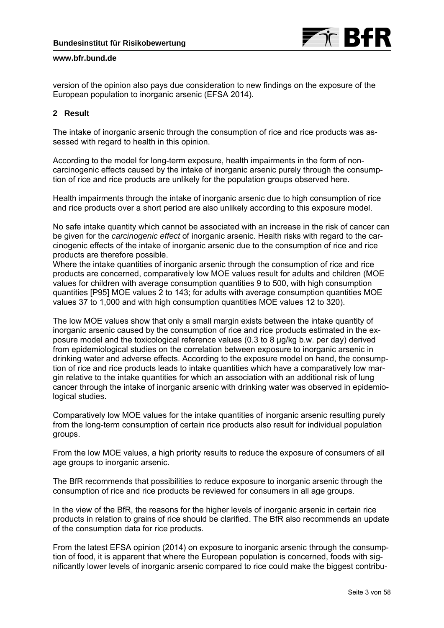

version of the opinion also pays due consideration to new findings on the exposure of the European population to inorganic arsenic (EFSA 2014).

# **2 Result**

The intake of inorganic arsenic through the consumption of rice and rice products was assessed with regard to health in this opinion.

According to the model for long-term exposure, health impairments in the form of noncarcinogenic effects caused by the intake of inorganic arsenic purely through the consumption of rice and rice products are unlikely for the population groups observed here.

Health impairments through the intake of inorganic arsenic due to high consumption of rice and rice products over a short period are also unlikely according to this exposure model.

No safe intake quantity which cannot be associated with an increase in the risk of cancer can be given for the *carcinogenic effect* of inorganic arsenic. Health risks with regard to the carcinogenic effects of the intake of inorganic arsenic due to the consumption of rice and rice products are therefore possible.

Where the intake quantities of inorganic arsenic through the consumption of rice and rice products are concerned, comparatively low MOE values result for adults and children (MOE values for children with average consumption quantities 9 to 500, with high consumption quantities [P95] MOE values 2 to 143; for adults with average consumption quantities MOE values 37 to 1,000 and with high consumption quantities MOE values 12 to 320).

The low MOE values show that only a small margin exists between the intake quantity of inorganic arsenic caused by the consumption of rice and rice products estimated in the exposure model and the toxicological reference values (0.3 to 8 µg/kg b.w. per day) derived from epidemiological studies on the correlation between exposure to inorganic arsenic in drinking water and adverse effects. According to the exposure model on hand, the consumption of rice and rice products leads to intake quantities which have a comparatively low margin relative to the intake quantities for which an association with an additional risk of lung cancer through the intake of inorganic arsenic with drinking water was observed in epidemiological studies.

Comparatively low MOE values for the intake quantities of inorganic arsenic resulting purely from the long-term consumption of certain rice products also result for individual population groups.

From the low MOE values, a high priority results to reduce the exposure of consumers of all age groups to inorganic arsenic.

The BfR recommends that possibilities to reduce exposure to inorganic arsenic through the consumption of rice and rice products be reviewed for consumers in all age groups.

In the view of the BfR, the reasons for the higher levels of inorganic arsenic in certain rice products in relation to grains of rice should be clarified. The BfR also recommends an update of the consumption data for rice products.

From the latest EFSA opinion (2014) on exposure to inorganic arsenic through the consumption of food, it is apparent that where the European population is concerned, foods with significantly lower levels of inorganic arsenic compared to rice could make the biggest contribu-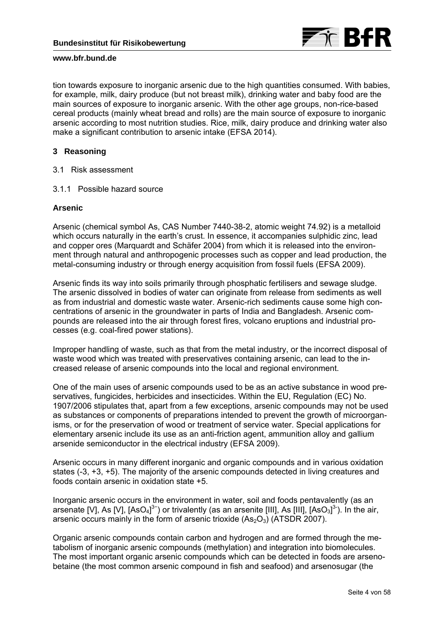

tion towards exposure to inorganic arsenic due to the high quantities consumed. With babies, for example, milk, dairy produce (but not breast milk), drinking water and baby food are the main sources of exposure to inorganic arsenic. With the other age groups, non-rice-based cereal products (mainly wheat bread and rolls) are the main source of exposure to inorganic arsenic according to most nutrition studies. Rice, milk, dairy produce and drinking water also make a significant contribution to arsenic intake (EFSA 2014).

# **3 Reasoning**

- 3.1 Risk assessment
- 3.1.1 Possible hazard source

# **Arsenic**

Arsenic (chemical symbol As, CAS Number 7440-38-2, atomic weight 74.92) is a metalloid which occurs naturally in the earth's crust. In essence, it accompanies sulphidic zinc, lead and copper ores (Marquardt and Schäfer 2004) from which it is released into the environment through natural and anthropogenic processes such as copper and lead production, the metal-consuming industry or through energy acquisition from fossil fuels (EFSA 2009).

Arsenic finds its way into soils primarily through phosphatic fertilisers and sewage sludge. The arsenic dissolved in bodies of water can originate from release from sediments as well as from industrial and domestic waste water. Arsenic-rich sediments cause some high concentrations of arsenic in the groundwater in parts of India and Bangladesh. Arsenic compounds are released into the air through forest fires, volcano eruptions and industrial processes (e.g. coal-fired power stations).

Improper handling of waste, such as that from the metal industry, or the incorrect disposal of waste wood which was treated with preservatives containing arsenic, can lead to the increased release of arsenic compounds into the local and regional environment.

One of the main uses of arsenic compounds used to be as an active substance in wood preservatives, fungicides, herbicides and insecticides. Within the EU, Regulation (EC) No. 1907/2006 stipulates that, apart from a few exceptions, arsenic compounds may not be used as substances or components of preparations intended to prevent the growth of microorganisms, or for the preservation of wood or treatment of service water. Special applications for elementary arsenic include its use as an anti-friction agent, ammunition alloy and gallium arsenide semiconductor in the electrical industry (EFSA 2009).

Arsenic occurs in many different inorganic and organic compounds and in various oxidation states (-3, +3, +5). The majority of the arsenic compounds detected in living creatures and foods contain arsenic in oxidation state +5.

Inorganic arsenic occurs in the environment in water, soil and foods pentavalently (as an arsenate [V], As [V],  $[ASO<sub>4</sub>]<sup>3</sup>$ ) or trivalently (as an arsenite [III], As [III],  $[ASO<sub>3</sub>]<sup>3</sup>$ ). In the air, arsenic occurs mainly in the form of arsenic trioxide  $(As<sub>2</sub>O<sub>3</sub>)$  (ATSDR 2007).

Organic arsenic compounds contain carbon and hydrogen and are formed through the metabolism of inorganic arsenic compounds (methylation) and integration into biomolecules. The most important organic arsenic compounds which can be detected in foods are arsenobetaine (the most common arsenic compound in fish and seafood) and arsenosugar (the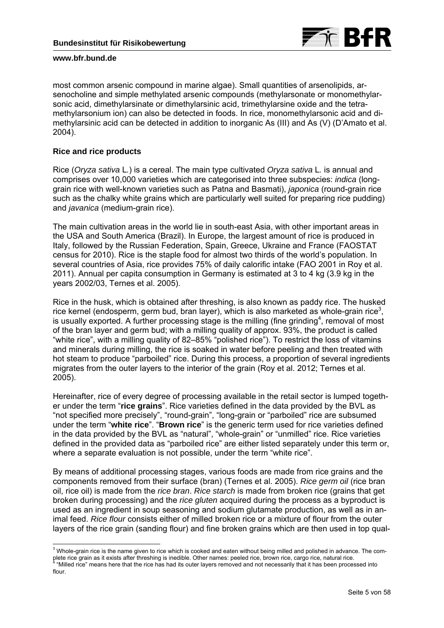

most common arsenic compound in marine algae). Small quantities of arsenolipids, arsenocholine and simple methylated arsenic compounds (methylarsonate or monomethylarsonic acid, dimethylarsinate or dimethylarsinic acid, trimethylarsine oxide and the tetramethylarsonium ion) can also be detected in foods. In rice, monomethylarsonic acid and dimethylarsinic acid can be detected in addition to inorganic As (III) and As (V) (D'Amato et al. 2004).

# **Rice and rice products**

-

Rice (*Oryza sativa* L*.*) is a cereal. The main type cultivated *Oryza sativa* L*.* is annual and comprises over 10,000 varieties which are categorised into three subspecies: *indica* (longgrain rice with well-known varieties such as Patna and Basmati), *japonica* (round-grain rice such as the chalky white grains which are particularly well suited for preparing rice pudding) and *javanica* (medium-grain rice).

The main cultivation areas in the world lie in south-east Asia, with other important areas in the USA and South America (Brazil). In Europe, the largest amount of rice is produced in Italy, followed by the Russian Federation, Spain, Greece, Ukraine and France (FAOSTAT census for 2010). Rice is the staple food for almost two thirds of the world's population. In several countries of Asia, rice provides 75% of daily calorific intake (FAO 2001 in Roy et al. 2011). Annual per capita consumption in Germany is estimated at 3 to 4 kg (3.9 kg in the years 2002/03, Ternes et al. 2005).

Rice in the husk, which is obtained after threshing, is also known as paddy rice. The husked rice kernel (endosperm, germ bud, bran layer), which is also marketed as whole-grain rice<sup>3</sup>, is usually exported. A further processing stage is the milling (fine grinding<sup>4</sup>, removal of most of the bran layer and germ bud; with a milling quality of approx. 93%, the product is called "white rice", with a milling quality of 82–85% "polished rice"). To restrict the loss of vitamins and minerals during milling, the rice is soaked in water before peeling and then treated with hot steam to produce "parboiled" rice. During this process, a proportion of several ingredients migrates from the outer layers to the interior of the grain (Roy et al. 2012; Ternes et al. 2005).

Hereinafter, rice of every degree of processing available in the retail sector is lumped together under the term "**rice grains**". Rice varieties defined in the data provided by the BVL as "not specified more precisely", "round-grain", "long-grain or "parboiled" rice are subsumed under the term "**white rice**". "**Brown rice**" is the generic term used for rice varieties defined in the data provided by the BVL as "natural", "whole-grain" or "unmilled" rice. Rice varieties defined in the provided data as "parboiled rice" are either listed separately under this term or, where a separate evaluation is not possible, under the term "white rice".

By means of additional processing stages, various foods are made from rice grains and the components removed from their surface (bran) (Ternes et al. 2005). *Rice germ oil* (rice bran oil, rice oil) is made from the *rice bran*. *Rice starch* is made from broken rice (grains that get broken during processing) and the *rice gluten* acquired during the process as a byproduct is used as an ingredient in soup seasoning and sodium glutamate production, as well as in animal feed. *Rice flour* consists either of milled broken rice or a mixture of flour from the outer layers of the rice grain (sanding flour) and fine broken grains which are then used in top qual-

 $3$  Whole-grain rice is the name given to rice which is cooked and eaten without being milled and polished in advance. The complete rice grain as it exists after threshing is inedible. Other names: peeled rice, brown rice, cargo rice, natural rice. "Milled rice" means here that the rice has had its outer layers removed and not necessarily that it has been processed into flour.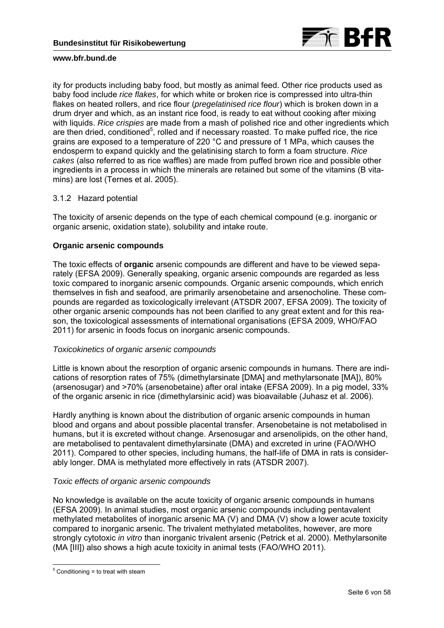

ity for products including baby food, but mostly as animal feed. Other rice products used as baby food include *rice flakes*, for which white or broken rice is compressed into ultra-thin flakes on heated rollers, and rice flour (*pregelatinised rice flour*) which is broken down in a drum dryer and which, as an instant rice food, is ready to eat without cooking after mixing with liquids. *Rice crispies* are made from a mash of polished rice and other ingredients which are then dried, conditioned<sup>5</sup>, rolled and if necessary roasted. To make puffed rice, the rice grains are exposed to a temperature of 220 °C and pressure of 1 MPa, which causes the endosperm to expand quickly and the gelatinising starch to form a foam structure. *Rice cakes* (also referred to as rice waffles) are made from puffed brown rice and possible other ingredients in a process in which the minerals are retained but some of the vitamins (B vitamins) are lost (Ternes et al. 2005).

# 3.1.2 Hazard potential

The toxicity of arsenic depends on the type of each chemical compound (e.g. inorganic or organic arsenic, oxidation state), solubility and intake route.

# **Organic arsenic compounds**

The toxic effects of **organic** arsenic compounds are different and have to be viewed separately (EFSA 2009). Generally speaking, organic arsenic compounds are regarded as less toxic compared to inorganic arsenic compounds. Organic arsenic compounds, which enrich themselves in fish and seafood, are primarily arsenobetaine and arsenocholine. These compounds are regarded as toxicologically irrelevant (ATSDR 2007, EFSA 2009). The toxicity of other organic arsenic compounds has not been clarified to any great extent and for this reason, the toxicological assessments of international organisations (EFSA 2009, WHO/FAO 2011) for arsenic in foods focus on inorganic arsenic compounds.

# *Toxicokinetics of organic arsenic compounds*

Little is known about the resorption of organic arsenic compounds in humans. There are indications of resorption rates of 75% (dimethylarsinate [DMA] and methylarsonate [MA]), 80% (arsenosugar) and >70% (arsenobetaine) after oral intake (EFSA 2009). In a pig model, 33% of the organic arsenic in rice (dimethylarsinic acid) was bioavailable (Juhasz et al. 2006).

Hardly anything is known about the distribution of organic arsenic compounds in human blood and organs and about possible placental transfer. Arsenobetaine is not metabolised in humans, but it is excreted without change. Arsenosugar and arsenolipids, on the other hand, are metabolised to pentavalent dimethylarsinate (DMA) and excreted in urine (FAO/WHO 2011). Compared to other species, including humans, the half-life of DMA in rats is considerably longer. DMA is methylated more effectively in rats (ATSDR 2007).

# *Toxic effects of organic arsenic compounds*

No knowledge is available on the acute toxicity of organic arsenic compounds in humans (EFSA 2009). In animal studies, most organic arsenic compounds including pentavalent methylated metabolites of inorganic arsenic MA (V) and DMA (V) show a lower acute toxicity compared to inorganic arsenic. The trivalent methylated metabolites, however, are more strongly cytotoxic *in vitro* than inorganic trivalent arsenic (Petrick et al. 2000). Methylarsonite (MA [III]) also shows a high acute toxicity in animal tests (FAO/WHO 2011).

 5 Conditioning = to treat with steam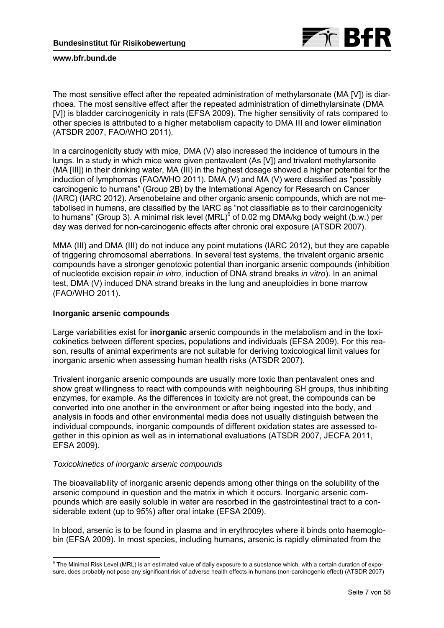

The most sensitive effect after the repeated administration of methylarsonate (MA [V]) is diarrhoea. The most sensitive effect after the repeated administration of dimethylarsinate (DMA [V]) is bladder carcinogenicity in rats (EFSA 2009). The higher sensitivity of rats compared to other species is attributed to a higher metabolism capacity to DMA III and lower elimination (ATSDR 2007, FAO/WHO 2011).

In a carcinogenicity study with mice, DMA (V) also increased the incidence of tumours in the lungs. In a study in which mice were given pentavalent (As [V]) and trivalent methylarsonite (MA [III]) in their drinking water, MA (III) in the highest dosage showed a higher potential for the induction of lymphomas (FAO/WHO 2011). DMA (V) and MA (V) were classified as "possibly carcinogenic to humans" (Group 2B) by the International Agency for Research on Cancer (IARC) (IARC 2012). Arsenobetaine and other organic arsenic compounds, which are not metabolised in humans, are classified by the IARC as "not classifiable as to their carcinogenicity to humans" (Group 3). A minimal risk level  $(MRL)^6$  of 0.02 mg DMA/kg body weight (b.w.) per day was derived for non-carcinogenic effects after chronic oral exposure (ATSDR 2007).

MMA (III) and DMA (III) do not induce any point mutations (IARC 2012), but they are capable of triggering chromosomal aberrations. In several test systems, the trivalent organic arsenic compounds have a stronger genotoxic potential than inorganic arsenic compounds (inhibition of nucleotide excision repair *in vitro*, induction of DNA strand breaks *in vitro*). In an animal test, DMA (V) induced DNA strand breaks in the lung and aneuploidies in bone marrow (FAO/WHO 2011).

### **Inorganic arsenic compounds**

Large variabilities exist for **inorganic** arsenic compounds in the metabolism and in the toxicokinetics between different species, populations and individuals (EFSA 2009). For this reason, results of animal experiments are not suitable for deriving toxicological limit values for inorganic arsenic when assessing human health risks (ATSDR 2007).

Trivalent inorganic arsenic compounds are usually more toxic than pentavalent ones and show great willingness to react with compounds with neighbouring SH groups, thus inhibiting enzymes, for example. As the differences in toxicity are not great, the compounds can be converted into one another in the environment or after being ingested into the body, and analysis in foods and other environmental media does not usually distinguish between the individual compounds, inorganic compounds of different oxidation states are assessed together in this opinion as well as in international evaluations (ATSDR 2007, JECFA 2011, EFSA 2009).

### *Toxicokinetics of inorganic arsenic compounds*

The bioavailability of inorganic arsenic depends among other things on the solubility of the arsenic compound in question and the matrix in which it occurs. Inorganic arsenic compounds which are easily soluble in water are resorbed in the gastrointestinal tract to a considerable extent (up to 95%) after oral intake (EFSA 2009).

In blood, arsenic is to be found in plasma and in erythrocytes where it binds onto haemoglobin (EFSA 2009). In most species, including humans, arsenic is rapidly eliminated from the

 6 The Minimal Risk Level (MRL) is an estimated value of daily exposure to a substance which, with a certain duration of exposure, does probably not pose any significant risk of adverse health effects in humans (non-carcinogenic effect) (ATSDR 2007)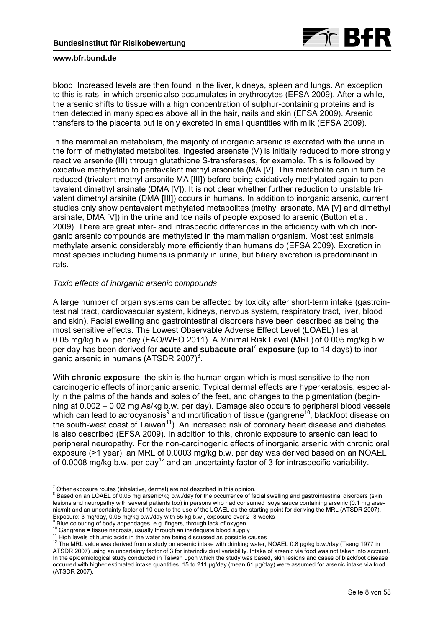

blood. Increased levels are then found in the liver, kidneys, spleen and lungs. An exception to this is rats, in which arsenic also accumulates in erythrocytes (EFSA 2009). After a while, the arsenic shifts to tissue with a high concentration of sulphur-containing proteins and is then detected in many species above all in the hair, nails and skin (EFSA 2009). Arsenic transfers to the placenta but is only excreted in small quantities with milk (EFSA 2009).

In the mammalian metabolism, the majority of inorganic arsenic is excreted with the urine in the form of methylated metabolites. Ingested arsenate (V) is initially reduced to more strongly reactive arsenite (III) through glutathione S-transferases, for example. This is followed by oxidative methylation to pentavalent methyl arsonate (MA [V]. This metabolite can in turn be reduced (trivalent methyl arsonite MA [III]) before being oxidatively methylated again to pentavalent dimethyl arsinate (DMA [V]). It is not clear whether further reduction to unstable trivalent dimethyl arsinite (DMA [III]) occurs in humans. In addition to inorganic arsenic, current studies only show pentavalent methylated metabolites (methyl arsonate, MA [V] and dimethyl arsinate, DMA [V]) in the urine and toe nails of people exposed to arsenic (Button et al. 2009). There are great inter- and intraspecific differences in the efficiency with which inorganic arsenic compounds are methylated in the mammalian organism. Most test animals methylate arsenic considerably more efficiently than humans do (EFSA 2009). Excretion in most species including humans is primarily in urine, but biliary excretion is predominant in rats.

# *Toxic effects of inorganic arsenic compounds*

A large number of organ systems can be affected by toxicity after short-term intake (gastrointestinal tract, cardiovascular system, kidneys, nervous system, respiratory tract, liver, blood and skin). Facial swelling and gastrointestinal disorders have been described as being the most sensitive effects. The Lowest Observable Adverse Effect Level (LOAEL) lies at 0.05 mg/kg b.w. per day (FAO/WHO 2011). A Minimal Risk Level (MRL) of 0.005 mg/kg b.w. per day has been derived for **acute and subacute oral<sup>7</sup> exposure** (up to 14 days) to inorganic arsenic in humans (ATSDR 2007) $8$ .

With **chronic exposure**, the skin is the human organ which is most sensitive to the noncarcinogenic effects of inorganic arsenic. Typical dermal effects are hyperkeratosis, especially in the palms of the hands and soles of the feet, and changes to the pigmentation (beginning at 0.002 – 0.02 mg As/kg b.w. per day). Damage also occurs to peripheral blood vessels which can lead to acrocyanosis<sup>9</sup> and mortification of tissue (gangrene<sup>10</sup>, blackfoot disease on the south-west coast of  $Taiwan^{11}$ ). An increased risk of coronary heart disease and diabetes is also described (EFSA 2009). In addition to this, chronic exposure to arsenic can lead to peripheral neuropathy. For the non-carcinogenic effects of inorganic arsenic with chronic oral exposure (>1 year), an MRL of 0.0003 mg/kg b.w. per day was derived based on an NOAEL of 0.0008 mg/kg b.w. per day<sup>12</sup> and an uncertainty factor of 3 for intraspecific variability.

<sup>-</sup>The exposure routes (inhalative, dermal) are not described in this opinion.<br><sup>8</sup> Beasd ap an LOAEL of 0.05 mg araspialis by identify the securities of fo

Based on an LOAEL of 0.05 mg arsenic/kg b.w./day for the occurrence of facial swelling and gastrointestinal disorders (skin lesions and neuropathy with several patients too) in persons who had consumed soya sauce containing arsenic (0.1 mg arsenic/ml) and an uncertainty factor of 10 due to the use of the LOAEL as the starting point for deriving the MRL (ATSDR 2007). Exposure: 3 mg/day, 0.05 mg/kg b.w./day with 55 kg b.w., exposure over 2–3 weeks <br><sup>9</sup> Blue seleving of hady appendages, a g finance through lack of owners

 $\degree$  Blue colouring of body appendages, e.g. fingers, through lack of oxygen  $^{10}$  Ganarene = tissue necrosis, usually through an inadequate blood supply

<sup>&</sup>lt;sup>11</sup> High levels of humic acids in the water are being discussed as possible causes<br><sup>12</sup> The MRL value was derived from a study on arsenic intake with drinking water, NOAEL 0.8 µg/kg b.w./day (Tseng 1977 in ATSDR 2007) using an uncertainty factor of 3 for interindividual variability. Intake of arsenic via food was not taken into account. In the epidemiological study conducted in Taiwan upon which the study was based, skin lesions and cases of blackfoot disease occurred with higher estimated intake quantities. 15 to 211 µg/day (mean 61 µg/day) were assumed for arsenic intake via food (ATSDR 2007).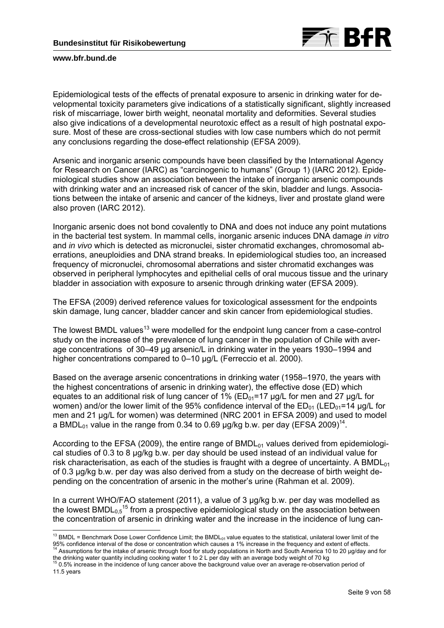

-

Epidemiological tests of the effects of prenatal exposure to arsenic in drinking water for developmental toxicity parameters give indications of a statistically significant, slightly increased risk of miscarriage, lower birth weight, neonatal mortality and deformities. Several studies also give indications of a developmental neurotoxic effect as a result of high postnatal exposure. Most of these are cross-sectional studies with low case numbers which do not permit any conclusions regarding the dose-effect relationship (EFSA 2009).

Arsenic and inorganic arsenic compounds have been classified by the International Agency for Research on Cancer (IARC) as "carcinogenic to humans" (Group 1) (IARC 2012). Epidemiological studies show an association between the intake of inorganic arsenic compounds with drinking water and an increased risk of cancer of the skin, bladder and lungs. Associations between the intake of arsenic and cancer of the kidneys, liver and prostate gland were also proven (IARC 2012).

Inorganic arsenic does not bond covalently to DNA and does not induce any point mutations in the bacterial test system. In mammal cells, inorganic arsenic induces DNA damage *in vitro* and *in vivo* which is detected as micronuclei, sister chromatid exchanges, chromosomal aberrations, aneuploidies and DNA strand breaks. In epidemiological studies too, an increased frequency of micronuclei, chromosomal aberrations and sister chromatid exchanges was observed in peripheral lymphocytes and epithelial cells of oral mucous tissue and the urinary bladder in association with exposure to arsenic through drinking water (EFSA 2009).

The EFSA (2009) derived reference values for toxicological assessment for the endpoints skin damage, lung cancer, bladder cancer and skin cancer from epidemiological studies.

The lowest BMDL values<sup>13</sup> were modelled for the endpoint lung cancer from a case-control study on the increase of the prevalence of lung cancer in the population of Chile with average concentrations of 30–49 µg arsenic/L in drinking water in the years 1930–1994 and higher concentrations compared to 0-10 µg/L (Ferreccio et al. 2000).

Based on the average arsenic concentrations in drinking water (1958–1970, the years with the highest concentrations of arsenic in drinking water), the effective dose (ED) which equates to an additional risk of lung cancer of 1% ( $ED_{01}=17$  µg/L for men and 27 µg/L for women) and/or the lower limit of the 95% confidence interval of the  $ED_{01}$  (LED<sub>01</sub>=14 µg/L for men and 21 µg/L for women) was determined (NRC 2001 in EFSA 2009) and used to model a BMDL<sub>01</sub> value in the range from 0.34 to 0.69  $\mu q$ /kg b.w. per day (EFSA 2009)<sup>14</sup>.

According to the EFSA (2009), the entire range of BMDL<sub>01</sub> values derived from epidemiological studies of 0.3 to 8 µg/kg b.w. per day should be used instead of an individual value for risk characterisation, as each of the studies is fraught with a degree of uncertainty. A BMDL $_{01}$ of 0.3 µg/kg b.w. per day was also derived from a study on the decrease of birth weight depending on the concentration of arsenic in the mother's urine (Rahman et al. 2009).

In a current WHO/FAO statement (2011), a value of 3 µg/kg b.w. per day was modelled as the lowest  $BMDL_{0.5}$ <sup>15</sup> from a prospective epidemiological study on the association between the concentration of arsenic in drinking water and the increase in the incidence of lung can-

<sup>&</sup>lt;sup>13</sup> BMDL = Benchmark Dose Lower Confidence Limit; the BMDL<sub>01</sub> value equates to the statistical, unilateral lower limit of the 95% confidence interval of the dose or concentration which causes a 1% increase in the frequency and extent of effects.<br><sup>14</sup> Assumptions for the intake of arsenic through food for study populations in North and South Ameri

the drinking water quantity including cooking water 1 to 2 L per day with an average body weight of 70 kg <sup>15</sup> 0.5% increase in the incidence of lung cancer above the background value over an average re-observation period 11.5 years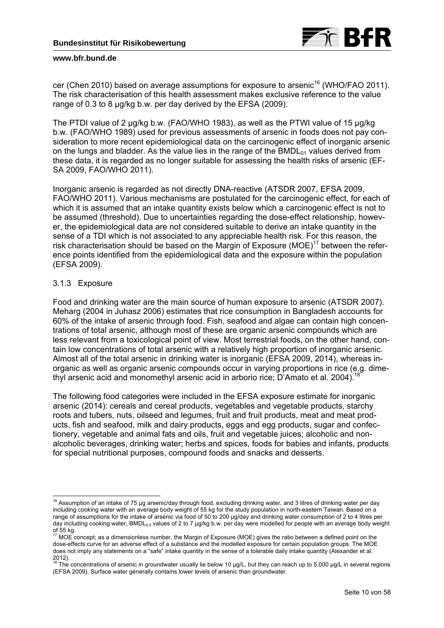

cer (Chen 2010) based on average assumptions for exposure to arsenic<sup>16</sup> (WHO/FAO 2011). The risk characterisation of this health assessment makes exclusive reference to the value range of 0.3 to 8 µg/kg b.w. per day derived by the EFSA (2009).

The PTDI value of 2 µg/kg b.w. (FAO/WHO 1983), as well as the PTWI value of 15 µg/kg b.w. (FAO/WHO 1989) used for previous assessments of arsenic in foods does not pay consideration to more recent epidemiological data on the carcinogenic effect of inorganic arsenic on the lungs and bladder. As the value lies in the range of the  $BMDL_{01}$  values derived from these data, it is regarded as no longer suitable for assessing the health risks of arsenic (EF-SA 2009, FAO/WHO 2011).

Inorganic arsenic is regarded as not directly DNA-reactive (ATSDR 2007, EFSA 2009, FAO/WHO 2011). Various mechanisms are postulated for the carcinogenic effect, for each of which it is assumed that an intake quantity exists below which a carcinogenic effect is not to be assumed (threshold). Due to uncertainties regarding the dose-effect relationship, however, the epidemiological data are not considered suitable to derive an intake quantity in the sense of a TDI which is not associated to any appreciable health risk. For this reason, the risk characterisation should be based on the Margin of Exposure ( $MOE$ )<sup>17</sup> between the reference points identified from the epidemiological data and the exposure within the population (EFSA 2009).

### 3.1.3 Exposure

Food and drinking water are the main source of human exposure to arsenic (ATSDR 2007). Meharg (2004 in Juhasz 2006) estimates that rice consumption in Bangladesh accounts for 60% of the intake of arsenic through food. Fish, seafood and algae can contain high concentrations of total arsenic, although most of these are organic arsenic compounds which are less relevant from a toxicological point of view. Most terrestrial foods, on the other hand, contain low concentrations of total arsenic with a relatively high proportion of inorganic arsenic. Almost all of the total arsenic in drinking water is inorganic (EFSA 2009, 2014), whereas inorganic as well as organic arsenic compounds occur in varying proportions in rice (e.g. dimethyl arsenic acid and monomethyl arsenic acid in arborio rice; D'Amato et al. 2004).<sup>18</sup>

The following food categories were included in the EFSA exposure estimate for inorganic arsenic (2014): cereals and cereal products, vegetables and vegetable products, starchy roots and tubers, nuts, oilseed and legumes, fruit and fruit products, meat and meat products, fish and seafood, milk and dairy products, eggs and egg products, sugar and confectionery, vegetable and animal fats and oils, fruit and vegetable juices; alcoholic and nonalcoholic beverages, drinking water; herbs and spices, foods for babies and infants, products for special nutritional purposes, compound foods and snacks and desserts.

<sup>-</sup> $16$  Assumption of an intake of 75 µg arsenic/day through food, excluding drinking water, and 3 litres of drinking water per day including cooking water with an average body weight of 55 kg for the study population in north-eastern Taiwan. Based on a range of assumptions for the intake of arsenic via food of 50 to 200 µg/day and drinking water consumption of 2 to 4 litres per day including cooking water, BMDL<sub>0.5</sub> values of 2 to 7 µg/kg b.w. per day were modelled for people with an average body weight of 55 kg.

<sup>17</sup> MOE concept; as a dimensionless number, the Margin of Exposure (MOE) gives the ratio between a defined point on the dose-effects curve for an adverse effect of a substance and the modelled exposure for certain population groups. The MOE does not imply any statements on a "safe" intake quantity in the sense of a tolerable daily intake quantity (Alexander et al.

<sup>2012).&</sup>lt;br><sup>18</sup> The concentrations of arsenic in groundwater usually lie below 10 µg/L, but they can reach up to 5,000 µg/L in several regions (EFSA 2009). Surface water generally contains lower levels of arsenic than groundwater.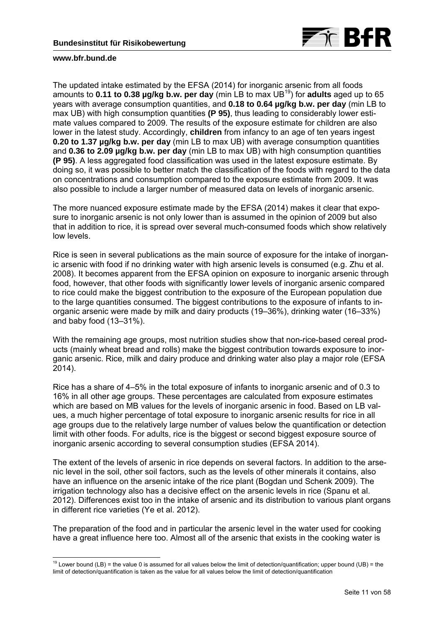

-

The updated intake estimated by the EFSA (2014) for inorganic arsenic from all foods amounts to **0.11 to 0.38 µg/kg b.w. per day** (min LB to max UB19) for **adults** aged up to 65 years with average consumption quantities, and **0.18 to 0.64 µg/kg b.w. per day** (min LB to max UB) with high consumption quantities **(P 95)**, thus leading to considerably lower estimate values compared to 2009. The results of the exposure estimate for children are also lower in the latest study. Accordingly, **children** from infancy to an age of ten years ingest **0.20 to 1.37 µg/kg b.w. per day** (min LB to max UB) with average consumption quantities and **0.36 to 2.09 µg/kg b.w. per day** (min LB to max UB) with high consumption quantities **(P 95)**. A less aggregated food classification was used in the latest exposure estimate. By doing so, it was possible to better match the classification of the foods with regard to the data on concentrations and consumption compared to the exposure estimate from 2009. It was also possible to include a larger number of measured data on levels of inorganic arsenic.

The more nuanced exposure estimate made by the EFSA (2014) makes it clear that exposure to inorganic arsenic is not only lower than is assumed in the opinion of 2009 but also that in addition to rice, it is spread over several much-consumed foods which show relatively low levels.

Rice is seen in several publications as the main source of exposure for the intake of inorganic arsenic with food if no drinking water with high arsenic levels is consumed (e.g. Zhu et al. 2008). It becomes apparent from the EFSA opinion on exposure to inorganic arsenic through food, however, that other foods with significantly lower levels of inorganic arsenic compared to rice could make the biggest contribution to the exposure of the European population due to the large quantities consumed. The biggest contributions to the exposure of infants to inorganic arsenic were made by milk and dairy products (19–36%), drinking water (16–33%) and baby food (13–31%).

With the remaining age groups, most nutrition studies show that non-rice-based cereal products (mainly wheat bread and rolls) make the biggest contribution towards exposure to inorganic arsenic. Rice, milk and dairy produce and drinking water also play a major role (EFSA 2014).

Rice has a share of 4–5% in the total exposure of infants to inorganic arsenic and of 0.3 to 16% in all other age groups. These percentages are calculated from exposure estimates which are based on MB values for the levels of inorganic arsenic in food. Based on LB values, a much higher percentage of total exposure to inorganic arsenic results for rice in all age groups due to the relatively large number of values below the quantification or detection limit with other foods. For adults, rice is the biggest or second biggest exposure source of inorganic arsenic according to several consumption studies (EFSA 2014).

The extent of the levels of arsenic in rice depends on several factors. In addition to the arsenic level in the soil, other soil factors, such as the levels of other minerals it contains, also have an influence on the arsenic intake of the rice plant (Bogdan und Schenk 2009). The irrigation technology also has a decisive effect on the arsenic levels in rice (Spanu et al. 2012). Differences exist too in the intake of arsenic and its distribution to various plant organs in different rice varieties (Ye et al. 2012).

The preparation of the food and in particular the arsenic level in the water used for cooking have a great influence here too. Almost all of the arsenic that exists in the cooking water is

<sup>&</sup>lt;sup>19</sup> Lower bound (LB) = the value 0 is assumed for all values below the limit of detection/quantification; upper bound (UB) = the limit of detection/quantification is taken as the value for all values below the limit of detection/quantification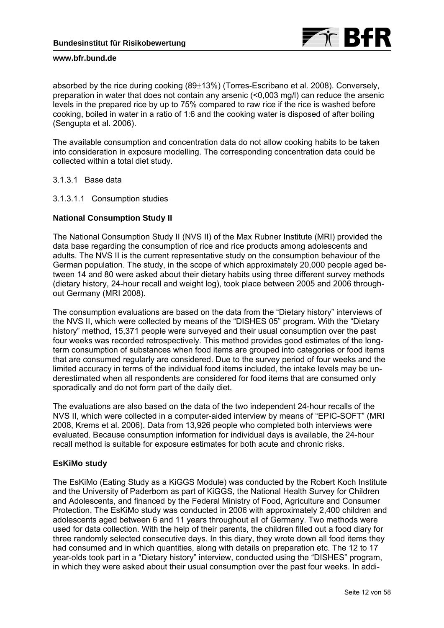

absorbed by the rice during cooking  $(89\pm13%)$  (Torres-Escribano et al. 2008). Conversely, preparation in water that does not contain any arsenic (<0,003 mg/l) can reduce the arsenic levels in the prepared rice by up to 75% compared to raw rice if the rice is washed before cooking, boiled in water in a ratio of 1:6 and the cooking water is disposed of after boiling (Sengupta et al. 2006).

The available consumption and concentration data do not allow cooking habits to be taken into consideration in exposure modelling. The corresponding concentration data could be collected within a total diet study.

3.1.3.1 Base data

3.1.3.1.1 Consumption studies

# **National Consumption Study II**

The National Consumption Study II (NVS II) of the Max Rubner Institute (MRI) provided the data base regarding the consumption of rice and rice products among adolescents and adults. The NVS II is the current representative study on the consumption behaviour of the German population. The study, in the scope of which approximately 20,000 people aged between 14 and 80 were asked about their dietary habits using three different survey methods (dietary history, 24-hour recall and weight log), took place between 2005 and 2006 throughout Germany (MRI 2008).

The consumption evaluations are based on the data from the "Dietary history" interviews of the NVS II, which were collected by means of the "DISHES 05" program. With the "Dietary history" method, 15,371 people were surveyed and their usual consumption over the past four weeks was recorded retrospectively. This method provides good estimates of the longterm consumption of substances when food items are grouped into categories or food items that are consumed regularly are considered. Due to the survey period of four weeks and the limited accuracy in terms of the individual food items included, the intake levels may be underestimated when all respondents are considered for food items that are consumed only sporadically and do not form part of the daily diet.

The evaluations are also based on the data of the two independent 24-hour recalls of the NVS II, which were collected in a computer-aided interview by means of "EPIC-SOFT" (MRI 2008, Krems et al. 2006). Data from 13,926 people who completed both interviews were evaluated. Because consumption information for individual days is available, the 24-hour recall method is suitable for exposure estimates for both acute and chronic risks.

# **EsKiMo study**

The EsKiMo (Eating Study as a KiGGS Module) was conducted by the Robert Koch Institute and the University of Paderborn as part of KiGGS, the National Health Survey for Children and Adolescents, and financed by the Federal Ministry of Food, Agriculture and Consumer Protection. The EsKiMo study was conducted in 2006 with approximately 2,400 children and adolescents aged between 6 and 11 years throughout all of Germany. Two methods were used for data collection. With the help of their parents, the children filled out a food diary for three randomly selected consecutive days. In this diary, they wrote down all food items they had consumed and in which quantities, along with details on preparation etc. The 12 to 17 year-olds took part in a "Dietary history" interview, conducted using the "DISHES" program, in which they were asked about their usual consumption over the past four weeks. In addi-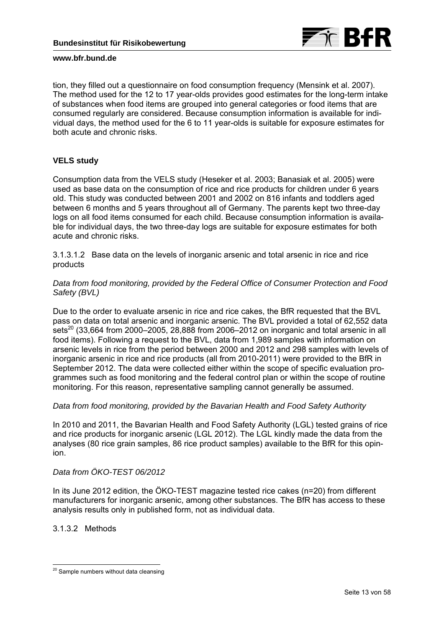

tion, they filled out a questionnaire on food consumption frequency (Mensink et al. 2007). The method used for the 12 to 17 year-olds provides good estimates for the long-term intake of substances when food items are grouped into general categories or food items that are consumed regularly are considered. Because consumption information is available for individual days, the method used for the 6 to 11 year-olds is suitable for exposure estimates for both acute and chronic risks.

# **VELS study**

Consumption data from the VELS study (Heseker et al. 2003; Banasiak et al. 2005) were used as base data on the consumption of rice and rice products for children under 6 years old. This study was conducted between 2001 and 2002 on 816 infants and toddlers aged between 6 months and 5 years throughout all of Germany. The parents kept two three-day logs on all food items consumed for each child. Because consumption information is available for individual days, the two three-day logs are suitable for exposure estimates for both acute and chronic risks.

3.1.3.1.2 Base data on the levels of inorganic arsenic and total arsenic in rice and rice products

# *Data from food monitoring, provided by the Federal Office of Consumer Protection and Food Safety (BVL)*

Due to the order to evaluate arsenic in rice and rice cakes, the BfR requested that the BVL pass on data on total arsenic and inorganic arsenic. The BVL provided a total of 62,552 data  $sets<sup>20</sup>$  (33.664 from 2000–2005, 28,888 from 2006–2012 on inorganic and total arsenic in all food items). Following a request to the BVL, data from 1,989 samples with information on arsenic levels in rice from the period between 2000 and 2012 and 298 samples with levels of inorganic arsenic in rice and rice products (all from 2010-2011) were provided to the BfR in September 2012. The data were collected either within the scope of specific evaluation programmes such as food monitoring and the federal control plan or within the scope of routine monitoring. For this reason, representative sampling cannot generally be assumed.

# *Data from food monitoring, provided by the Bavarian Health and Food Safety Authority*

In 2010 and 2011, the Bavarian Health and Food Safety Authority (LGL) tested grains of rice and rice products for inorganic arsenic (LGL 2012). The LGL kindly made the data from the analyses (80 rice grain samples, 86 rice product samples) available to the BfR for this opinion.

# *Data from ÖKO-TEST 06/2012*

In its June 2012 edition, the ÖKO-TEST magazine tested rice cakes (n=20) from different manufacturers for inorganic arsenic, among other substances. The BfR has access to these analysis results only in published form, not as individual data.

# 3.1.3.2 Methods

<sup>-</sup> $20$  Sample numbers without data cleansing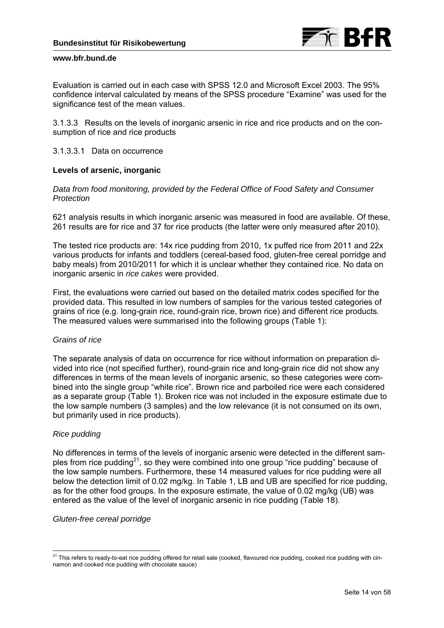

Evaluation is carried out in each case with SPSS 12.0 and Microsoft Excel 2003. The 95% confidence interval calculated by means of the SPSS procedure "Examine" was used for the significance test of the mean values.

3.1.3.3 Results on the levels of inorganic arsenic in rice and rice products and on the consumption of rice and rice products

# 3.1.3.3.1 Data on occurrence

### **Levels of arsenic, inorganic**

*Data from food monitoring, provided by the Federal Office of Food Safety and Consumer Protection* 

621 analysis results in which inorganic arsenic was measured in food are available. Of these, 261 results are for rice and 37 for rice products (the latter were only measured after 2010).

The tested rice products are: 14x rice pudding from 2010, 1x puffed rice from 2011 and 22x various products for infants and toddlers (cereal-based food, gluten-free cereal porridge and baby meals) from 2010/2011 for which it is unclear whether they contained rice. No data on inorganic arsenic in *rice cakes* were provided.

First, the evaluations were carried out based on the detailed matrix codes specified for the provided data. This resulted in low numbers of samples for the various tested categories of grains of rice (e.g. long-grain rice, round-grain rice, brown rice) and different rice products. The measured values were summarised into the following groups (Table 1):

### *Grains of rice*

The separate analysis of data on occurrence for rice without information on preparation divided into rice (not specified further), round-grain rice and long-grain rice did not show any differences in terms of the mean levels of inorganic arsenic, so these categories were combined into the single group "white rice". Brown rice and parboiled rice were each considered as a separate group (Table 1). Broken rice was not included in the exposure estimate due to the low sample numbers (3 samples) and the low relevance (it is not consumed on its own, but primarily used in rice products).

# *Rice pudding*

No differences in terms of the levels of inorganic arsenic were detected in the different samples from rice pudding<sup>21</sup>, so they were combined into one group "rice pudding" because of the low sample numbers. Furthermore, these 14 measured values for rice pudding were all below the detection limit of 0.02 mg/kg. In Table 1, LB and UB are specified for rice pudding, as for the other food groups. In the exposure estimate, the value of 0.02 mg/kg (UB) was entered as the value of the level of inorganic arsenic in rice pudding (Table 18).

### *Gluten-free cereal porridge*

 $\overline{a}$  $^{21}$  This refers to ready-to-eat rice pudding offered for retail sale (cooked, flavoured rice pudding, cooked rice pudding with cinnamon and cooked rice pudding with chocolate sauce)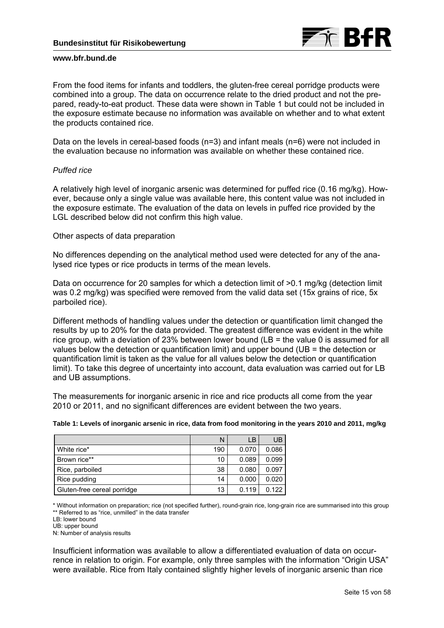

From the food items for infants and toddlers, the gluten-free cereal porridge products were combined into a group. The data on occurrence relate to the dried product and not the prepared, ready-to-eat product. These data were shown in Table 1 but could not be included in the exposure estimate because no information was available on whether and to what extent the products contained rice.

Data on the levels in cereal-based foods (n=3) and infant meals (n=6) were not included in the evaluation because no information was available on whether these contained rice.

### *Puffed rice*

A relatively high level of inorganic arsenic was determined for puffed rice (0.16 mg/kg). However, because only a single value was available here, this content value was not included in the exposure estimate. The evaluation of the data on levels in puffed rice provided by the LGL described below did not confirm this high value.

### Other aspects of data preparation

No differences depending on the analytical method used were detected for any of the analysed rice types or rice products in terms of the mean levels.

Data on occurrence for 20 samples for which a detection limit of  $>0.1$  mg/kg (detection limit was 0.2 mg/kg) was specified were removed from the valid data set (15x grains of rice, 5x parboiled rice).

Different methods of handling values under the detection or quantification limit changed the results by up to 20% for the data provided. The greatest difference was evident in the white rice group, with a deviation of 23% between lower bound ( $LB =$  the value 0 is assumed for all values below the detection or quantification limit) and upper bound (UB = the detection or quantification limit is taken as the value for all values below the detection or quantification limit). To take this degree of uncertainty into account, data evaluation was carried out for LB and UB assumptions.

The measurements for inorganic arsenic in rice and rice products all come from the year 2010 or 2011, and no significant differences are evident between the two years.

|                             | Ν   | LВ    | UB    |
|-----------------------------|-----|-------|-------|
| White rice*                 | 190 | 0.070 | 0.086 |
| Brown rice**                | 10  | 0.089 | 0.099 |
| Rice, parboiled             | 38  | 0.080 | 0.097 |
| Rice pudding                | 14  | 0.000 | 0.020 |
| Gluten-free cereal porridge | 13  | 0.119 | 0.122 |

**Table 1: Levels of inorganic arsenic in rice, data from food monitoring in the years 2010 and 2011, mg/kg** 

\* Without information on preparation; rice (not specified further), round-grain rice, long-grain rice are summarised into this group \*\* Referred to as "rice, unmilled" in the data transfer

UB: upper bound N: Number of analysis results

Insufficient information was available to allow a differentiated evaluation of data on occurrence in relation to origin. For example, only three samples with the information "Origin USA" were available. Rice from Italy contained slightly higher levels of inorganic arsenic than rice

LB: lower bound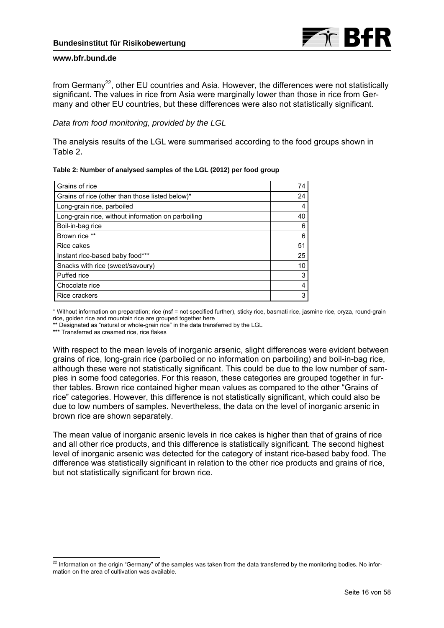from Germany<sup>22</sup>, other EU countries and Asia. However, the differences were not statistically significant. The values in rice from Asia were marginally lower than those in rice from Germany and other EU countries, but these differences were also not statistically significant.

# *Data from food monitoring, provided by the LGL*

The analysis results of the LGL were summarised according to the food groups shown in Table 2.

| Table 2: Number of analysed samples of the LGL (2012) per food group |  |  |  |  |
|----------------------------------------------------------------------|--|--|--|--|
|                                                                      |  |  |  |  |

| Grains of rice                                     | 74 |
|----------------------------------------------------|----|
| Grains of rice (other than those listed below)*    | 24 |
| Long-grain rice, parboiled                         | 4  |
| Long-grain rice, without information on parboiling | 40 |
| Boil-in-bag rice                                   | 6  |
| Brown rice **                                      | 6  |
| <b>Rice cakes</b>                                  | 51 |
| Instant rice-based baby food***                    | 25 |
| Snacks with rice (sweet/savoury)                   | 10 |
| Puffed rice                                        | 3  |
| Chocolate rice                                     | 4  |
| Rice crackers                                      | 3  |

\* Without information on preparation; rice (nsf = not specified further), sticky rice, basmati rice, jasmine rice, oryza, round-grain rice, golden rice and mountain rice are grouped together here

\*\* Designated as "natural or whole-grain rice" in the data transferred by the LGL

\*\*\* Transferred as creamed rice, rice flakes

-

With respect to the mean levels of inorganic arsenic, slight differences were evident between grains of rice, long-grain rice (parboiled or no information on parboiling) and boil-in-bag rice, although these were not statistically significant. This could be due to the low number of samples in some food categories. For this reason, these categories are grouped together in further tables. Brown rice contained higher mean values as compared to the other "Grains of rice" categories. However, this difference is not statistically significant, which could also be due to low numbers of samples. Nevertheless, the data on the level of inorganic arsenic in brown rice are shown separately.

The mean value of inorganic arsenic levels in rice cakes is higher than that of grains of rice and all other rice products, and this difference is statistically significant. The second highest level of inorganic arsenic was detected for the category of instant rice-based baby food. The difference was statistically significant in relation to the other rice products and grains of rice, but not statistically significant for brown rice.

 $^{22}$  Information on the origin "Germany" of the samples was taken from the data transferred by the monitoring bodies. No information on the area of cultivation was available.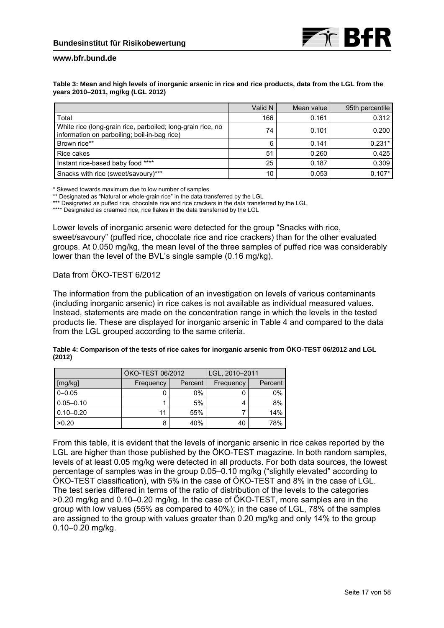#### **Table 3: Mean and high levels of inorganic arsenic in rice and rice products, data from the LGL from the years 2010–2011, mg/kg (LGL 2012)**

|                                                                                                             | Valid N | Mean value | 95th percentile |
|-------------------------------------------------------------------------------------------------------------|---------|------------|-----------------|
| Total                                                                                                       | 166     | 0.161      | 0.312           |
| White rice (long-grain rice, parboiled; long-grain rice, no<br>information on parboiling; boil-in-bag rice) | 74      | 0.101      | 0.200           |
| Brown rice**                                                                                                | 6       | 0.141      | $0.231*$        |
| Rice cakes                                                                                                  | 51      | 0.260      | 0.425           |
| Instant rice-based baby food ****                                                                           | 25      | 0.187      | 0.309           |
| Snacks with rice (sweet/savoury)***                                                                         | 10      | 0.053      | $0.107*$        |

\* Skewed towards maximum due to low number of samples

\*\* Designated as "Natural or whole-grain rice" in the data transferred by the LGL

\*\*\* Designated as puffed rice, chocolate rice and rice crackers in the data transferred by the LGL

\*\*\*\* Designated as creamed rice, rice flakes in the data transferred by the LGL

Lower levels of inorganic arsenic were detected for the group "Snacks with rice, sweet/savoury" (puffed rice, chocolate rice and rice crackers) than for the other evaluated groups. At 0.050 mg/kg, the mean level of the three samples of puffed rice was considerably lower than the level of the BVL's single sample (0.16 mg/kg).

# Data from ÖKO-TEST 6/2012

The information from the publication of an investigation on levels of various contaminants (including inorganic arsenic) in rice cakes is not available as individual measured values. Instead, statements are made on the concentration range in which the levels in the tested products lie. These are displayed for inorganic arsenic in Table 4 and compared to the data from the LGL grouped according to the same criteria.

| Table 4: Comparison of the tests of rice cakes for inorganic arsenic from ÖKO-TEST 06/2012 and LGL |  |
|----------------------------------------------------------------------------------------------------|--|
| (2012)                                                                                             |  |

|               | ÖKO-TEST 06/2012 |         | LGL, 2010-2011 |         |  |
|---------------|------------------|---------|----------------|---------|--|
| [mg/kg]       | Frequency        | Percent | Frequency      | Percent |  |
| $0 - 0.05$    |                  | $0\%$   |                | $0\%$   |  |
| $0.05 - 0.10$ |                  | 5%      |                | 8%      |  |
| $0.10 - 0.20$ |                  | 55%     |                | 14%     |  |
| >0.20         | 8                | 40%     | 40             | 78%     |  |

From this table, it is evident that the levels of inorganic arsenic in rice cakes reported by the LGL are higher than those published by the ÖKO-TEST magazine. In both random samples, levels of at least 0.05 mg/kg were detected in all products. For both data sources, the lowest percentage of samples was in the group 0.05–0.10 mg/kg ("slightly elevated" according to ÖKO-TEST classification), with 5% in the case of ÖKO-TEST and 8% in the case of LGL. The test series differed in terms of the ratio of distribution of the levels to the categories >0.20 mg/kg and 0.10–0.20 mg/kg. In the case of ÖKO-TEST, more samples are in the group with low values (55% as compared to 40%); in the case of LGL, 78% of the samples are assigned to the group with values greater than 0.20 mg/kg and only 14% to the group 0.10–0.20 mg/kg.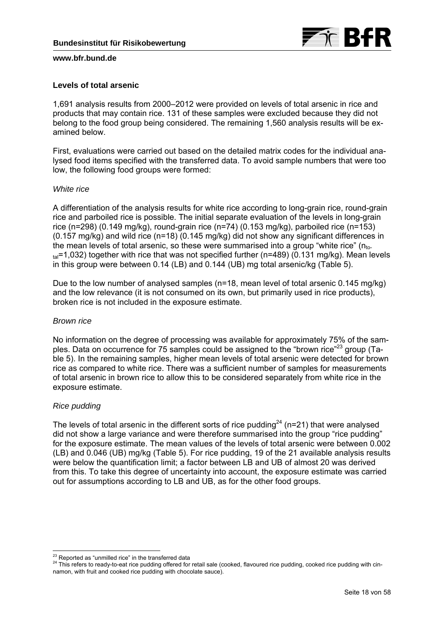

# **Levels of total arsenic**

1,691 analysis results from 2000–2012 were provided on levels of total arsenic in rice and products that may contain rice. 131 of these samples were excluded because they did not belong to the food group being considered. The remaining 1,560 analysis results will be examined below.

First, evaluations were carried out based on the detailed matrix codes for the individual analysed food items specified with the transferred data. To avoid sample numbers that were too low, the following food groups were formed:

### *White rice*

A differentiation of the analysis results for white rice according to long-grain rice, round-grain rice and parboiled rice is possible. The initial separate evaluation of the levels in long-grain rice (n=298) (0.149 mg/kg), round-grain rice (n=74) (0.153 mg/kg), parboiled rice (n=153)  $(0.157 \text{ mg/kg})$  and wild rice  $(n=18)$   $(0.145 \text{ mg/kg})$  did not show any significant differences in the mean levels of total arsenic, so these were summarised into a group "white rice" (nto $t_{\text{rad}}$ =1,032) together with rice that was not specified further (n=489) (0.131 mg/kg). Mean levels in this group were between 0.14 (LB) and 0.144 (UB) mg total arsenic/kg (Table 5).

Due to the low number of analysed samples (n=18, mean level of total arsenic 0.145 mg/kg) and the low relevance (it is not consumed on its own, but primarily used in rice products), broken rice is not included in the exposure estimate.

# *Brown rice*

No information on the degree of processing was available for approximately 75% of the samples. Data on occurrence for 75 samples could be assigned to the "brown rice"23 group (Table 5). In the remaining samples, higher mean levels of total arsenic were detected for brown rice as compared to white rice. There was a sufficient number of samples for measurements of total arsenic in brown rice to allow this to be considered separately from white rice in the exposure estimate.

# *Rice pudding*

The levels of total arsenic in the different sorts of rice pudding<sup>24</sup> (n=21) that were analysed did not show a large variance and were therefore summarised into the group "rice pudding" for the exposure estimate. The mean values of the levels of total arsenic were between 0.002 (LB) and 0.046 (UB) mg/kg (Table 5). For rice pudding, 19 of the 21 available analysis results were below the quantification limit; a factor between LB and UB of almost 20 was derived from this. To take this degree of uncertainty into account, the exposure estimate was carried out for assumptions according to LB and UB, as for the other food groups.

 $\overline{a}$ 

<sup>&</sup>lt;sup>23</sup> Reported as "unmilled rice" in the transferred data<br><sup>24</sup> This refers to ready-to-eat rice pudding offered for retail sale (cooked, flavoured rice pudding, cooked rice pudding with cinnamon, with fruit and cooked rice pudding with chocolate sauce).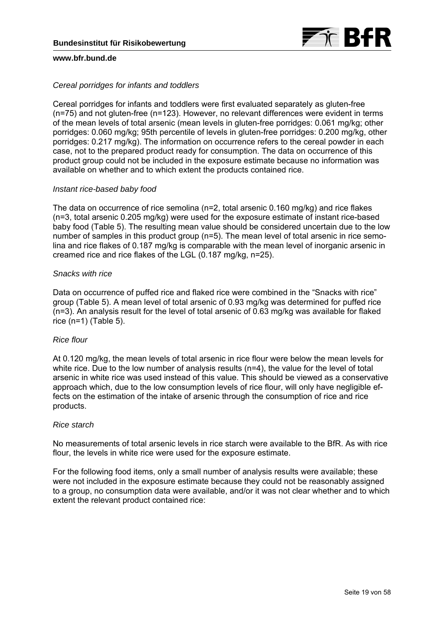

### *Cereal porridges for infants and toddlers*

Cereal porridges for infants and toddlers were first evaluated separately as gluten-free (n=75) and not gluten-free (n=123). However, no relevant differences were evident in terms of the mean levels of total arsenic (mean levels in gluten-free porridges: 0.061 mg/kg; other porridges: 0.060 mg/kg; 95th percentile of levels in gluten-free porridges: 0.200 mg/kg, other porridges: 0.217 mg/kg). The information on occurrence refers to the cereal powder in each case, not to the prepared product ready for consumption. The data on occurrence of this product group could not be included in the exposure estimate because no information was available on whether and to which extent the products contained rice.

### *Instant rice-based baby food*

The data on occurrence of rice semolina (n=2, total arsenic 0.160 mg/kg) and rice flakes (n=3, total arsenic 0.205 mg/kg) were used for the exposure estimate of instant rice-based baby food (Table 5). The resulting mean value should be considered uncertain due to the low number of samples in this product group (n=5). The mean level of total arsenic in rice semolina and rice flakes of 0.187 mg/kg is comparable with the mean level of inorganic arsenic in creamed rice and rice flakes of the LGL (0.187 mg/kg, n=25).

### *Snacks with rice*

Data on occurrence of puffed rice and flaked rice were combined in the "Snacks with rice" group (Table 5). A mean level of total arsenic of 0.93 mg/kg was determined for puffed rice (n=3). An analysis result for the level of total arsenic of 0.63 mg/kg was available for flaked rice  $(n=1)$  (Table 5).

### *Rice flour*

At 0.120 mg/kg, the mean levels of total arsenic in rice flour were below the mean levels for white rice. Due to the low number of analysis results (n=4), the value for the level of total arsenic in white rice was used instead of this value. This should be viewed as a conservative approach which, due to the low consumption levels of rice flour, will only have negligible effects on the estimation of the intake of arsenic through the consumption of rice and rice products.

### *Rice starch*

No measurements of total arsenic levels in rice starch were available to the BfR. As with rice flour, the levels in white rice were used for the exposure estimate.

For the following food items, only a small number of analysis results were available; these were not included in the exposure estimate because they could not be reasonably assigned to a group, no consumption data were available, and/or it was not clear whether and to which extent the relevant product contained rice: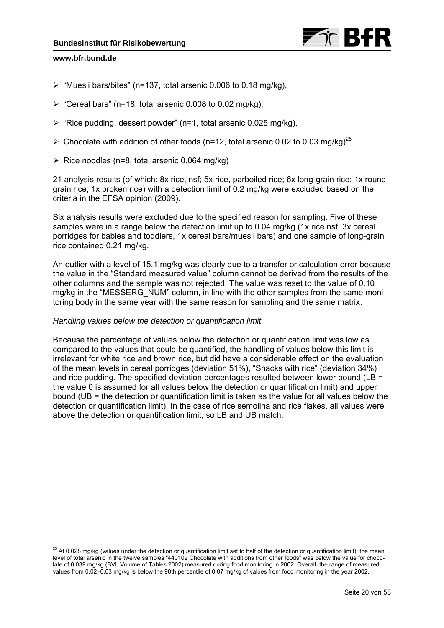

-

- $\triangleright$  "Muesli bars/bites" (n=137, total arsenic 0.006 to 0.18 mg/kg),
- $\triangleright$  "Cereal bars" (n=18, total arsenic 0.008 to 0.02 mg/kg),
- $\triangleright$  "Rice pudding, dessert powder" (n=1, total arsenic 0.025 mg/kg),
- $\triangleright$  Chocolate with addition of other foods (n=12, total arsenic 0.02 to 0.03 mg/kg)<sup>25</sup>
- $\triangleright$  Rice noodles (n=8, total arsenic 0.064 mg/kg)

21 analysis results (of which: 8x rice, nsf; 5x rice, parboiled rice; 6x long-grain rice; 1x roundgrain rice; 1x broken rice) with a detection limit of 0.2 mg/kg were excluded based on the criteria in the EFSA opinion (2009).

Six analysis results were excluded due to the specified reason for sampling. Five of these samples were in a range below the detection limit up to 0.04 mg/kg (1x rice nsf, 3x cereal porridges for babies and toddlers, 1x cereal bars/muesli bars) and one sample of long-grain rice contained 0.21 mg/kg.

An outlier with a level of 15.1 mg/kg was clearly due to a transfer or calculation error because the value in the "Standard measured value" column cannot be derived from the results of the other columns and the sample was not rejected. The value was reset to the value of 0.10 mg/kg in the "MESSERG\_NUM" column, in line with the other samples from the same monitoring body in the same year with the same reason for sampling and the same matrix.

# *Handling values below the detection or quantification limit*

Because the percentage of values below the detection or quantification limit was low as compared to the values that could be quantified, the handling of values below this limit is irrelevant for white rice and brown rice, but did have a considerable effect on the evaluation of the mean levels in cereal porridges (deviation 51%), "Snacks with rice" (deviation 34%) and rice pudding. The specified deviation percentages resulted between lower bound (LB = the value 0 is assumed for all values below the detection or quantification limit) and upper bound (UB = the detection or quantification limit is taken as the value for all values below the detection or quantification limit). In the case of rice semolina and rice flakes, all values were above the detection or quantification limit, so LB and UB match.

<sup>&</sup>lt;sup>25</sup> At 0.028 mg/kg (values under the detection or quantification limit set to half of the detection or quantification limit), the mean level of total arsenic in the twelve samples "440102 Chocolate with additions from other foods" was below the value for chocolate of 0.039 mg/kg (BVL Volume of Tables 2002) measured during food monitoring in 2002. Overall, the range of measured values from 0.02–0.03 mg/kg is below the 90th percentile of 0.07 mg/kg of values from food monitoring in the year 2002.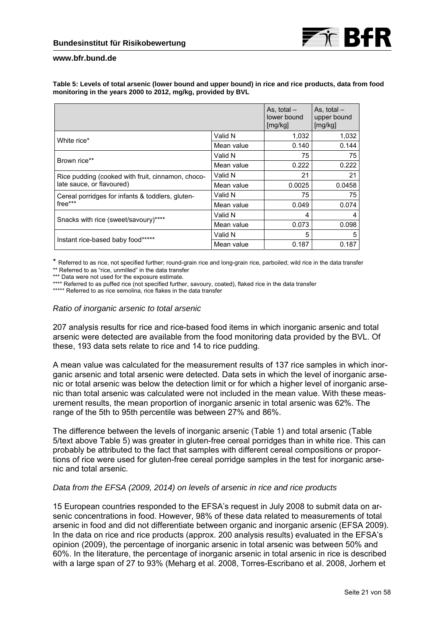

| Table 5: Levels of total arsenic (lower bound and upper bound) in rice and rice products, data from food |  |
|----------------------------------------------------------------------------------------------------------|--|
| monitoring in the years 2000 to 2012, mg/kg, provided by BVL                                             |  |

|                                                   |            | As, total $-$<br>lower bound<br>[mg/kg] | As, total $-$<br>upper bound<br>[mg/kg] |
|---------------------------------------------------|------------|-----------------------------------------|-----------------------------------------|
| White rice*                                       | Valid N    | 1.032                                   | 1,032                                   |
|                                                   | Mean value | 0.140                                   | 0.144                                   |
| Brown rice**                                      | Valid N    | 75                                      | 75                                      |
|                                                   | Mean value | 0.222                                   | 0.222                                   |
| Rice pudding (cooked with fruit, cinnamon, choco- | Valid N    | 21                                      | 21                                      |
| late sauce, or flavoured)                         | Mean value | 0.0025                                  | 0.0458                                  |
| Cereal porridges for infants & toddlers, gluten-  | Valid N    | 75                                      | 75                                      |
| free***                                           | Mean value | 0.049                                   | 0.074                                   |
|                                                   | Valid N    | 4                                       | 4                                       |
| Snacks with rice (sweet/savoury)****              | Mean value | 0.073                                   | 0.098                                   |
|                                                   | Valid N    | 5                                       | 5                                       |
| Instant rice-based baby food*****                 | Mean value | 0.187                                   | 0.187                                   |

\* Referred to as rice, not specified further; round-grain rice and long-grain rice, parboiled; wild rice in the data transfer \*\* Referred to as "rice, unmilled" in the data transfer

\*\*\* Data were not used for the exposure estimate.

\*\*\*\* Referred to as puffed rice (not specified further, savoury, coated), flaked rice in the data transfer

\*\*\*\*\* Referred to as rice semolina, rice flakes in the data transfer

### *Ratio of inorganic arsenic to total arsenic*

207 analysis results for rice and rice-based food items in which inorganic arsenic and total arsenic were detected are available from the food monitoring data provided by the BVL. Of these, 193 data sets relate to rice and 14 to rice pudding.

A mean value was calculated for the measurement results of 137 rice samples in which inorganic arsenic and total arsenic were detected. Data sets in which the level of inorganic arsenic or total arsenic was below the detection limit or for which a higher level of inorganic arsenic than total arsenic was calculated were not included in the mean value. With these measurement results, the mean proportion of inorganic arsenic in total arsenic was 62%. The range of the 5th to 95th percentile was between 27% and 86%.

The difference between the levels of inorganic arsenic (Table 1) and total arsenic (Table 5/text above Table 5) was greater in gluten-free cereal porridges than in white rice. This can probably be attributed to the fact that samples with different cereal compositions or proportions of rice were used for gluten-free cereal porridge samples in the test for inorganic arsenic and total arsenic.

# *Data from the EFSA (2009, 2014) on levels of arsenic in rice and rice products*

15 European countries responded to the EFSA's request in July 2008 to submit data on arsenic concentrations in food. However, 98% of these data related to measurements of total arsenic in food and did not differentiate between organic and inorganic arsenic (EFSA 2009). In the data on rice and rice products (approx. 200 analysis results) evaluated in the EFSA's opinion (2009), the percentage of inorganic arsenic in total arsenic was between 50% and 60%. In the literature, the percentage of inorganic arsenic in total arsenic in rice is described with a large span of 27 to 93% (Meharg et al. 2008, Torres-Escribano et al. 2008, Jorhem et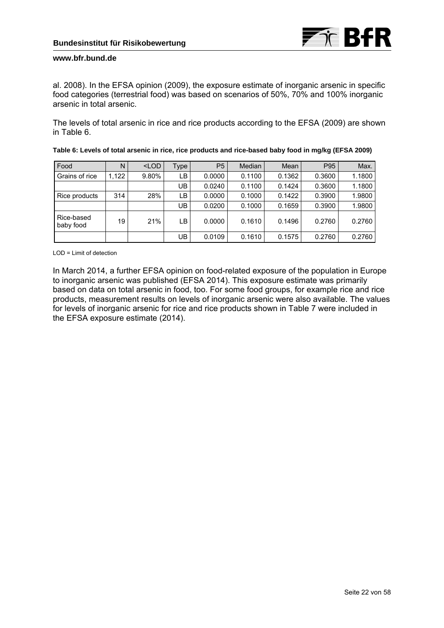al. 2008). In the EFSA opinion (2009), the exposure estimate of inorganic arsenic in specific food categories (terrestrial food) was based on scenarios of 50%, 70% and 100% inorganic arsenic in total arsenic.

The levels of total arsenic in rice and rice products according to the EFSA (2009) are shown in Table 6.

| Food                    | N     | $<$ LOD | Type | P <sub>5</sub> | Median | Mean   | P <sub>95</sub> | Max.   |
|-------------------------|-------|---------|------|----------------|--------|--------|-----------------|--------|
| Grains of rice          | 1,122 | 9.80%   | LB   | 0.0000         | 0.1100 | 0.1362 | 0.3600          | 1.1800 |
|                         |       |         | UB   | 0.0240         | 0.1100 | 0.1424 | 0.3600          | 1.1800 |
| Rice products           | 314   | 28%     | LB.  | 0.0000         | 0.1000 | 0.1422 | 0.3900          | 1.9800 |
|                         |       |         | UB   | 0.0200         | 0.1000 | 0.1659 | 0.3900          | 1.9800 |
| Rice-based<br>baby food | 19    | 21%     | LB.  | 0.0000         | 0.1610 | 0.1496 | 0.2760          | 0.2760 |
|                         |       |         | UB.  | 0.0109         | 0.1610 | 0.1575 | 0.2760          | 0.2760 |

**Table 6: Levels of total arsenic in rice, rice products and rice-based baby food in mg/kg (EFSA 2009)** 

LOD = Limit of detection

In March 2014, a further EFSA opinion on food-related exposure of the population in Europe to inorganic arsenic was published (EFSA 2014). This exposure estimate was primarily based on data on total arsenic in food, too. For some food groups, for example rice and rice products, measurement results on levels of inorganic arsenic were also available. The values for levels of inorganic arsenic for rice and rice products shown in Table 7 were included in the EFSA exposure estimate (2014).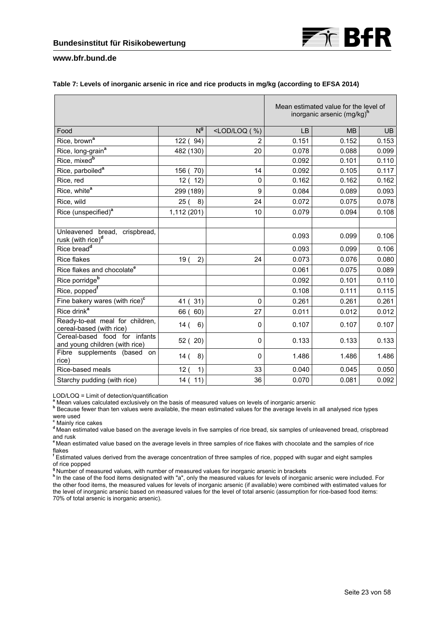

#### **Table 7: Levels of inorganic arsenic in rice and rice products in mg/kg (according to EFSA 2014)**

|                                                                 |                       |                    | Mean estimated value for the level of<br>inorganic arsenic (mg/kg) <sup>n</sup> |           |       |  |
|-----------------------------------------------------------------|-----------------------|--------------------|---------------------------------------------------------------------------------|-----------|-------|--|
| Food                                                            | N <sub>a</sub>        | $<$ LOD/LOQ $($ %) | <b>LB</b>                                                                       | <b>MB</b> | UB    |  |
| Rice, brown <sup>a</sup>                                        | 122 (94)              | $\overline{2}$     | 0.151                                                                           | 0.152     | 0.153 |  |
| Rice, long-grain <sup>a</sup>                                   | 482 (130)             | 20                 | 0.078                                                                           | 0.088     | 0.099 |  |
| Rice, mixed <sup>b</sup>                                        |                       |                    | 0.092                                                                           | 0.101     | 0.110 |  |
| Rice, parboiled <sup>a</sup>                                    | 156 (70)              | 14                 | 0.092                                                                           | 0.105     | 0.117 |  |
| Rice, red                                                       | 12(<br>12)            | $\mathbf 0$        | 0.162                                                                           | 0.162     | 0.162 |  |
| Rice, white <sup>a</sup>                                        | 299 (189)             | 9                  | 0.084                                                                           | 0.089     | 0.093 |  |
| Rice, wild                                                      | 25(<br>8)             | 24                 | 0.072                                                                           | 0.075     | 0.078 |  |
| Rice (unspecified) <sup>a</sup>                                 | 1,112 (201)           | 10                 | 0.079                                                                           | 0.094     | 0.108 |  |
|                                                                 |                       |                    |                                                                                 |           |       |  |
| Unleavened bread, crispbread,<br>rusk (with rice) <sup>d</sup>  |                       |                    | 0.093                                                                           | 0.099     | 0.106 |  |
| Rice bread <sup>d</sup>                                         |                       |                    | 0.093                                                                           | 0.099     | 0.106 |  |
| <b>Rice flakes</b>                                              | 19 <sub>0</sub><br>2) | 24                 | 0.073                                                                           | 0.076     | 0.080 |  |
| Rice flakes and chocolate <sup>e</sup>                          |                       |                    | 0.061                                                                           | 0.075     | 0.089 |  |
| Rice porridge <sup>b</sup>                                      |                       |                    | 0.092                                                                           | 0.101     | 0.110 |  |
| Rice, popped <sup>f</sup>                                       |                       |                    | 0.108                                                                           | 0.111     | 0.115 |  |
| Fine bakery wares (with rice) $c$                               | 31)<br>41 (           | $\Omega$           | 0.261                                                                           | 0.261     | 0.261 |  |
| Rice drink <sup>a</sup>                                         | 60)<br>66 (           | 27                 | 0.011                                                                           | 0.012     | 0.012 |  |
| Ready-to-eat meal for children,<br>cereal-based (with rice)     | 14(<br>6)             | $\mathbf 0$        | 0.107                                                                           | 0.107     | 0.107 |  |
| Cereal-based food for infants<br>and young children (with rice) | 52 (20)               | $\Omega$           | 0.133                                                                           | 0.133     | 0.133 |  |
| Fibre supplements (based<br>on<br>rice)                         | 8)<br>14 (            | $\Omega$           | 1.486                                                                           | 1.486     | 1.486 |  |
| Rice-based meals                                                | 12(<br>1)             | 33                 | 0.040                                                                           | 0.045     | 0.050 |  |
| Starchy pudding (with rice)                                     | 14(11)                | 36                 | 0.070                                                                           | 0.081     | 0.092 |  |

LOD/LOQ = Limit of detection/quantification<br><sup>a</sup> Mean values calculated exclusively on the basis of measured values on levels of inorganic arsenic

<sup>a</sup> Mean values calculated exclusively on the basis of measured values on levels of inorganic arsenic<br><sup>b</sup> Because fewer than ten values were available, the mean estimated values for the average levels in all analysed rice were used

**c** Mainly rice cakes

**<sup>d</sup>**Mean estimated value based on the average levels in five samples of rice bread, six samples of unleavened bread, crispbread and rusk

**<sup>e</sup>**Mean estimated value based on the average levels in three samples of rice flakes with chocolate and the samples of rice flakes

**f** Estimated values derived from the average concentration of three samples of rice, popped with sugar and eight samples of rice popped<br><sup>g</sup> Number of measured values, with number of measured values for inorganic arsenic in brackets

" In the case of the food items designated with "a", only the measured values for levels of inorganic arsenic were included. For the other food items, the measured values for levels of inorganic arsenic (if available) were combined with estimated values for the level of inorganic arsenic based on measured values for the level of total arsenic (assumption for rice-based food items: 70% of total arsenic is inorganic arsenic).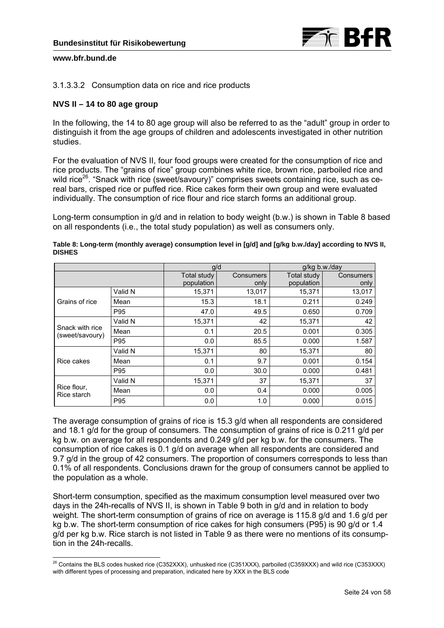

# 3.1.3.3.2 Consumption data on rice and rice products

# **NVS II – 14 to 80 age group**

In the following, the 14 to 80 age group will also be referred to as the "adult" group in order to distinguish it from the age groups of children and adolescents investigated in other nutrition studies.

For the evaluation of NVS II, four food groups were created for the consumption of rice and rice products. The "grains of rice" group combines white rice, brown rice, parboiled rice and wild rice<sup>26</sup>. "Snack with rice (sweet/savoury)" comprises sweets containing rice, such as cereal bars, crisped rice or puffed rice. Rice cakes form their own group and were evaluated individually. The consumption of rice flour and rice starch forms an additional group.

Long-term consumption in g/d and in relation to body weight (b.w.) is shown in Table 8 based on all respondents (i.e., the total study population) as well as consumers only.

|                                    |         | g/d                       |                   | g/kg b.w./day             |                   |  |
|------------------------------------|---------|---------------------------|-------------------|---------------------------|-------------------|--|
|                                    |         | Total study<br>population | Consumers<br>only | Total study<br>population | Consumers<br>only |  |
|                                    | Valid N | 15,371                    | 13,017            | 15,371                    | 13,017            |  |
| Grains of rice                     | Mean    | 15.3                      | 18.1              | 0.211                     | 0.249             |  |
|                                    | P95     | 47.0                      | 49.5              | 0.650                     | 0.709             |  |
|                                    | Valid N | 15,371                    | 42                | 15,371                    | 42                |  |
| Snack with rice<br>(sweet/savoury) | Mean    | 0.1                       | 20.5              | 0.001                     | 0.305             |  |
|                                    | P95     | 0.0                       | 85.5              | 0.000                     | 1.587             |  |
|                                    | Valid N | 15,371                    | 80                | 15,371                    | 80                |  |
| Rice cakes                         | Mean    | 0.1                       | 9.7               | 0.001                     | 0.154             |  |
|                                    | P95     | 0.0                       | 30.0              | 0.000                     | 0.481             |  |
|                                    | Valid N | 15,371                    | 37                | 15,371                    | 37                |  |
| Rice flour,<br>Rice starch         | Mean    | 0.0                       | 0.4               | 0.000                     | 0.005             |  |
|                                    | P95     | 0.0                       | 1.0               | 0.000                     | 0.015             |  |

**Table 8: Long-term (monthly average) consumption level in [g/d] and [g/kg b.w./day] according to NVS II, DISHES** 

The average consumption of grains of rice is 15.3 g/d when all respondents are considered and 18.1 g/d for the group of consumers. The consumption of grains of rice is 0.211 g/d per kg b.w. on average for all respondents and 0.249 g/d per kg b.w. for the consumers. The consumption of rice cakes is 0.1 g/d on average when all respondents are considered and 9.7 g/d in the group of 42 consumers. The proportion of consumers corresponds to less than 0.1% of all respondents. Conclusions drawn for the group of consumers cannot be applied to the population as a whole.

Short-term consumption, specified as the maximum consumption level measured over two days in the 24h-recalls of NVS II, is shown in Table 9 both in g/d and in relation to body weight. The short-term consumption of grains of rice on average is 115.8 g/d and 1.6 g/d per kg b.w. The short-term consumption of rice cakes for high consumers (P95) is 90 g/d or 1.4 g/d per kg b.w. Rice starch is not listed in Table 9 as there were no mentions of its consumption in the 24h-recalls.

<sup>-</sup> $^{26}$  Contains the BLS codes husked rice (C352XXX), unhusked rice (C351XXX), parboiled (C359XXX) and wild rice (C353XXX) with different types of processing and preparation, indicated here by XXX in the BLS code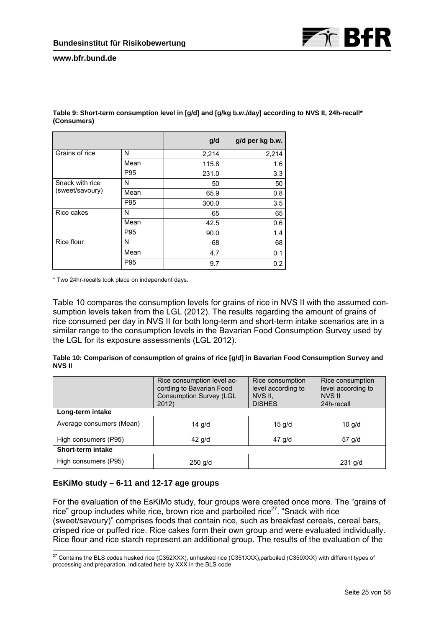

|                 |      | g/d   | g/d per kg b.w. |
|-----------------|------|-------|-----------------|
| Grains of rice  | N    | 2,214 | 2,214           |
|                 | Mean | 115.8 | 1.6             |
|                 | P95  | 231.0 | 3.3             |
| Snack with rice | N    | 50    | 50              |
| (sweet/savoury) | Mean | 65.9  | 0.8             |
|                 | P95  | 300.0 | 3.5             |
| Rice cakes      | N    | 65    | 65              |
|                 | Mean | 42.5  | 0.6             |
|                 | P95  | 90.0  | 1.4             |
| Rice flour      | N    | 68    | 68              |
|                 | Mean | 4.7   | 0.1             |
|                 | P95  | 9.7   | 0.2             |

**Table 9: Short-term consumption level in [g/d] and [g/kg b.w./day] according to NVS II, 24h-recall\* (Consumers)** 

\* Two 24hr-recalls took place on independent days.

Table 10 compares the consumption levels for grains of rice in NVS II with the assumed consumption levels taken from the LGL (2012). The results regarding the amount of grains of rice consumed per day in NVS II for both long-term and short-term intake scenarios are in a similar range to the consumption levels in the Bavarian Food Consumption Survey used by the LGL for its exposure assessments (LGL 2012).

| Table 10: Comparison of consumption of grains of rice [g/d] in Bavarian Food Consumption Survey and |  |  |
|-----------------------------------------------------------------------------------------------------|--|--|
| <b>NVS II</b>                                                                                       |  |  |

|                          | Rice consumption level ac-<br>Rice consumption<br>cording to Bavarian Food<br>level according to<br><b>Consumption Survey (LGL</b><br>NVS II,<br><b>DISHES</b><br>2012 |          | Rice consumption<br>level according to<br>NVS II<br>24h-recall |  |  |  |
|--------------------------|------------------------------------------------------------------------------------------------------------------------------------------------------------------------|----------|----------------------------------------------------------------|--|--|--|
| Long-term intake         |                                                                                                                                                                        |          |                                                                |  |  |  |
| Average consumers (Mean) | $14$ g/d                                                                                                                                                               | $15$ g/d | $10$ g/d                                                       |  |  |  |
| High consumers (P95)     | $42$ g/d                                                                                                                                                               | 47 g/d   | 57 g/d                                                         |  |  |  |
| Short-term intake        |                                                                                                                                                                        |          |                                                                |  |  |  |
| High consumers (P95)     | $250$ g/d                                                                                                                                                              |          | $231$ g/d                                                      |  |  |  |

# **EsKiMo study – 6-11 and 12-17 age groups**

For the evaluation of the EsKiMo study, four groups were created once more. The "grains of rice" group includes white rice, brown rice and parboiled rice<sup>27</sup>. "Snack with rice (sweet/savoury)" comprises foods that contain rice, such as breakfast cereals, cereal bars, crisped rice or puffed rice. Rice cakes form their own group and were evaluated individually. Rice flour and rice starch represent an additional group. The results of the evaluation of the

 $\overline{a}$  $^{27}$  Contains the BLS codes husked rice (C352XXX), unhusked rice (C351XXX),parboiled (C359XXX) with different types of processing and preparation, indicated here by XXX in the BLS code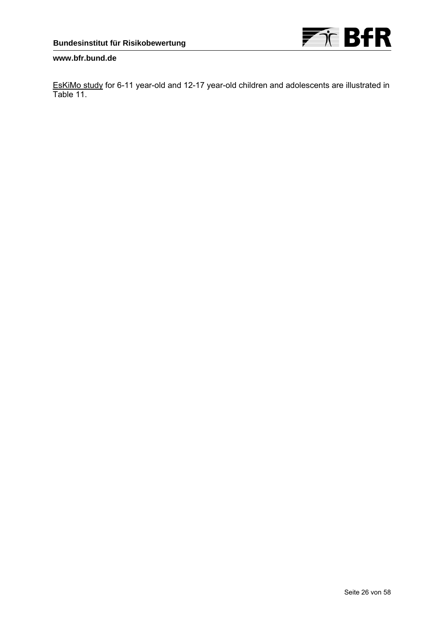

EsKiMo study for 6-11 year-old and 12-17 year-old children and adolescents are illustrated in Table 11.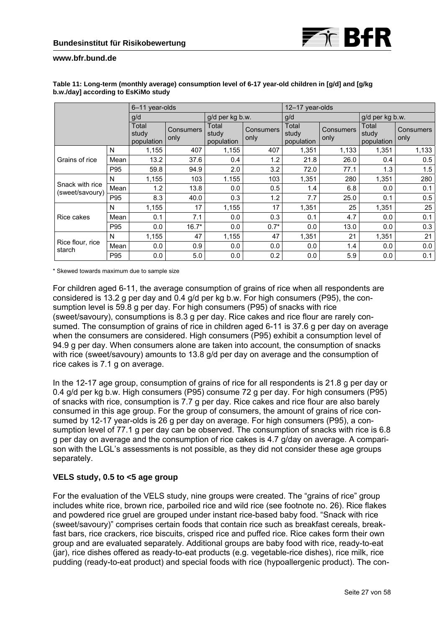

|                                    |      | 6-11 year-olds               |                          |                              |                          | 12-17 year-olds              |                          |                              |                          |
|------------------------------------|------|------------------------------|--------------------------|------------------------------|--------------------------|------------------------------|--------------------------|------------------------------|--------------------------|
|                                    |      | g/d                          |                          | g/d per kg b.w.              |                          | g/d                          |                          | g/d per kg b.w.              |                          |
|                                    |      | Total<br>study<br>population | <b>Consumers</b><br>only | Total<br>study<br>population | <b>Consumers</b><br>only | Total<br>study<br>population | <b>Consumers</b><br>only | Total<br>study<br>population | <b>Consumers</b><br>only |
|                                    | N    | 1,155                        | 407                      | 1,155                        | 407                      | 1,351                        | 1,133                    | 1,351                        | 1,133                    |
| Grains of rice                     | Mean | 13.2                         | 37.6                     | 0.4                          | 1.2                      | 21.8                         | 26.0                     | 0.4                          | 0.5                      |
|                                    | P95  | 59.8                         | 94.9                     | 2.0                          | 3.2                      | 72.0                         | 77.1                     | 1.3                          | 1.5                      |
|                                    | N    | 1,155                        | 103                      | 1.155                        | 103                      | 1,351                        | 280                      | 1,351                        | 280                      |
| Snack with rice<br>(sweet/savoury) | Mean | 1.2                          | 13.8                     | 0.0                          | 0.5                      | 1.4                          | 6.8                      | 0.0                          | 0.1                      |
|                                    | P95  | 8.3                          | 40.0                     | 0.3                          | 1.2                      | 7.7                          | 25.0                     | 0.1                          | 0.5                      |
|                                    | N    | 1,155                        | 17                       | 1,155                        | 17                       | 1,351                        | 25                       | 1,351                        | 25                       |
| Rice cakes                         | Mean | 0.1                          | 7.1                      | 0.0                          | 0.3                      | 0.1                          | 4.7                      | 0.0                          | 0.1                      |
|                                    | P95  | 0.0                          | $16.7*$                  | 0.0                          | $0.7*$                   | 0.0                          | 13.0                     | 0.0                          | 0.3                      |
|                                    | N    | 1,155                        | 47                       | 1,155                        | 47                       | 1,351                        | 21                       | 1,351                        | 21                       |
| Rice flour, rice<br>starch         | Mean | 0.0                          | 0.9                      | 0.0                          | 0.0                      | 0.0                          | 1.4                      | 0.0                          | 0.0                      |
|                                    | P95  | 0.0                          | 5.0                      | 0.0                          | 0.2                      | 0.0                          | 5.9                      | 0.0                          | 0.1                      |

#### **Table 11: Long-term (monthly average) consumption level of 6-17 year-old children in [g/d] and [g/kg b.w./day] according to EsKiMo study**

\* Skewed towards maximum due to sample size

For children aged 6-11, the average consumption of grains of rice when all respondents are considered is 13.2 g per day and 0.4 g/d per kg b.w. For high consumers (P95), the consumption level is 59.8 g per day. For high consumers (P95) of snacks with rice (sweet/savoury), consumptions is 8.3 g per day. Rice cakes and rice flour are rarely consumed. The consumption of grains of rice in children aged 6-11 is 37.6 g per day on average when the consumers are considered. High consumers (P95) exhibit a consumption level of 94.9 g per day. When consumers alone are taken into account, the consumption of snacks with rice (sweet/savoury) amounts to 13.8 g/d per day on average and the consumption of rice cakes is 7.1 g on average.

In the 12-17 age group, consumption of grains of rice for all respondents is 21.8 g per day or 0.4 g/d per kg b.w. High consumers (P95) consume 72 g per day. For high consumers (P95) of snacks with rice, consumption is 7.7 g per day. Rice cakes and rice flour are also barely consumed in this age group. For the group of consumers, the amount of grains of rice consumed by 12-17 year-olds is 26 g per day on average. For high consumers (P95), a consumption level of 77.1 g per day can be observed. The consumption of snacks with rice is 6.8 g per day on average and the consumption of rice cakes is 4.7 g/day on average. A comparison with the LGL's assessments is not possible, as they did not consider these age groups separately.

# **VELS study, 0.5 to <5 age group**

For the evaluation of the VELS study, nine groups were created. The "grains of rice" group includes white rice, brown rice, parboiled rice and wild rice (see footnote no. 26). Rice flakes and powdered rice gruel are grouped under instant rice-based baby food. "Snack with rice (sweet/savoury)" comprises certain foods that contain rice such as breakfast cereals, breakfast bars, rice crackers, rice biscuits, crisped rice and puffed rice. Rice cakes form their own group and are evaluated separately. Additional groups are baby food with rice, ready-to-eat (jar), rice dishes offered as ready-to-eat products (e.g. vegetable-rice dishes), rice milk, rice pudding (ready-to-eat product) and special foods with rice (hypoallergenic product). The con-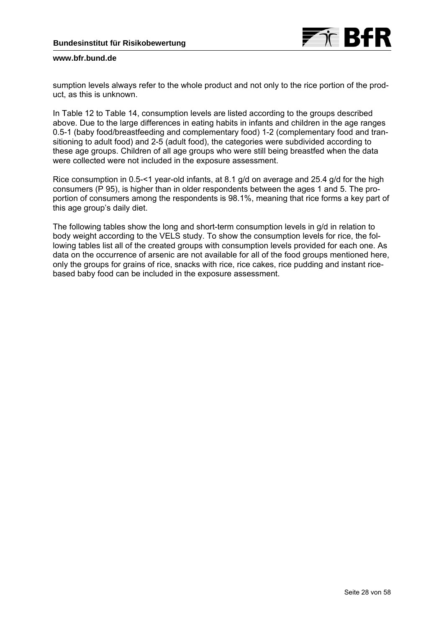

sumption levels always refer to the whole product and not only to the rice portion of the product, as this is unknown.

In Table 12 to Table 14, consumption levels are listed according to the groups described above. Due to the large differences in eating habits in infants and children in the age ranges 0.5-1 (baby food/breastfeeding and complementary food) 1-2 (complementary food and transitioning to adult food) and 2-5 (adult food), the categories were subdivided according to these age groups. Children of all age groups who were still being breastfed when the data were collected were not included in the exposure assessment.

Rice consumption in 0.5-<1 year-old infants, at 8.1 g/d on average and 25.4 g/d for the high consumers (P 95), is higher than in older respondents between the ages 1 and 5. The proportion of consumers among the respondents is 98.1%, meaning that rice forms a key part of this age group's daily diet.

The following tables show the long and short-term consumption levels in g/d in relation to body weight according to the VELS study. To show the consumption levels for rice, the following tables list all of the created groups with consumption levels provided for each one. As data on the occurrence of arsenic are not available for all of the food groups mentioned here, only the groups for grains of rice, snacks with rice, rice cakes, rice pudding and instant ricebased baby food can be included in the exposure assessment.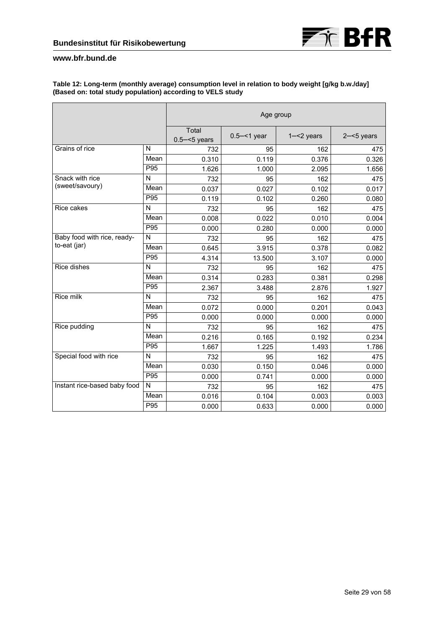

#### **Table 12: Long-term (monthly average) consumption level in relation to body weight [g/kg b.w./day] (Based on: total study population) according to VELS study**

|                              |                            | Age group                |                |               |               |  |
|------------------------------|----------------------------|--------------------------|----------------|---------------|---------------|--|
|                              |                            | Total<br>$0.5 - 5$ years | $0.5 - 1$ year | $1 - 2$ years | $2 - 5$ years |  |
| Grains of rice               | N                          | 732                      | 95             | 162           | 475           |  |
|                              | Mean                       | 0.310                    | 0.119          | 0.376         | 0.326         |  |
|                              | P95                        | 1.626                    | 1.000          | 2.095         | 1.656         |  |
| Snack with rice              | N                          | 732                      | 95             | 162           | 475           |  |
| (sweet/savoury)              | Mean                       | 0.037                    | 0.027          | 0.102         | 0.017         |  |
|                              | P95                        | 0.119                    | 0.102          | 0.260         | 0.080         |  |
| Rice cakes                   | N                          | 732                      | 95             | 162           | 475           |  |
|                              | Mean                       | 0.008                    | 0.022          | 0.010         | 0.004         |  |
|                              | P95                        | 0.000                    | 0.280          | 0.000         | 0.000         |  |
| Baby food with rice, ready-  | $\mathsf{N}$               | 732                      | 95             | 162           | 475           |  |
| to-eat (jar)                 | $\overline{\mathsf{Mean}}$ | 0.645                    | 3.915          | 0.378         | 0.082         |  |
|                              | P95                        | 4.314                    | 13.500         | 3.107         | 0.000         |  |
| Rice dishes                  | $\mathsf{N}$               | 732                      | 95             | 162           | 475           |  |
|                              | Mean                       | 0.314                    | 0.283          | 0.381         | 0.298         |  |
|                              | P95                        | 2.367                    | 3.488          | 2.876         | 1.927         |  |
| Rice milk                    | N                          | 732                      | 95             | 162           | 475           |  |
|                              | Mean                       | 0.072                    | 0.000          | 0.201         | 0.043         |  |
|                              | P95                        | 0.000                    | 0.000          | 0.000         | 0.000         |  |
| Rice pudding                 | N                          | 732                      | 95             | 162           | 475           |  |
|                              | Mean                       | 0.216                    | 0.165          | 0.192         | 0.234         |  |
|                              | P95                        | 1.667                    | 1.225          | 1.493         | 1.786         |  |
| Special food with rice       | N                          | 732                      | 95             | 162           | 475           |  |
|                              | Mean                       | 0.030                    | 0.150          | 0.046         | 0.000         |  |
|                              | P95                        | 0.000                    | 0.741          | 0.000         | 0.000         |  |
| Instant rice-based baby food | $\mathsf{N}$               | 732                      | 95             | 162           | 475           |  |
|                              | Mean                       | 0.016                    | 0.104          | 0.003         | 0.003         |  |
|                              | P95                        | 0.000                    | 0.633          | 0.000         | 0.000         |  |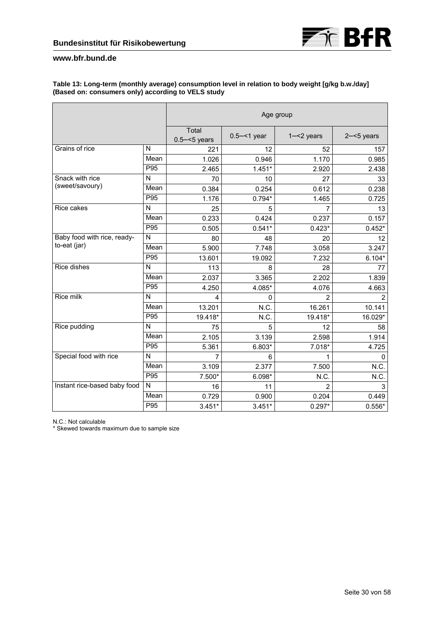#### **Table 13: Long-term (monthly average) consumption level in relation to body weight [g/kg b.w./day] (Based on: consumers only) according to VELS study**

|                              |                 | Age group                |                |                |               |
|------------------------------|-----------------|--------------------------|----------------|----------------|---------------|
|                              |                 | Total<br>$0.5 - 5$ years | $0.5 - 1$ year | $1 - 2$ years  | $2 - 5$ years |
| Grains of rice               | N               | 221                      | 12             | 52             | 157           |
|                              | Mean            | 1.026                    | 0.946          | 1.170          | 0.985         |
|                              | P95             | 2.465                    | $1.451*$       | 2.920          | 2.438         |
| Snack with rice              | N               | 70                       | 10             | 27             | 33            |
| (sweet/savoury)              | Mean            | 0.384                    | 0.254          | 0.612          | 0.238         |
|                              | P95             | 1.176                    | $0.794*$       | 1.465          | 0.725         |
| Rice cakes                   | N               | 25                       | 5              | 7              | 13            |
|                              | Mean            | 0.233                    | 0.424          | 0.237          | 0.157         |
|                              | P95             | 0.505                    | $0.541*$       | $0.423*$       | $0.452*$      |
| Baby food with rice, ready-  | N               | 80                       | 48             | 20             | 12            |
| to-eat (jar)                 | Mean            | 5.900                    | 7.748          | 3.058          | 3.247         |
|                              | P95             | 13.601                   | 19.092         | 7.232          | $6.104*$      |
| Rice dishes                  | N               | 113                      | 8              | 28             | 77            |
|                              | Mean            | 2.037                    | 3.365          | 2.202          | 1.839         |
|                              | P95             | 4.250                    | 4.085*         | 4.076          | 4.663         |
| Rice milk                    | N               | 4                        | 0              | 2              | 2             |
|                              | Mean            | 13.201                   | N.C.           | 16.261         | 10.141        |
|                              | P95             | 19.418*                  | N.C.           | 19.418*        | 16.029*       |
| Rice pudding                 | N               | 75                       | 5              | 12             | 58            |
|                              | Mean            | 2.105                    | 3.139          | 2.598          | 1.914         |
|                              | P95             | 5.361                    | $6.803*$       | $7.018*$       | 4.725         |
| Special food with rice       | N               | 7                        | 6              | 1              | $\Omega$      |
|                              | Mean            | 3.109                    | 2.377          | 7.500          | N.C.          |
|                              | P95             | 7.500*                   | $6.098*$       | N.C.           | N.C.          |
| Instant rice-based baby food | $\mathsf{N}$    | 16                       | 11             | $\overline{2}$ | 3             |
|                              | Mean            | 0.729                    | 0.900          | 0.204          | 0.449         |
|                              | P <sub>95</sub> | $3.451*$                 | $3.451*$       | $0.297*$       | $0.556*$      |

N.C.: Not calculable

\* Skewed towards maximum due to sample size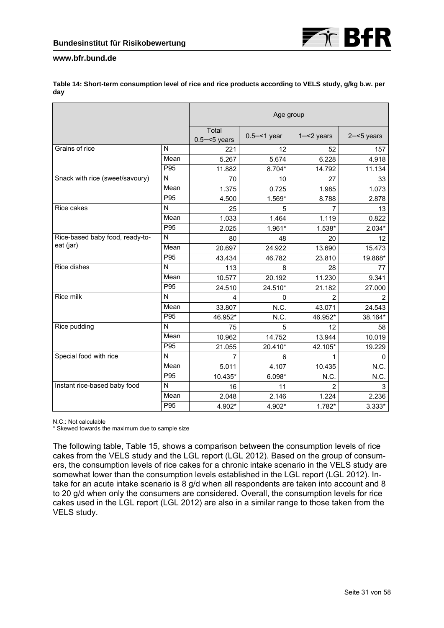|                                 |      | Age group                |                |                |               |  |
|---------------------------------|------|--------------------------|----------------|----------------|---------------|--|
|                                 |      | Total<br>$0.5 - 5$ years | $0.5 - 1$ year | $1 - 2$ years  | $2 - 5$ years |  |
| Grains of rice                  | N    | 221                      | 12             | 52             | 157           |  |
|                                 | Mean | 5.267                    | 5.674          | 6.228          | 4.918         |  |
|                                 | P95  | 11.882                   | 8.704*         | 14.792         | 11.134        |  |
| Snack with rice (sweet/savoury) | N    | 70                       | 10             | 27             | 33            |  |
|                                 | Mean | 1.375                    | 0.725          | 1.985          | 1.073         |  |
|                                 | P95  | 4.500                    | 1.569*         | 8.788          | 2.878         |  |
| Rice cakes                      | N    | 25                       | 5              | 7              | 13            |  |
|                                 | Mean | 1.033                    | 1.464          | 1.119          | 0.822         |  |
|                                 | P95  | 2.025                    | 1.961*         | 1.538*         | $2.034*$      |  |
| Rice-based baby food, ready-to- | N    | 80                       | 48             | 20             | 12            |  |
| eat (jar)                       | Mean | 20.697                   | 24.922         | 13.690         | 15.473        |  |
|                                 | P95  | 43.434                   | 46.782         | 23.810         | 19.868*       |  |
| Rice dishes                     | N    | 113                      | 8              | 28             | 77            |  |
|                                 | Mean | 10.577                   | 20.192         | 11.230         | 9.341         |  |
|                                 | P95  | 24.510                   | 24.510*        | 21.182         | 27.000        |  |
| Rice milk                       | N    | 4                        | 0              | $\overline{2}$ | 2             |  |
|                                 | Mean | 33.807                   | N.C.           | 43.071         | 24.543        |  |
|                                 | P95  | 46.952*                  | N.C.           | 46.952*        | 38.164*       |  |
| Rice pudding                    | N    | 75                       | 5              | 12             | 58            |  |
|                                 | Mean | 10.962                   | 14.752         | 13.944         | 10.019        |  |
|                                 | P95  | 21.055                   | 20.410*        | 42.105*        | 19.229        |  |
| Special food with rice          | N    | 7                        | 6              | 1              | 0             |  |
|                                 | Mean | 5.011                    | 4.107          | 10.435         | N.C.          |  |
|                                 | P95  | 10.435*                  | $6.098*$       | N.C.           | N.C.          |  |
| Instant rice-based baby food    | N    | 16                       | 11             | 2              | 3             |  |
|                                 | Mean | 2.048                    | 2.146          | 1.224          | 2.236         |  |
|                                 | P95  | 4.902*                   | 4.902*         | 1.782*         | $3.333*$      |  |

**Table 14: Short-term consumption level of rice and rice products according to VELS study, g/kg b.w. per day** 

N.C.: Not calculable

\* Skewed towards the maximum due to sample size

The following table, Table 15, shows a comparison between the consumption levels of rice cakes from the VELS study and the LGL report (LGL 2012). Based on the group of consumers, the consumption levels of rice cakes for a chronic intake scenario in the VELS study are somewhat lower than the consumption levels established in the LGL report (LGL 2012). Intake for an acute intake scenario is 8 g/d when all respondents are taken into account and 8 to 20 g/d when only the consumers are considered. Overall, the consumption levels for rice cakes used in the LGL report (LGL 2012) are also in a similar range to those taken from the VELS study.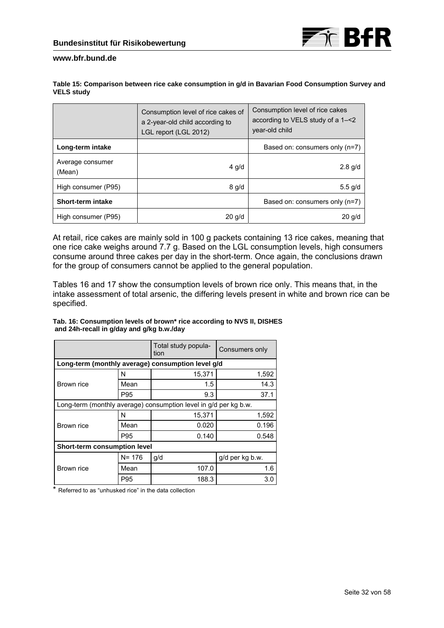| Table 15: Comparison between rice cake consumption in g/d in Bavarian Food Consumption Survey and |  |
|---------------------------------------------------------------------------------------------------|--|
| <b>VELS study</b>                                                                                 |  |

|                            | Consumption level of rice cakes of<br>a 2-year-old child according to<br>LGL report (LGL 2012) | Consumption level of rice cakes<br>according to VELS study of a 1-<2<br>vear-old child |
|----------------------------|------------------------------------------------------------------------------------------------|----------------------------------------------------------------------------------------|
| Long-term intake           |                                                                                                | Based on: consumers only (n=7)                                                         |
| Average consumer<br>(Mean) | $4$ g/d                                                                                        | $2.8$ g/d                                                                              |
| High consumer (P95)        | $8$ g/d                                                                                        | $5.5$ g/d                                                                              |
| Short-term intake          |                                                                                                | Based on: consumers only (n=7)                                                         |
| High consumer (P95)        | 20 q/d                                                                                         | $20$ g/d                                                                               |

At retail, rice cakes are mainly sold in 100 g packets containing 13 rice cakes, meaning that one rice cake weighs around 7.7 g. Based on the LGL consumption levels, high consumers consume around three cakes per day in the short-term. Once again, the conclusions drawn for the group of consumers cannot be applied to the general population.

Tables 16 and 17 show the consumption levels of brown rice only. This means that, in the intake assessment of total arsenic, the differing levels present in white and brown rice can be specified.

| Tab. 16: Consumption levels of brown* rice according to NVS II, DISHES |  |
|------------------------------------------------------------------------|--|
| and 24h-recall in g/day and g/kg b.w./day                              |  |

|                              |           | Total study popula-<br>tion                                      | Consumers only  |  |  |
|------------------------------|-----------|------------------------------------------------------------------|-----------------|--|--|
|                              |           | Long-term (monthly average) consumption level g/d                |                 |  |  |
|                              | N         | 15,371                                                           | 1,592           |  |  |
| Brown rice                   | Mean      | 1.5                                                              | 14.3            |  |  |
|                              | P95       | 9.3                                                              | 37.1            |  |  |
|                              |           | Long-term (monthly average) consumption level in g/d per kg b.w. |                 |  |  |
|                              | N         | 15,371                                                           | 1,592           |  |  |
| Brown rice                   | Mean      | 0.020                                                            | 0.196           |  |  |
|                              | P95       | 0.140                                                            | 0.548           |  |  |
| Short-term consumption level |           |                                                                  |                 |  |  |
|                              | $N = 176$ | g/d                                                              | g/d per kg b.w. |  |  |
| Brown rice                   | Mean      | 107.0                                                            | 1.6             |  |  |
|                              | P95       | 188.3                                                            | 3.0             |  |  |

\* Referred to as "unhusked rice" in the data collection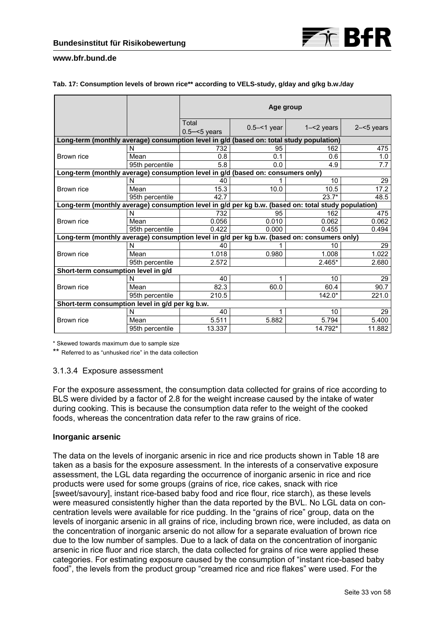

#### **Tab. 17: Consumption levels of brown rice\*\* according to VELS-study, g/day and g/kg b.w./day**

|                                                                                             |                                                                                                     | Age group                |                |               |               |  |  |
|---------------------------------------------------------------------------------------------|-----------------------------------------------------------------------------------------------------|--------------------------|----------------|---------------|---------------|--|--|
|                                                                                             |                                                                                                     | Total<br>$0.5 - 5$ vears | $0.5 - 1$ year | $1 - 2$ years | $2 - 5$ years |  |  |
| Long-term (monthly average) consumption level in g/d (based on: total study population)     |                                                                                                     |                          |                |               |               |  |  |
|                                                                                             | N                                                                                                   | 732                      | 95             | 162           | 475           |  |  |
| Brown rice                                                                                  | Mean                                                                                                | 0.8                      | 0.1            | 0.6           | 1.0           |  |  |
|                                                                                             | 95th percentile                                                                                     | 5.8                      | 0.0            | 4.9           | 7.7           |  |  |
| Long-term (monthly average) consumption level in g/d (based on: consumers only)             |                                                                                                     |                          |                |               |               |  |  |
|                                                                                             | N                                                                                                   | 40                       |                | 10            | 29            |  |  |
| Brown rice                                                                                  | Mean                                                                                                | 15.3                     | 10.0           | 10.5          | 17.2          |  |  |
|                                                                                             | 95th percentile                                                                                     | 42.7                     |                | $23.7*$       | 48.5          |  |  |
|                                                                                             | Long-term (monthly average) consumption level in g/d per kg b.w. (based on: total study population) |                          |                |               |               |  |  |
|                                                                                             | N                                                                                                   | 732                      | 95             | 162           | 475           |  |  |
| Brown rice                                                                                  | Mean                                                                                                | 0.056                    | 0.010          | 0.062         | 0.062         |  |  |
|                                                                                             | 95th percentile                                                                                     | 0.422                    | 0.000          | 0.455         | 0.494         |  |  |
| Long-term (monthly average) consumption level in g/d per kg b.w. (based on: consumers only) |                                                                                                     |                          |                |               |               |  |  |
|                                                                                             | N                                                                                                   | 40                       |                | 10            | 29            |  |  |
| Brown rice                                                                                  | Mean                                                                                                | 1.018                    | 0.980          | 1.008         | 1.022         |  |  |
|                                                                                             | 95th percentile                                                                                     | 2.572                    |                | $2.465*$      | 2.680         |  |  |
| Short-term consumption level in g/d                                                         |                                                                                                     |                          |                |               |               |  |  |
|                                                                                             | N                                                                                                   | 40                       | 1              | 10            | 29            |  |  |
| Brown rice                                                                                  | Mean                                                                                                | 82.3                     | 60.0           | 60.4          | 90.7          |  |  |
|                                                                                             | 95th percentile                                                                                     | 210.5                    |                | $142.0*$      | 221.0         |  |  |
|                                                                                             | Short-term consumption level in g/d per kg b.w.                                                     |                          |                |               |               |  |  |
|                                                                                             | N                                                                                                   | 40                       | 1              | 10            | 29            |  |  |
| Brown rice                                                                                  | Mean                                                                                                | 5.511                    | 5.882          | 5.794         | 5.400         |  |  |
|                                                                                             | 95th percentile                                                                                     | 13.337                   |                | 14.792*       | 11.882        |  |  |

\* Skewed towards maximum due to sample size

\*\* Referred to as "unhusked rice" in the data collection

# 3.1.3.4 Exposure assessment

For the exposure assessment, the consumption data collected for grains of rice according to BLS were divided by a factor of 2.8 for the weight increase caused by the intake of water during cooking. This is because the consumption data refer to the weight of the cooked foods, whereas the concentration data refer to the raw grains of rice.

# **Inorganic arsenic**

The data on the levels of inorganic arsenic in rice and rice products shown in Table 18 are taken as a basis for the exposure assessment. In the interests of a conservative exposure assessment, the LGL data regarding the occurrence of inorganic arsenic in rice and rice products were used for some groups (grains of rice, rice cakes, snack with rice [sweet/savoury], instant rice-based baby food and rice flour, rice starch), as these levels were measured consistently higher than the data reported by the BVL. No LGL data on concentration levels were available for rice pudding. In the "grains of rice" group, data on the levels of inorganic arsenic in all grains of rice, including brown rice, were included, as data on the concentration of inorganic arsenic do not allow for a separate evaluation of brown rice due to the low number of samples. Due to a lack of data on the concentration of inorganic arsenic in rice fluor and rice starch, the data collected for grains of rice were applied these categories. For estimating exposure caused by the consumption of "instant rice-based baby food", the levels from the product group "creamed rice and rice flakes" were used. For the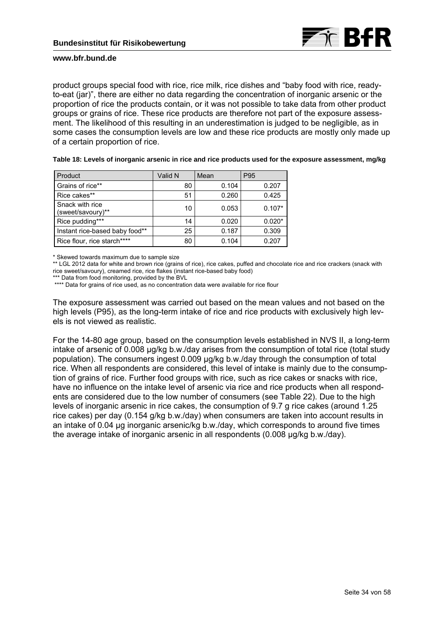

product groups special food with rice, rice milk, rice dishes and "baby food with rice, readyto-eat (jar)", there are either no data regarding the concentration of inorganic arsenic or the proportion of rice the products contain, or it was not possible to take data from other product groups or grains of rice. These rice products are therefore not part of the exposure assessment. The likelihood of this resulting in an underestimation is judged to be negligible, as in some cases the consumption levels are low and these rice products are mostly only made up of a certain proportion of rice.

**Table 18: Levels of inorganic arsenic in rice and rice products used for the exposure assessment, mg/kg** 

| Product                              | Valid N | Mean  | P95      |
|--------------------------------------|---------|-------|----------|
| Grains of rice**                     | 80      | 0.104 | 0.207    |
| Rice cakes**                         | 51      | 0.260 | 0.425    |
| Snack with rice<br>(sweet/savoury)** | 10      | 0.053 | $0.107*$ |
| Rice pudding***                      | 14      | 0.020 | $0.020*$ |
| Instant rice-based baby food**       | 25      | 0.187 | 0.309    |
| Rice flour, rice starch****          | 80      | 0.104 | 0.207    |

\* Skewed towards maximum due to sample size

\*\* LGL 2012 data for white and brown rice (grains of rice), rice cakes, puffed and chocolate rice and rice crackers (snack with rice sweet/savoury), creamed rice, rice flakes (instant rice-based baby food)

\*\*\* Data from food monitoring, provided by the BVL

\*\*\*\* Data for grains of rice used, as no concentration data were available for rice flour

The exposure assessment was carried out based on the mean values and not based on the high levels (P95), as the long-term intake of rice and rice products with exclusively high levels is not viewed as realistic.

For the 14-80 age group, based on the consumption levels established in NVS II, a long-term intake of arsenic of 0.008 ug/kg b.w./day arises from the consumption of total rice (total study population). The consumers ingest 0.009 µg/kg b.w./day through the consumption of total rice. When all respondents are considered, this level of intake is mainly due to the consumption of grains of rice. Further food groups with rice, such as rice cakes or snacks with rice, have no influence on the intake level of arsenic via rice and rice products when all respondents are considered due to the low number of consumers (see Table 22). Due to the high levels of inorganic arsenic in rice cakes, the consumption of 9.7 g rice cakes (around 1.25 rice cakes) per day (0.154 g/kg b.w./day) when consumers are taken into account results in an intake of 0.04 µg inorganic arsenic/kg b.w./day, which corresponds to around five times the average intake of inorganic arsenic in all respondents (0.008 µg/kg b.w./day).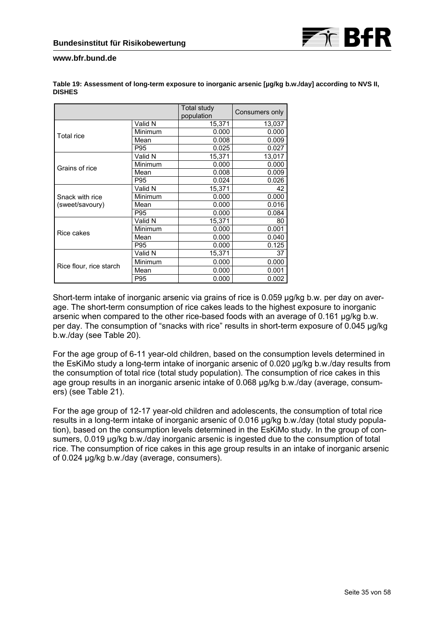

|                         |         | Total study<br>population | Consumers only |
|-------------------------|---------|---------------------------|----------------|
|                         | Valid N | 15,371                    | 13,037         |
| <b>Total rice</b>       | Minimum | 0.000                     | 0.000          |
|                         | Mean    | 0.008                     | 0.009          |
|                         | P95     | 0.025                     | 0.027          |
|                         | Valid N | 15,371                    | 13,017         |
| Grains of rice          | Minimum | 0.000                     | 0.000          |
|                         | Mean    | 0.008                     | 0.009          |
|                         | P95     | 0.024                     | 0.026          |
|                         | Valid N | 15,371                    | 42             |
| Snack with rice         | Minimum | 0.000                     | 0.000          |
| (sweet/savoury)         | Mean    | 0.000                     | 0.016          |
|                         | P95     | 0.000                     | 0.084          |
|                         | Valid N | 15,371                    | 80             |
| Rice cakes              | Minimum | 0.000                     | 0.001          |
|                         | Mean    | 0.000                     | 0.040          |
|                         | P95     | 0.000                     | 0.125          |
|                         | Valid N | 15,371                    | 37             |
|                         | Minimum | 0.000                     | 0.000          |
| Rice flour, rice starch | Mean    | 0.000                     | 0.001          |
|                         | P95     | 0.000                     | 0.002          |

**Table 19: Assessment of long-term exposure to inorganic arsenic [µg/kg b.w./day] according to NVS II, DISHES** 

Short-term intake of inorganic arsenic via grains of rice is 0.059  $\mu$ g/kg b.w. per day on average. The short-term consumption of rice cakes leads to the highest exposure to inorganic arsenic when compared to the other rice-based foods with an average of 0.161 µg/kg b.w. per day. The consumption of "snacks with rice" results in short-term exposure of 0.045 µg/kg b.w./day (see Table 20).

For the age group of 6-11 year-old children, based on the consumption levels determined in the EsKiMo study a long-term intake of inorganic arsenic of 0.020 µg/kg b.w./day results from the consumption of total rice (total study population). The consumption of rice cakes in this age group results in an inorganic arsenic intake of 0.068 µg/kg b.w./day (average, consumers) (see Table 21).

For the age group of 12-17 year-old children and adolescents, the consumption of total rice results in a long-term intake of inorganic arsenic of 0.016 µg/kg b.w./day (total study population), based on the consumption levels determined in the EsKiMo study. In the group of consumers, 0.019 µg/kg b.w./day inorganic arsenic is ingested due to the consumption of total rice. The consumption of rice cakes in this age group results in an intake of inorganic arsenic of 0.024 µg/kg b.w./day (average, consumers).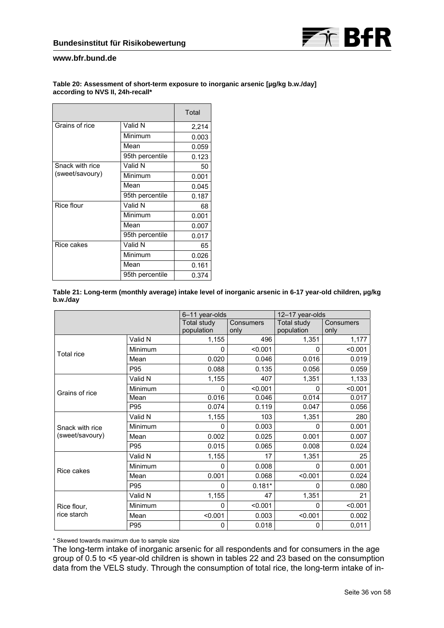

#### **Table 20: Assessment of short-term exposure to inorganic arsenic [µg/kg b.w./day] according to NVS II, 24h-recall\***

|                 |                 | Total |
|-----------------|-----------------|-------|
| Grains of rice  | Valid N         | 2,214 |
|                 | Minimum         | 0.003 |
|                 | Mean            | 0.059 |
|                 | 95th percentile | 0.123 |
| Snack with rice | Valid N         | 50    |
| (sweet/savoury) | Minimum         | 0.001 |
|                 | Mean            | 0.045 |
|                 | 95th percentile | 0.187 |
| Rice flour      | Valid N         | 68    |
|                 | Minimum         | 0.001 |
|                 | Mean            | 0.007 |
|                 | 95th percentile | 0.017 |
| Rice cakes      | Valid N         | 65    |
|                 | Minimum         | 0.026 |
|                 | Mean            | 0.161 |
|                 | 95th percentile | 0.374 |

| Table 21: Long-term (monthly average) intake level of inorganic arsenic in 6-17 year-old children, µg/kg |  |  |
|----------------------------------------------------------------------------------------------------------|--|--|
| b.w./dav                                                                                                 |  |  |

|                            |         | 6-11 year-olds            |                   | 12-17 year-olds           |                   |  |
|----------------------------|---------|---------------------------|-------------------|---------------------------|-------------------|--|
|                            |         | Total study<br>population | Consumers<br>only | Total study<br>population | Consumers<br>only |  |
|                            | Valid N | 1,155                     | 496               | 1,351                     | 1,177             |  |
| <b>Total rice</b>          | Minimum | 0                         | < 0.001           | $\Omega$                  | < 0.001           |  |
|                            | Mean    | 0.020                     | 0.046             | 0.016                     | 0.019             |  |
|                            | P95     | 0.088                     | 0.135             | 0.056                     | 0.059             |  |
|                            | Valid N | 1,155                     | 407               | 1,351                     | 1,133             |  |
| Grains of rice             | Minimum | 0                         | < 0.001           | 0                         | < 0.001           |  |
|                            | Mean    | 0.016                     | 0.046             | 0.014                     | 0.017             |  |
|                            | P95     | 0.074                     | 0.119             | 0.047                     | 0.056             |  |
|                            | Valid N | 1,155                     | 103               | 1,351                     | 280               |  |
| Snack with rice            | Minimum | 0                         | 0.003             | $\Omega$                  | 0.001             |  |
| (sweet/savoury)            | Mean    | 0.002                     | 0.025             | 0.001                     | 0.007             |  |
|                            | P95     | 0.015                     | 0.065             | 0.008                     | 0.024             |  |
|                            | Valid N | 1,155                     | 17                | 1,351                     | 25                |  |
| Rice cakes                 | Minimum | 0                         | 0.008             | 0                         | 0.001             |  |
|                            | Mean    | 0.001                     | 0.068             | < 0.001                   | 0.024             |  |
|                            | P95     | $\mathbf{0}$              | $0.181*$          | 0                         | 0.080             |  |
| Rice flour,<br>rice starch | Valid N | 1,155                     | 47                | 1,351                     | 21                |  |
|                            | Minimum | 0                         | < 0.001           | $\Omega$                  | < 0.001           |  |
|                            | Mean    | < 0.001                   | 0.003             | < 0.001                   | 0.002             |  |
|                            | P95     | 0                         | 0.018             | $\mathbf 0$               | 0,011             |  |

\* Skewed towards maximum due to sample size

The long-term intake of inorganic arsenic for all respondents and for consumers in the age group of 0.5 to <5 year-old children is shown in tables 22 and 23 based on the consumption data from the VELS study. Through the consumption of total rice, the long-term intake of in-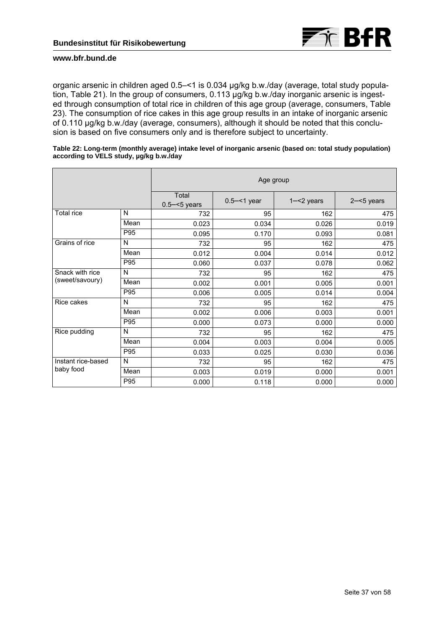

organic arsenic in children aged 0.5–<1 is 0.034 µg/kg b.w./day (average, total study population, Table 21). In the group of consumers, 0.113 µg/kg b.w./day inorganic arsenic is ingested through consumption of total rice in children of this age group (average, consumers, Table 23). The consumption of rice cakes in this age group results in an intake of inorganic arsenic of 0.110 µg/kg b.w./day (average, consumers), although it should be noted that this conclusion is based on five consumers only and is therefore subject to uncertainty.

| Table 22: Long-term (monthly average) intake level of inorganic arsenic (based on: total study population)<br>according to VELS study, µg/kg b.w./day |
|-------------------------------------------------------------------------------------------------------------------------------------------------------|
|                                                                                                                                                       |

|                    |      | Age group                |                |               |               |  |
|--------------------|------|--------------------------|----------------|---------------|---------------|--|
|                    |      | Total<br>$0.5 - 5$ years | $0.5 - 1$ year | $1 - 2$ years | $2 - 5$ years |  |
| <b>Total rice</b>  | N    | 732                      | 95             | 162           | 475           |  |
|                    | Mean | 0.023                    | 0.034          | 0.026         | 0.019         |  |
|                    | P95  | 0.095                    | 0.170          | 0.093         | 0.081         |  |
| Grains of rice     | N    | 732                      | 95             | 162           | 475           |  |
|                    | Mean | 0.012                    | 0.004          | 0.014         | 0.012         |  |
|                    | P95  | 0.060                    | 0.037          | 0.078         | 0.062         |  |
| Snack with rice    | N    | 732                      | 95             | 162           | 475           |  |
| (sweet/savoury)    | Mean | 0.002                    | 0.001          | 0.005         | 0.001         |  |
|                    | P95  | 0.006                    | 0.005          | 0.014         | 0.004         |  |
| Rice cakes         | N    | 732                      | 95             | 162           | 475           |  |
|                    | Mean | 0.002                    | 0.006          | 0.003         | 0.001         |  |
|                    | P95  | 0.000                    | 0.073          | 0.000         | 0.000         |  |
| Rice pudding       | N    | 732                      | 95             | 162           | 475           |  |
|                    | Mean | 0.004                    | 0.003          | 0.004         | 0.005         |  |
|                    | P95  | 0.033                    | 0.025          | 0.030         | 0.036         |  |
| Instant rice-based | N    | 732                      | 95             | 162           | 475           |  |
| baby food          | Mean | 0.003                    | 0.019          | 0.000         | 0.001         |  |
|                    | P95  | 0.000                    | 0.118          | 0.000         | 0.000         |  |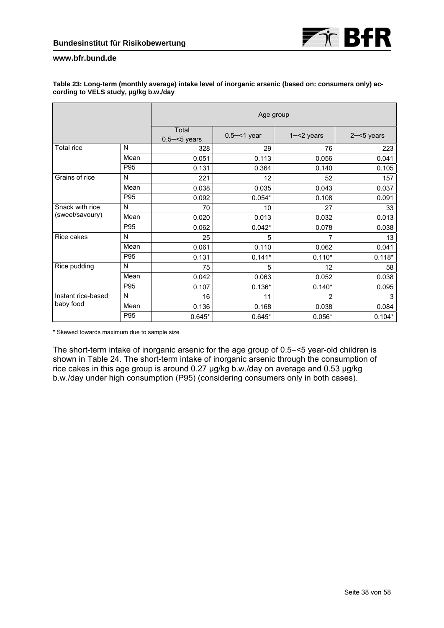

|                    |      | Age group                |                |               |               |  |
|--------------------|------|--------------------------|----------------|---------------|---------------|--|
|                    |      | Total<br>$0.5 - 5$ years | $0.5 - 1$ year | $1 - 2$ years | $2 - 5$ years |  |
| <b>Total rice</b>  | N    | 328                      | 29             | 76            | 223           |  |
|                    | Mean | 0.051                    | 0.113          | 0.056         | 0.041         |  |
|                    | P95  | 0.131                    | 0.364          | 0.140         | 0.105         |  |
| Grains of rice     | N    | 221                      | 12             | 52            | 157           |  |
|                    | Mean | 0.038                    | 0.035          | 0.043         | 0.037         |  |
|                    | P95  | 0.092                    | $0.054*$       | 0.108         | 0.091         |  |
| Snack with rice    | N    | 70                       | 10             | 27            | 33            |  |
| (sweet/savoury)    | Mean | 0.020                    | 0.013          | 0.032         | 0.013         |  |
|                    | P95  | 0.062                    | $0.042*$       | 0.078         | 0.038         |  |
| Rice cakes         | N    | 25                       | 5              | 7             | 13            |  |
|                    | Mean | 0.061                    | 0.110          | 0.062         | 0.041         |  |
|                    | P95  | 0.131                    | $0.141*$       | $0.110*$      | $0.118*$      |  |
| Rice pudding       | N    | 75                       | 5              | 12            | 58            |  |
|                    | Mean | 0.042                    | 0.063          | 0.052         | 0.038         |  |
|                    | P95  | 0.107                    | $0.136*$       | $0.140*$      | 0.095         |  |
| Instant rice-based | N    | 16                       | 11             | 2             | 3             |  |
| baby food          | Mean | 0.136                    | 0.168          | 0.038         | 0.084         |  |
|                    | P95  | $0.645*$                 | $0.645*$       | $0.056*$      | $0.104*$      |  |

#### **Table 23: Long-term (monthly average) intake level of inorganic arsenic (based on: consumers only) according to VELS study, µg/kg b.w./day**

\* Skewed towards maximum due to sample size

The short-term intake of inorganic arsenic for the age group of 0.5–<5 year-old children is shown in Table 24. The short-term intake of inorganic arsenic through the consumption of rice cakes in this age group is around 0.27 µg/kg b.w./day on average and 0.53 µg/kg b.w./day under high consumption (P95) (considering consumers only in both cases).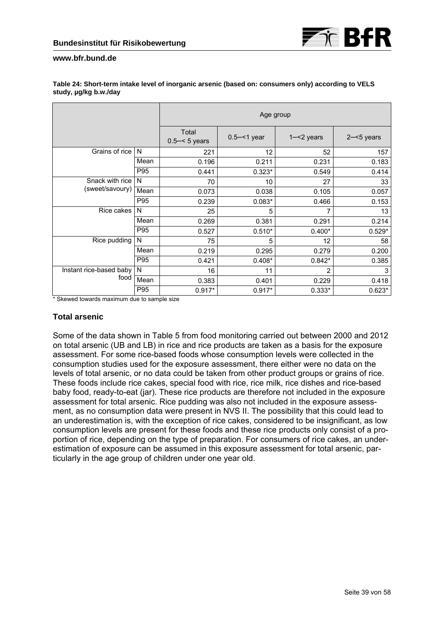|                         |      | Age group                |                |                |               |
|-------------------------|------|--------------------------|----------------|----------------|---------------|
|                         |      | Total<br>$0.5 - 5$ years | $0.5 - 1$ year | $1 - 2$ years  | $2 - 5$ years |
| Grains of rice          | N    | 221                      | 12             | 52             | 157           |
|                         | Mean | 0.196                    | 0.211          | 0.231          | 0.183         |
|                         | P95  | 0.441                    | $0.323*$       | 0.549          | 0.414         |
| Snack with rice         | N    | 70                       | 10             | 27             | 33            |
| (sweet/savoury)         | Mean | 0.073                    | 0.038          | 0.105          | 0.057         |
|                         | P95  | 0.239                    | $0.083*$       | 0.466          | 0.153         |
| Rice cakes              | N    | 25                       | 5              |                | 13            |
|                         | Mean | 0.269                    | 0.381          | 0.291          | 0.214         |
|                         | P95  | 0.527                    | $0.510*$       | $0.400*$       | $0.529*$      |
| Rice pudding            | N    | 75                       | 5              | 12             | 58            |
|                         | Mean | 0.219                    | 0.295          | 0.279          | 0.200         |
|                         | P95  | 0.421                    | $0.408*$       | $0.842*$       | 0.385         |
| Instant rice-based baby | N    | 16                       | 11             | $\overline{2}$ | 3             |
| food                    | Mean | 0.383                    | 0.401          | 0.229          | 0.418         |
|                         | P95  | $0.917*$                 | $0.917*$       | $0.333*$       | $0.623*$      |

#### **Table 24: Short-term intake level of inorganic arsenic (based on: consumers only) according to VELS study, µg/kg b.w./day**

\* Skewed towards maximum due to sample size

# **Total arsenic**

Some of the data shown in Table 5 from food monitoring carried out between 2000 and 2012 on total arsenic (UB and LB) in rice and rice products are taken as a basis for the exposure assessment. For some rice-based foods whose consumption levels were collected in the consumption studies used for the exposure assessment, there either were no data on the levels of total arsenic, or no data could be taken from other product groups or grains of rice. These foods include rice cakes, special food with rice, rice milk, rice dishes and rice-based baby food, ready-to-eat (jar). These rice products are therefore not included in the exposure assessment for total arsenic. Rice pudding was also not included in the exposure assessment, as no consumption data were present in NVS II. The possibility that this could lead to an underestimation is, with the exception of rice cakes, considered to be insignificant, as low consumption levels are present for these foods and these rice products only consist of a proportion of rice, depending on the type of preparation. For consumers of rice cakes, an underestimation of exposure can be assumed in this exposure assessment for total arsenic, particularly in the age group of children under one year old.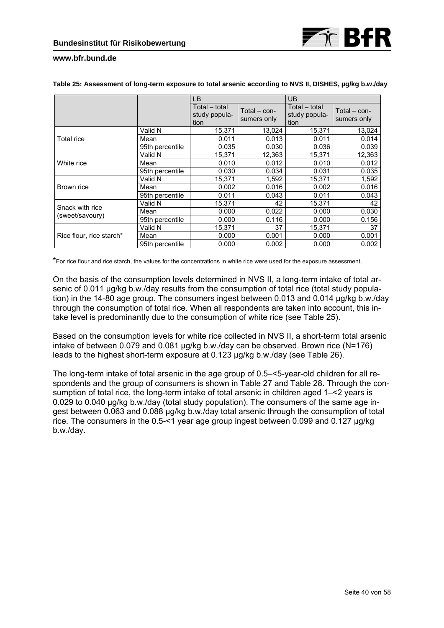

|                          |                 | LB.                                    |                             | <b>UB</b>                              |                             |
|--------------------------|-----------------|----------------------------------------|-----------------------------|----------------------------------------|-----------------------------|
|                          |                 | Total – total<br>study popula-<br>tion | Total - con-<br>sumers only | Total – total<br>study popula-<br>tion | Total - con-<br>sumers only |
|                          | Valid N         | 15.371                                 | 13,024                      | 15.371                                 | 13,024                      |
| Total rice               | Mean            | 0.011                                  | 0.013                       | 0.011                                  | 0.014                       |
|                          | 95th percentile | 0.035                                  | 0.030                       | 0.036                                  | 0.039                       |
|                          | Valid N         | 15,371                                 | 12,363                      | 15,371                                 | 12,363                      |
| White rice               | Mean            | 0.010                                  | 0.012                       | 0.010                                  | 0.012                       |
|                          | 95th percentile | 0.030                                  | 0.034                       | 0.031                                  | 0.035                       |
|                          | Valid N         | 15,371                                 | 1,592                       | 15,371                                 | 1,592                       |
| Brown rice               | Mean            | 0.002                                  | 0.016                       | 0.002                                  | 0.016                       |
|                          | 95th percentile | 0.011                                  | 0.043                       | 0.011                                  | 0.043                       |
| Snack with rice          | Valid N         | 15.371                                 | 42                          | 15.371                                 | 42                          |
| (sweet/savoury)          | Mean            | 0.000                                  | 0.022                       | 0.000                                  | 0.030                       |
|                          | 95th percentile | 0.000                                  | 0.116                       | 0.000                                  | 0.156                       |
| Rice flour, rice starch* | Valid N         | 15.371                                 | 37                          | 15,371                                 | 37                          |
|                          | Mean            | 0.000                                  | 0.001                       | 0.000                                  | 0.001                       |
|                          | 95th percentile | 0.000                                  | 0.002                       | 0.000                                  | 0.002                       |

#### Table 25: Assessment of long-term exposure to total arsenic according to NVS II, DISHES, µg/kg b.w./day

\*For rice flour and rice starch, the values for the concentrations in white rice were used for the exposure assessment.

On the basis of the consumption levels determined in NVS II, a long-term intake of total arsenic of 0.011 µg/kg b.w./day results from the consumption of total rice (total study population) in the 14-80 age group. The consumers ingest between 0.013 and 0.014 µg/kg b.w./day through the consumption of total rice. When all respondents are taken into account, this intake level is predominantly due to the consumption of white rice (see Table 25).

Based on the consumption levels for white rice collected in NVS II, a short-term total arsenic intake of between 0.079 and 0.081 µg/kg b.w./day can be observed. Brown rice (N=176) leads to the highest short-term exposure at 0.123 µg/kg b.w./day (see Table 26).

The long-term intake of total arsenic in the age group of 0.5–<5-year-old children for all respondents and the group of consumers is shown in Table 27 and Table 28. Through the consumption of total rice, the long-term intake of total arsenic in children aged 1–<2 years is 0.029 to 0.040 µg/kg b.w./day (total study population). The consumers of the same age ingest between 0.063 and 0.088 µg/kg b.w./day total arsenic through the consumption of total rice. The consumers in the 0.5-<1 year age group ingest between 0.099 and 0.127 ug/kg b.w./day.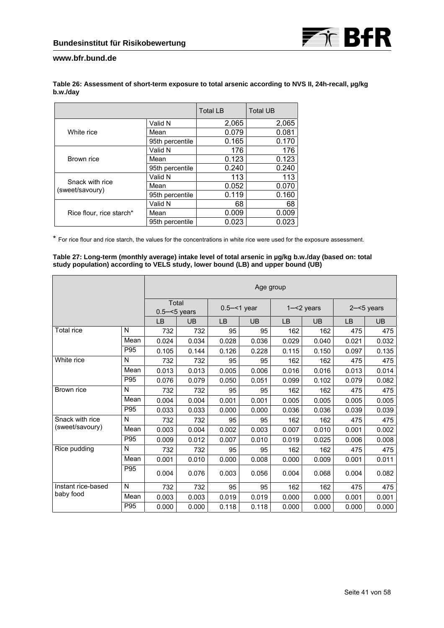

| Table 26: Assessment of short-term exposure to total arsenic according to NVS II, 24h-recall, µg/kg |  |
|-----------------------------------------------------------------------------------------------------|--|
| b.w./day                                                                                            |  |

|                                    |                 | <b>Total LB</b> | <b>Total UB</b> |
|------------------------------------|-----------------|-----------------|-----------------|
|                                    | Valid N         | 2,065           | 2,065           |
| White rice                         | Mean            | 0.079           | 0.081           |
|                                    | 95th percentile | 0.165           | 0.170           |
|                                    | Valid N         | 176             | 176             |
| Brown rice                         | Mean            | 0.123           | 0.123           |
|                                    | 95th percentile | 0.240           | 0.240           |
|                                    | Valid N         | 113             | 113             |
| Snack with rice<br>(sweet/savoury) | Mean            | 0.052           | 0.070           |
|                                    | 95th percentile | 0.119           | 0.160           |
| Rice flour, rice starch*           | Valid N         | 68              | 68              |
|                                    | Mean            | 0.009           | 0.009           |
|                                    | 95th percentile | 0.023           | 0.023           |

\* For rice flour and rice starch, the values for the concentrations in white rice were used for the exposure assessment.

#### **Table 27: Long-term (monthly average) intake level of total arsenic in µg/kg b.w./day (based on: total study population) according to VELS study, lower bound (LB) and upper bound (UB)**

|                    |      | Age group |                          |           |                |           |               |       |               |  |
|--------------------|------|-----------|--------------------------|-----------|----------------|-----------|---------------|-------|---------------|--|
|                    |      |           | Total<br>$0.5 - 5$ years |           | $0.5 - 1$ year |           | $1 - 2$ years |       | $2 - 5$ years |  |
|                    |      | <b>LB</b> | UB                       | <b>LB</b> | UB             | <b>LB</b> | <b>UB</b>     | LB    | UB            |  |
| Total rice         | N    | 732       | 732                      | 95        | 95             | 162       | 162           | 475   | 475           |  |
|                    | Mean | 0.024     | 0.034                    | 0.028     | 0.036          | 0.029     | 0.040         | 0.021 | 0.032         |  |
|                    | P95  | 0.105     | 0.144                    | 0.126     | 0.228          | 0.115     | 0.150         | 0.097 | 0.135         |  |
| White rice         | N    | 732       | 732                      | 95        | 95             | 162       | 162           | 475   | 475           |  |
|                    | Mean | 0.013     | 0.013                    | 0.005     | 0.006          | 0.016     | 0.016         | 0.013 | 0.014         |  |
|                    | P95  | 0.076     | 0.079                    | 0.050     | 0.051          | 0.099     | 0.102         | 0.079 | 0.082         |  |
| Brown rice         | N    | 732       | 732                      | 95        | 95             | 162       | 162           | 475   | 475           |  |
|                    | Mean | 0.004     | 0.004                    | 0.001     | 0.001          | 0.005     | 0.005         | 0.005 | 0.005         |  |
|                    | P95  | 0.033     | 0.033                    | 0.000     | 0.000          | 0.036     | 0.036         | 0.039 | 0.039         |  |
| Snack with rice    | N    | 732       | 732                      | 95        | 95             | 162       | 162           | 475   | 475           |  |
| (sweet/savoury)    | Mean | 0.003     | 0.004                    | 0.002     | 0.003          | 0.007     | 0.010         | 0.001 | 0.002         |  |
|                    | P95  | 0.009     | 0.012                    | 0.007     | 0.010          | 0.019     | 0.025         | 0.006 | 0.008         |  |
| Rice pudding       | N    | 732       | 732                      | 95        | 95             | 162       | 162           | 475   | 475           |  |
|                    | Mean | 0.001     | 0.010                    | 0.000     | 0.008          | 0.000     | 0.009         | 0.001 | 0.011         |  |
|                    | P95  | 0.004     | 0.076                    | 0.003     | 0.056          | 0.004     | 0.068         | 0.004 | 0.082         |  |
| Instant rice-based | N    | 732       | 732                      | 95        | 95             | 162       | 162           | 475   | 475           |  |
| baby food          | Mean | 0.003     | 0.003                    | 0.019     | 0.019          | 0.000     | 0.000         | 0.001 | 0.001         |  |
|                    | P95  | 0.000     | 0.000                    | 0.118     | 0.118          | 0.000     | 0.000         | 0.000 | 0.000         |  |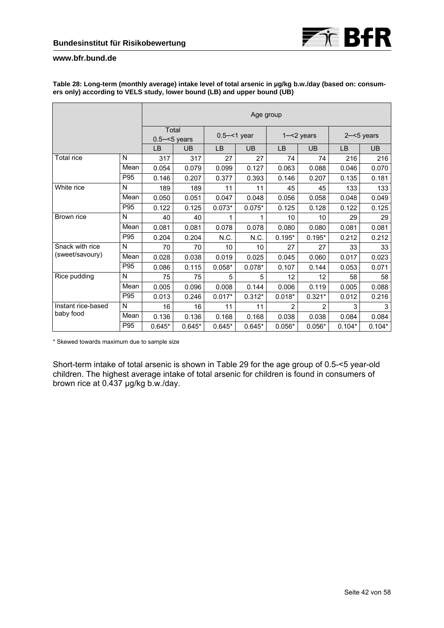|                    |      |                          |          | Age group      |           |               |          |               |           |
|--------------------|------|--------------------------|----------|----------------|-----------|---------------|----------|---------------|-----------|
|                    |      | Total<br>$0.5 - 5$ years |          | $0.5 - 1$ year |           | $1 - 2$ years |          | $2 - 5$ years |           |
|                    |      | LB                       | UB       | <b>LB</b>      | <b>UB</b> | <b>LB</b>     | UB       | <b>LB</b>     | <b>UB</b> |
| <b>Total rice</b>  | N    | 317                      | 317      | 27             | 27        | 74            | 74       | 216           | 216       |
|                    | Mean | 0.054                    | 0.079    | 0.099          | 0.127     | 0.063         | 0.088    | 0.046         | 0.070     |
|                    | P95  | 0.146                    | 0.207    | 0.377          | 0.393     | 0.146         | 0.207    | 0.135         | 0.181     |
| White rice         | N    | 189                      | 189      | 11             | 11        | 45            | 45       | 133           | 133       |
|                    | Mean | 0.050                    | 0.051    | 0.047          | 0.048     | 0.056         | 0.058    | 0.048         | 0.049     |
|                    | P95  | 0.122                    | 0.125    | $0.073*$       | $0.075*$  | 0.125         | 0.128    | 0.122         | 0.125     |
| Brown rice         | N    | 40                       | 40       | 1              | 1         | 10            | 10       | 29            | 29        |
|                    | Mean | 0.081                    | 0.081    | 0.078          | 0.078     | 0.080         | 0.080    | 0.081         | 0.081     |
|                    | P95  | 0.204                    | 0.204    | N.C.           | N.C.      | $0.195*$      | $0.195*$ | 0.212         | 0.212     |
| Snack with rice    | N    | 70                       | 70       | 10             | 10        | 27            | 27       | 33            | 33        |
| (sweet/savoury)    | Mean | 0.028                    | 0.038    | 0.019          | 0.025     | 0.045         | 0.060    | 0.017         | 0.023     |
|                    | P95  | 0.086                    | 0.115    | $0.058*$       | $0.078*$  | 0.107         | 0.144    | 0.053         | 0.071     |
| Rice pudding       | N    | 75                       | 75       | 5              | 5         | 12            | 12       | 58            | 58        |
|                    | Mean | 0.005                    | 0.096    | 0.008          | 0.144     | 0.006         | 0.119    | 0.005         | 0.088     |
|                    | P95  | 0.013                    | 0.246    | $0.017*$       | $0.312*$  | $0.018*$      | $0.321*$ | 0.012         | 0.216     |
| Instant rice-based | N    | 16                       | 16       | 11             | 11        | 2             | 2        | 3             | 3         |
| baby food          | Mean | 0.136                    | 0.136    | 0.168          | 0.168     | 0.038         | 0.038    | 0.084         | 0.084     |
|                    | P95  | $0.645*$                 | $0.645*$ | $0.645*$       | $0.645*$  | $0.056*$      | $0.056*$ | $0.104*$      | $0.104*$  |

**Table 28: Long-term (monthly average) intake level of total arsenic in µg/kg b.w./day (based on: consumers only) according to VELS study, lower bound (LB) and upper bound (UB)** 

\* Skewed towards maximum due to sample size

Short-term intake of total arsenic is shown in Table 29 for the age group of 0.5-<5 year-old children. The highest average intake of total arsenic for children is found in consumers of brown rice at 0.437 µg/kg b.w./day.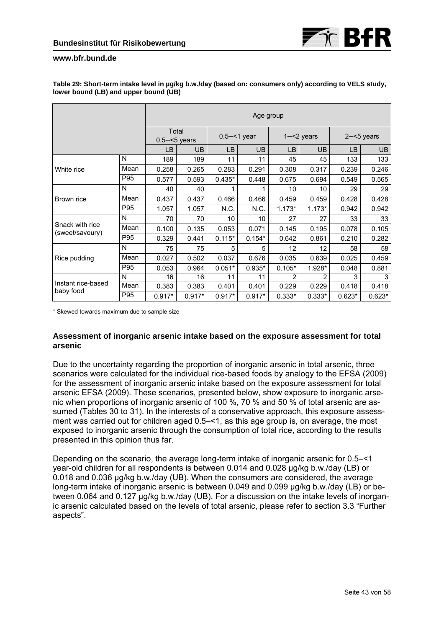

|                                    |      | Age group                |          |                |           |               |          |               |           |
|------------------------------------|------|--------------------------|----------|----------------|-----------|---------------|----------|---------------|-----------|
|                                    |      | Total<br>$0.5 - 5$ years |          | $0.5 - 1$ year |           | $1 - 2$ years |          | $2 - 5$ years |           |
|                                    |      | LB                       | UB.      | <b>LB</b>      | <b>UB</b> | LB            | UB       | LB            | <b>UB</b> |
|                                    | N    | 189                      | 189      | 11             | 11        | 45            | 45       | 133           | 133       |
| White rice                         | Mean | 0.258                    | 0.265    | 0.283          | 0.291     | 0.308         | 0.317    | 0.239         | 0.246     |
|                                    | P95  | 0.577                    | 0.593    | $0.435*$       | 0.448     | 0.675         | 0.694    | 0.549         | 0.565     |
|                                    | N    | 40                       | 40       |                | 1         | 10            | 10       | 29            | 29        |
| Brown rice                         | Mean | 0.437                    | 0.437    | 0.466          | 0.466     | 0.459         | 0.459    | 0.428         | 0.428     |
|                                    | P95  | 1.057                    | 1.057    | N.C.           | N.C.      | $1.173*$      | $1.173*$ | 0.942         | 0.942     |
|                                    | N    | 70                       | 70       | 10             | 10        | 27            | 27       | 33            | 33        |
| Snack with rice<br>(sweet/savoury) | Mean | 0.100                    | 0.135    | 0.053          | 0.071     | 0.145         | 0.195    | 0.078         | 0.105     |
|                                    | P95  | 0.329                    | 0.441    | $0.115*$       | $0.154*$  | 0.642         | 0.861    | 0.210         | 0.282     |
|                                    | N    | 75                       | 75       | 5              | 5         | 12            | 12       | 58            | 58        |
| Rice pudding                       | Mean | 0.027                    | 0.502    | 0.037          | 0.676     | 0.035         | 0.639    | 0.025         | 0.459     |
|                                    | P95  | 0.053                    | 0.964    | $0.051*$       | $0.935*$  | $0.105*$      | 1.928*   | 0.048         | 0.881     |
| Instant rice-based<br>baby food    | N    | 16                       | 16       | 11             | 11        | 2             | 2        | 3             | 3         |
|                                    | Mean | 0.383                    | 0.383    | 0.401          | 0.401     | 0.229         | 0.229    | 0.418         | 0.418     |
|                                    | P95  | $0.917*$                 | $0.917*$ | $0.917*$       | $0.917*$  | $0.333*$      | $0.333*$ | $0.623*$      | $0.623*$  |

### **Table 29: Short-term intake level in µg/kg b.w./day (based on: consumers only) according to VELS study, lower bound (LB) and upper bound (UB)**

\* Skewed towards maximum due to sample size

# **Assessment of inorganic arsenic intake based on the exposure assessment for total arsenic**

Due to the uncertainty regarding the proportion of inorganic arsenic in total arsenic, three scenarios were calculated for the individual rice-based foods by analogy to the EFSA (2009) for the assessment of inorganic arsenic intake based on the exposure assessment for total arsenic EFSA (2009). These scenarios, presented below, show exposure to inorganic arsenic when proportions of inorganic arsenic of 100 %, 70 % and 50 % of total arsenic are assumed (Tables 30 to 31). In the interests of a conservative approach, this exposure assessment was carried out for children aged 0.5–<1, as this age group is, on average, the most exposed to inorganic arsenic through the consumption of total rice, according to the results presented in this opinion thus far.

Depending on the scenario, the average long-term intake of inorganic arsenic for 0.5–<1 year-old children for all respondents is between 0.014 and 0.028 µg/kg b.w./day (LB) or 0.018 and 0.036 µg/kg b.w./day (UB). When the consumers are considered, the average long-term intake of inorganic arsenic is between 0.049 and 0.099 µg/kg b.w./day (LB) or between 0.064 and 0.127 µg/kg b.w./day (UB). For a discussion on the intake levels of inorganic arsenic calculated based on the levels of total arsenic, please refer to section 3.3 "Further aspects".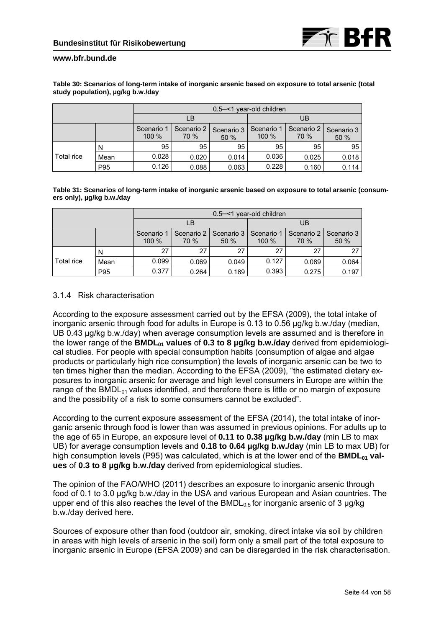

|            |      | 0.5–<1 year-old children |                                          |       |       |                    |                    |  |  |
|------------|------|--------------------------|------------------------------------------|-------|-------|--------------------|--------------------|--|--|
|            |      |                          | LB                                       |       | UB    |                    |                    |  |  |
|            |      | Scenario 1<br>$100 \%$   | Scenario 2<br>Scenario 3<br>70 %<br>50 % |       |       | Scenario 2<br>70 % | Scenario 3<br>50 % |  |  |
|            | N    | 95                       | 95                                       | 95    | 95    | 95                 | 95                 |  |  |
| Total rice | Mean | 0.028                    | 0.020                                    | 0.014 | 0.036 | 0.025              | 0.018              |  |  |
|            | P95  | 0.126                    | 0.088                                    | 0.063 | 0.228 | 0.160              | 0.114              |  |  |

#### **Table 30: Scenarios of long-term intake of inorganic arsenic based on exposure to total arsenic (total study population), µg/kg b.w./day**

**Table 31: Scenarios of long-term intake of inorganic arsenic based on exposure to total arsenic (consumers only), µg/kg b.w./day** 

|            |      | 0.5–<1 year-old children                                              |       |                       |                      |                    |       |  |
|------------|------|-----------------------------------------------------------------------|-------|-----------------------|----------------------|--------------------|-------|--|
|            |      |                                                                       | LB    |                       | UB                   |                    |       |  |
|            |      | Scenario 2 I<br>Scenario 1<br>Scenario 3  <br>$100 \%$<br>70 %<br>50% |       | Scenario 1<br>$100\%$ | Scenario 2  <br>70 % | Scenario 3<br>50 % |       |  |
|            | N    | 27                                                                    | 27    | 27                    | 27                   | 27                 | 27    |  |
| Total rice | Mean | 0.099                                                                 | 0.069 | 0.049                 | 0.127                | 0.089              | 0.064 |  |
|            | P95  | 0.377                                                                 | 0.264 | 0.189                 | 0.393                | 0.275              | 0.197 |  |

# 3.1.4 Risk characterisation

According to the exposure assessment carried out by the EFSA (2009), the total intake of inorganic arsenic through food for adults in Europe is 0.13 to 0.56 µg/kg b.w./day (median, UB 0.43 µg/kg b.w./day) when average consumption levels are assumed and is therefore in the lower range of the **BMDL<sub>01</sub> values** of **0.3 to 8 µg/kg b.w./day** derived from epidemiological studies. For people with special consumption habits (consumption of algae and algae products or particularly high rice consumption) the levels of inorganic arsenic can be two to ten times higher than the median. According to the EFSA (2009), "the estimated dietary exposures to inorganic arsenic for average and high level consumers in Europe are within the range of the BMDL $_{01}$  values identified, and therefore there is little or no margin of exposure and the possibility of a risk to some consumers cannot be excluded".

According to the current exposure assessment of the EFSA (2014), the total intake of inorganic arsenic through food is lower than was assumed in previous opinions. For adults up to the age of 65 in Europe, an exposure level of **0.11 to 0.38 µg/kg b.w./day** (min LB to max UB) for average consumption levels and **0.18 to 0.64 µg/kg b.w./day** (min LB to max UB) for high consumption levels (P95) was calculated, which is at the lower end of the **BMDL**<sub>01</sub> val**ues** of **0.3 to 8 µg/kg b.w./day** derived from epidemiological studies.

The opinion of the FAO/WHO (2011) describes an exposure to inorganic arsenic through food of 0.1 to 3.0 µg/kg b.w./day in the USA and various European and Asian countries. The upper end of this also reaches the level of the  $BMDL<sub>0.5</sub>$  for inorganic arsenic of 3  $\mu$ g/kg b.w./day derived here.

Sources of exposure other than food (outdoor air, smoking, direct intake via soil by children in areas with high levels of arsenic in the soil) form only a small part of the total exposure to inorganic arsenic in Europe (EFSA 2009) and can be disregarded in the risk characterisation.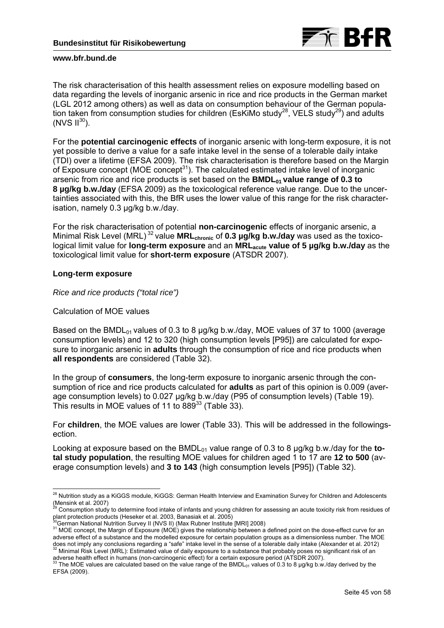

The risk characterisation of this health assessment relies on exposure modelling based on data regarding the levels of inorganic arsenic in rice and rice products in the German market (LGL 2012 among others) as well as data on consumption behaviour of the German population taken from consumption studies for children (EsKiMo study<sup>28</sup>, VELS study<sup>29</sup>) and adults  $(NVS \, \text{II}^{30})$ .

For the **potential carcinogenic effects** of inorganic arsenic with long-term exposure, it is not yet possible to derive a value for a safe intake level in the sense of a tolerable daily intake (TDI) over a lifetime (EFSA 2009). The risk characterisation is therefore based on the Margin of Exposure concept (MOE concept $31$ ). The calculated estimated intake level of inorganic arsenic from rice and rice products is set based on the **BMDL<sub>01</sub> value range of 0.3 to 8 µg/kg b.w./day** (EFSA 2009) as the toxicological reference value range. Due to the uncertainties associated with this, the BfR uses the lower value of this range for the risk characterisation, namely 0.3 µg/kg b.w./day.

For the risk characterisation of potential **non-carcinogenic** effects of inorganic arsenic, a Minimal Risk Level (MRL)<sup>32</sup> value **MRL**<sub>chronic</sub> of **0.3 µg/kg b.w./day** was used as the toxicological limit value for **long-term exposure** and an **MRLacute value of 5 µg/kg b.w./day** as the toxicological limit value for **short-term exposure** (ATSDR 2007).

# **Long-term exposure**

*Rice and rice products ("total rice")* 

# Calculation of MOE values

Based on the BMDL $_{01}$  values of 0.3 to 8 µg/kg b.w./day, MOE values of 37 to 1000 (average consumption levels) and 12 to 320 (high consumption levels [P95]) are calculated for exposure to inorganic arsenic in **adults** through the consumption of rice and rice products when **all respondents** are considered (Table 32).

In the group of **consumers**, the long-term exposure to inorganic arsenic through the consumption of rice and rice products calculated for **adults** as part of this opinion is 0.009 (average consumption levels) to 0.027 µg/kg b.w./day (P95 of consumption levels) (Table 19). This results in MOE values of 11 to 889<sup>33</sup> (Table 33).

For **children**, the MOE values are lower (Table 33). This will be addressed in the followingsection.

Looking at exposure based on the BMDL<sub>01</sub> value range of 0.3 to 8 ug/kg b.w./day for the **total study population**, the resulting MOE values for children aged 1 to 17 are **12 to 500** (average consumption levels) and **3 to 143** (high consumption levels [P95]) (Table 32).

<sup>-</sup><sup>28</sup> Nutrition study as a KiGGS module, KiGGS: German Health Interview and Examination Survey for Children and Adolescents

<sup>(</sup>Mensink et al. 2007)<br><sup>29</sup> Consumption study to determine food intake of infants and young children for assessing an acute toxicity risk from residues of

plant protection products (Heseker et al. 2003, Banasiak et al. 2005)<br><sup>30</sup>German National Nutrition Survey II (NVS II) (Max Rubner Institute [MRI] 2008)<br><sup>31</sup> MOE concept, the Margin of Exposure (MOE) gives the relationship adverse effect of a substance and the modelled exposure for certain population groups as a dimensionless number. The MOE does not imply any conclusions regarding a "safe" intake level in the sense of a tolerable daily intake (Alexander et al. 2012)<br><sup>32</sup> Minimal Risk Level (MRL): Estimated value of daily exposure to a substance that probably

adverse health effect in humans (non-carcinogenic effect) for a certain exposure period (ATSDR 2007).<br><sup>33</sup> The MOE values are calculated based on the value range of the BMDL<sub>01</sub> values of 0.3 to 8 µg/kg b.w./day derived b EFSA (2009).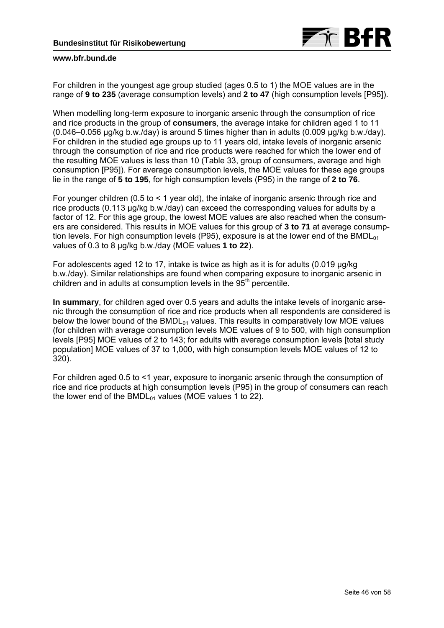

For children in the youngest age group studied (ages 0.5 to 1) the MOE values are in the range of **9 to 235** (average consumption levels) and **2 to 47** (high consumption levels [P95]).

When modelling long-term exposure to inorganic arsenic through the consumption of rice and rice products in the group of **consumers**, the average intake for children aged 1 to 11 (0.046–0.056 µg/kg b.w./day) is around 5 times higher than in adults (0.009 µg/kg b.w./day). For children in the studied age groups up to 11 years old, intake levels of inorganic arsenic through the consumption of rice and rice products were reached for which the lower end of the resulting MOE values is less than 10 (Table 33, group of consumers, average and high consumption [P95]). For average consumption levels, the MOE values for these age groups lie in the range of **5 to 195**, for high consumption levels (P95) in the range of **2 to 76**.

For younger children (0.5 to < 1 year old), the intake of inorganic arsenic through rice and rice products (0.113 µg/kg b.w./day) can exceed the corresponding values for adults by a factor of 12. For this age group, the lowest MOE values are also reached when the consumers are considered. This results in MOE values for this group of **3 to 71** at average consumption levels. For high consumption levels (P95), exposure is at the lower end of the BMDL $_{01}$ values of 0.3 to 8 µg/kg b.w./day (MOE values **1 to 22**).

For adolescents aged 12 to 17, intake is twice as high as it is for adults (0.019 µg/kg b.w./day). Similar relationships are found when comparing exposure to inorganic arsenic in children and in adults at consumption levels in the  $95<sup>th</sup>$  percentile.

**In summary**, for children aged over 0.5 years and adults the intake levels of inorganic arsenic through the consumption of rice and rice products when all respondents are considered is below the lower bound of the  $BMDL_{01}$  values. This results in comparatively low MOE values (for children with average consumption levels MOE values of 9 to 500, with high consumption levels [P95] MOE values of 2 to 143; for adults with average consumption levels [total study population] MOE values of 37 to 1,000, with high consumption levels MOE values of 12 to 320).

For children aged 0.5 to <1 year, exposure to inorganic arsenic through the consumption of rice and rice products at high consumption levels (P95) in the group of consumers can reach the lower end of the BMDL $_{01}$  values (MOE values 1 to 22).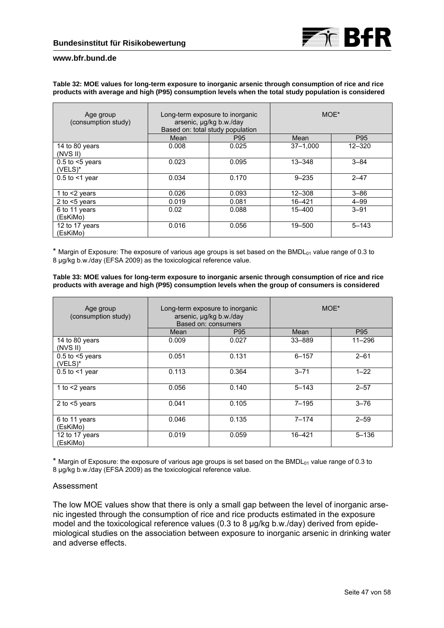#### **Table 32: MOE values for long-term exposure to inorganic arsenic through consumption of rice and rice products with average and high (P95) consumption levels when the total study population is considered**

| Age group<br>(consumption study)     |       | Long-term exposure to inorganic<br>arsenic, µg/kg b.w./day<br>Based on: total study population | MOE*         |            |  |
|--------------------------------------|-------|------------------------------------------------------------------------------------------------|--------------|------------|--|
|                                      | Mean  | P <sub>95</sub>                                                                                | Mean         | P95        |  |
| 14 to 80 years<br>(NVS II)           | 0.008 | 0.025                                                                                          | $37 - 1,000$ | $12 - 320$ |  |
| $0.5$ to $\leq 5$ years<br>$(VELS)*$ | 0.023 | 0.095                                                                                          | $13 - 348$   | $3 - 84$   |  |
| $0.5$ to $\leq$ 1 year               | 0.034 | 0.170                                                                                          | $9 - 235$    | $2 - 47$   |  |
| 1 to $<$ 2 years                     | 0.026 | 0.093                                                                                          | $12 - 308$   | $3 - 86$   |  |
| 2 to $<$ 5 years                     | 0.019 | 0.081                                                                                          | $16 - 421$   | $4 - 99$   |  |
| 6 to 11 years<br>(EsKiMo)            | 0.02  | 0.088                                                                                          | 15-400       | $3 - 91$   |  |
| 12 to 17 years<br>(EsKiMo)           | 0.016 | 0.056                                                                                          | 19-500       | $5 - 143$  |  |

\* Margin of Exposure: The exposure of various age groups is set based on the BMDL $<sub>01</sub>$  value range of 0.3 to</sub> 8 µg/kg b.w./day (EFSA 2009) as the toxicological reference value.

**Table 33: MOE values for long-term exposure to inorganic arsenic through consumption of rice and rice products with average and high (P95) consumption levels when the group of consumers is considered** 

| Age group<br>(consumption study)     |       | Long-term exposure to inorganic<br>arsenic, µg/kg b.w./day<br>Based on: consumers | MOE*      |            |  |
|--------------------------------------|-------|-----------------------------------------------------------------------------------|-----------|------------|--|
|                                      | Mean  | P <sub>95</sub>                                                                   | Mean      | P95        |  |
| 14 to 80 years<br>(NVS II)           | 0.009 | 0.027                                                                             | 33-889    | $11 - 296$ |  |
| $0.5$ to $\leq 5$ years<br>$(VELS)*$ | 0.051 | 0.131                                                                             | $6 - 157$ | $2 - 61$   |  |
| $0.5$ to $\leq 1$ year               | 0.113 | 0.364                                                                             | $3 - 71$  | $1 - 22$   |  |
| 1 to $<$ 2 years                     | 0.056 | 0.140                                                                             | $5 - 143$ | $2 - 57$   |  |
| 2 to $<$ 5 years                     | 0.041 | 0.105                                                                             | 7–195     | $3 - 76$   |  |
| 6 to 11 years<br>(EsKiMo)            | 0.046 | 0.135                                                                             | $7 - 174$ | $2 - 59$   |  |
| 12 to 17 years<br>(EsKiMo)           | 0.019 | 0.059                                                                             | 16-421    | $5 - 136$  |  |

 $*$  Margin of Exposure: the exposure of various age groups is set based on the BMDL $_{01}$  value range of 0.3 to 8 ug/kg b.w./day (EFSA 2009) as the toxicological reference value.

### Assessment

The low MOE values show that there is only a small gap between the level of inorganic arsenic ingested through the consumption of rice and rice products estimated in the exposure model and the toxicological reference values (0.3 to 8 µg/kg b.w./day) derived from epidemiological studies on the association between exposure to inorganic arsenic in drinking water and adverse effects.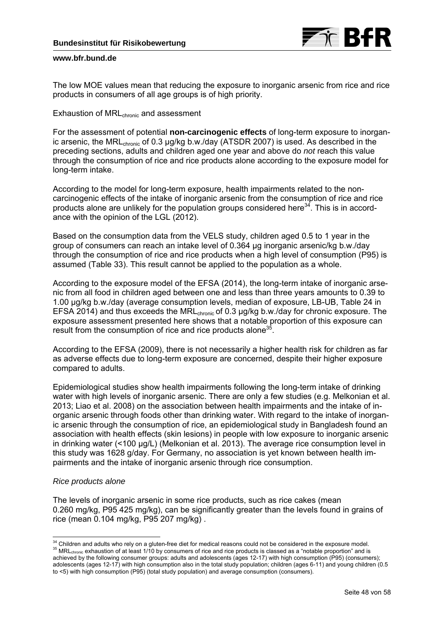

The low MOE values mean that reducing the exposure to inorganic arsenic from rice and rice products in consumers of all age groups is of high priority.

### Exhaustion of MRL<sub>chronic</sub> and assessment

For the assessment of potential **non-carcinogenic effects** of long-term exposure to inorganic arsenic, the MRL<sub>chronic</sub> of 0.3 µg/kg b.w./day (ATSDR 2007) is used. As described in the preceding sections, adults and children aged one year and above do *not* reach this value through the consumption of rice and rice products alone according to the exposure model for long-term intake.

According to the model for long-term exposure, health impairments related to the noncarcinogenic effects of the intake of inorganic arsenic from the consumption of rice and rice products alone are unlikely for the population groups considered here $34$ . This is in accordance with the opinion of the LGL (2012).

Based on the consumption data from the VELS study, children aged 0.5 to 1 year in the group of consumers can reach an intake level of 0.364 µg inorganic arsenic/kg b.w./day through the consumption of rice and rice products when a high level of consumption (P95) is assumed (Table 33). This result cannot be applied to the population as a whole.

According to the exposure model of the EFSA (2014), the long-term intake of inorganic arsenic from all food in children aged between one and less than three years amounts to 0.39 to 1.00 µg/kg b.w./day (average consumption levels, median of exposure, LB-UB, Table 24 in EFSA 2014) and thus exceeds the MRLchronic of 0.3 µg/kg b.w./day for chronic exposure. The exposure assessment presented here shows that a notable proportion of this exposure can result from the consumption of rice and rice products alone<sup>3</sup>

According to the EFSA (2009), there is not necessarily a higher health risk for children as far as adverse effects due to long-term exposure are concerned, despite their higher exposure compared to adults.

Epidemiological studies show health impairments following the long-term intake of drinking water with high levels of inorganic arsenic. There are only a few studies (e.g. Melkonian et al. 2013; Liao et al. 2008) on the association between health impairments and the intake of inorganic arsenic through foods other than drinking water. With regard to the intake of inorganic arsenic through the consumption of rice, an epidemiological study in Bangladesh found an association with health effects (skin lesions) in people with low exposure to inorganic arsenic in drinking water (<100 µg/L) (Melkonian et al. 2013). The average rice consumption level in this study was 1628 g/day. For Germany, no association is yet known between health impairments and the intake of inorganic arsenic through rice consumption.

# *Rice products alone*

The levels of inorganic arsenic in some rice products, such as rice cakes (mean 0.260 mg/kg, P95 425 mg/kg), can be significantly greater than the levels found in grains of rice (mean 0.104 mg/kg, P95 207 mg/kg) .

<sup>&</sup>lt;sup>34</sup> Children and adults who rely on a gluten-free diet for medical reasons could not be considered in the exposure model.  $35$  MRL<sub>chronic</sub> exhaustion of at least  $1/10$  by consumers of rice and rice products is classed as a "notable proportion" and is achieved by the following consumer groups: adults and adolescents (ages 12-17) with high consumption (P95) (consumers); adolescents (ages 12-17) with high consumption also in the total study population; children (ages 6-11) and young children (0.5 to <5) with high consumption (P95) (total study population) and average consumption (consumers).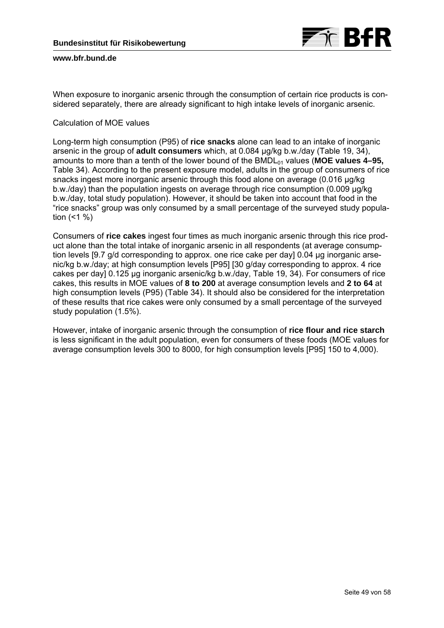

When exposure to inorganic arsenic through the consumption of certain rice products is considered separately, there are already significant to high intake levels of inorganic arsenic.

# Calculation of MOE values

Long-term high consumption (P95) of **rice snacks** alone can lead to an intake of inorganic arsenic in the group of **adult consumers** which, at 0.084 µg/kg b.w./day (Table 19, 34), amounts to more than a tenth of the lower bound of the BMDL<sub>01</sub> values (MOE values 4–95, Table 34). According to the present exposure model, adults in the group of consumers of rice snacks ingest more inorganic arsenic through this food alone on average (0.016 µg/kg b.w./day) than the population ingests on average through rice consumption (0.009 µg/kg b.w./day, total study population). However, it should be taken into account that food in the "rice snacks" group was only consumed by a small percentage of the surveyed study population  $($  < 1  $%$ )

Consumers of **rice cakes** ingest four times as much inorganic arsenic through this rice product alone than the total intake of inorganic arsenic in all respondents (at average consumption levels [9.7 g/d corresponding to approx. one rice cake per day] 0.04 µg inorganic arsenic/kg b.w./day; at high consumption levels [P95] [30 g/day corresponding to approx. 4 rice cakes per day] 0.125 µg inorganic arsenic/kg b.w./day, Table 19, 34). For consumers of rice cakes, this results in MOE values of **8 to 200** at average consumption levels and **2 to 64** at high consumption levels (P95) (Table 34). It should also be considered for the interpretation of these results that rice cakes were only consumed by a small percentage of the surveyed study population (1.5%).

However, intake of inorganic arsenic through the consumption of **rice flour and rice starch**  is less significant in the adult population, even for consumers of these foods (MOE values for average consumption levels 300 to 8000, for high consumption levels [P95] 150 to 4,000).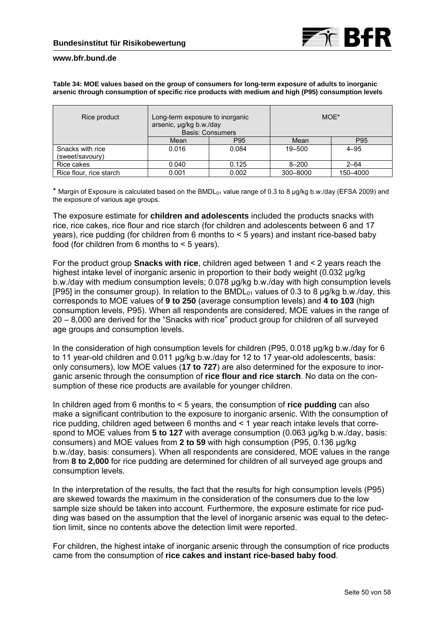

**Table 34: MOE values based on the group of consumers for long-term exposure of adults to inorganic arsenic through consumption of specific rice products with medium and high (P95) consumption levels** 

| Rice product                        | Long-term exposure to inorganic<br>arsenic, µg/kg b.w./day<br><b>Basis: Consumers</b> |                 | MOE*      |          |  |
|-------------------------------------|---------------------------------------------------------------------------------------|-----------------|-----------|----------|--|
|                                     | Mean                                                                                  | P <sub>95</sub> | Mean      | P95      |  |
| Snacks with rice<br>(sweet/savoury) | 0.016                                                                                 | 0.084           | 19-500    | $4 - 95$ |  |
| Rice cakes                          | 0.040                                                                                 | 0.125           | $8 - 200$ | $2 - 64$ |  |
| Rice flour, rice starch             | 0.001                                                                                 | 0.002           | 300-8000  | 150-4000 |  |

\* Margin of Exposure is calculated based on the BMDL $_{01}$  value range of 0.3 to 8 µg/kg b.w./day (EFSA 2009) and the exposure of various age groups.

The exposure estimate for **children and adolescents** included the products snacks with rice, rice cakes, rice flour and rice starch (for children and adolescents between 6 and 17 years), rice pudding (for children from 6 months to < 5 years) and instant rice-based baby food (for children from 6 months to < 5 years).

For the product group **Snacks with rice**, children aged between 1 and < 2 years reach the highest intake level of inorganic arsenic in proportion to their body weight (0.032 µg/kg b.w./day with medium consumption levels; 0.078 µg/kg b.w./day with high consumption levels [P95] in the consumer group). In relation to the BMDL $_{01}$  values of 0.3 to 8 ug/kg b.w./day, this corresponds to MOE values of **9 to 250** (average consumption levels) and **4 to 103** (high consumption levels, P95). When all respondents are considered, MOE values in the range of 20 – 8,000 are derived for the "Snacks with rice" product group for children of all surveyed age groups and consumption levels.

In the consideration of high consumption levels for children (P95, 0.018 µg/kg b.w./day for 6 to 11 year-old children and 0.011 µg/kg b.w./day for 12 to 17 year-old adolescents, basis: only consumers), low MOE values (**17 to 727**) are also determined for the exposure to inorganic arsenic through the consumption of **rice flour and rice starch**. No data on the consumption of these rice products are available for younger children.

In children aged from 6 months to < 5 years, the consumption of **rice pudding** can also make a significant contribution to the exposure to inorganic arsenic. With the consumption of rice pudding, children aged between 6 months and < 1 year reach intake levels that correspond to MOE values from **5 to 127** with average consumption (0.063 µg/kg b.w./day, basis: consumers) and MOE values from **2 to 59** with high consumption (P95, 0.136 µg/kg b.w./day, basis: consumers). When all respondents are considered, MOE values in the range from **8 to 2,000** for rice pudding are determined for children of all surveyed age groups and consumption levels.

In the interpretation of the results, the fact that the results for high consumption levels (P95) are skewed towards the maximum in the consideration of the consumers due to the low sample size should be taken into account. Furthermore, the exposure estimate for rice pudding was based on the assumption that the level of inorganic arsenic was equal to the detection limit, since no contents above the detection limit were reported.

For children, the highest intake of inorganic arsenic through the consumption of rice products came from the consumption of **rice cakes and instant rice-based baby food**.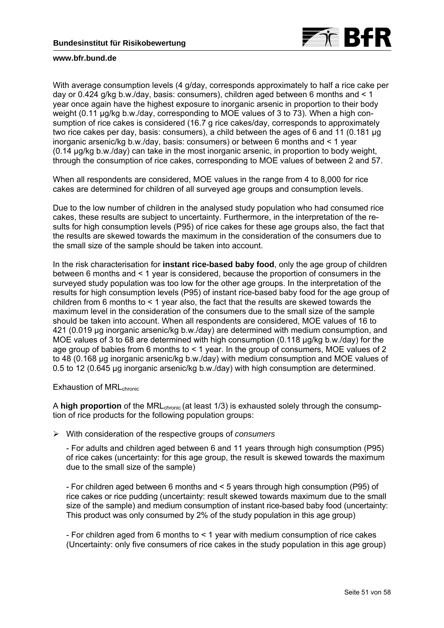

With average consumption levels (4 g/day, corresponds approximately to half a rice cake per day or 0.424 g/kg b.w./day, basis: consumers), children aged between 6 months and  $\leq 1$ year once again have the highest exposure to inorganic arsenic in proportion to their body weight (0.11 µg/kg b.w./day, corresponding to MOE values of 3 to 73). When a high consumption of rice cakes is considered (16.7 g rice cakes/day, corresponds to approximately two rice cakes per day, basis: consumers), a child between the ages of 6 and 11 (0.181 µg inorganic arsenic/kg b.w./day, basis: consumers) or between 6 months and < 1 year (0.14 µg/kg b.w./day) can take in the most inorganic arsenic, in proportion to body weight, through the consumption of rice cakes, corresponding to MOE values of between 2 and 57.

When all respondents are considered, MOE values in the range from 4 to 8,000 for rice cakes are determined for children of all surveyed age groups and consumption levels.

Due to the low number of children in the analysed study population who had consumed rice cakes, these results are subject to uncertainty. Furthermore, in the interpretation of the results for high consumption levels (P95) of rice cakes for these age groups also, the fact that the results are skewed towards the maximum in the consideration of the consumers due to the small size of the sample should be taken into account.

In the risk characterisation for **instant rice-based baby food**, only the age group of children between 6 months and < 1 year is considered, because the proportion of consumers in the surveyed study population was too low for the other age groups. In the interpretation of the results for high consumption levels (P95) of instant rice-based baby food for the age group of children from 6 months to < 1 year also, the fact that the results are skewed towards the maximum level in the consideration of the consumers due to the small size of the sample should be taken into account. When all respondents are considered, MOE values of 16 to 421 (0.019 µg inorganic arsenic/kg b.w./day) are determined with medium consumption, and MOE values of 3 to 68 are determined with high consumption (0.118 µg/kg b.w./day) for the age group of babies from 6 months to < 1 year. In the group of consumers, MOE values of 2 to 48 (0.168 µg inorganic arsenic/kg b.w./day) with medium consumption and MOE values of 0.5 to 12 (0.645 µg inorganic arsenic/kg b.w./day) with high consumption are determined.

Exhaustion of MRL<sub>chronic</sub>

A **high proportion** of the MRL<sub>chronic</sub> (at least 1/3) is exhausted solely through the consumption of rice products for the following population groups:

With consideration of the respective groups of *consumers*

- For adults and children aged between 6 and 11 years through high consumption (P95) of rice cakes (uncertainty: for this age group, the result is skewed towards the maximum due to the small size of the sample)

- For children aged between 6 months and < 5 years through high consumption (P95) of rice cakes or rice pudding (uncertainty: result skewed towards maximum due to the small size of the sample) and medium consumption of instant rice-based baby food (uncertainty: This product was only consumed by 2% of the study population in this age group)

- For children aged from 6 months to < 1 year with medium consumption of rice cakes (Uncertainty: only five consumers of rice cakes in the study population in this age group)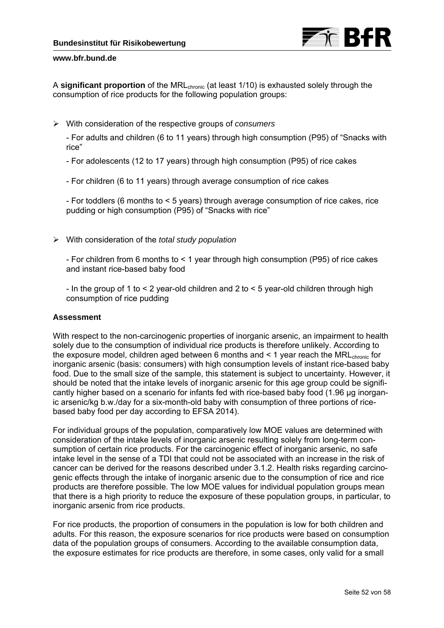

A **significant proportion** of the MRL<sub>chronic</sub> (at least 1/10) is exhausted solely through the consumption of rice products for the following population groups:

With consideration of the respective groups of *consumers*

- For adults and children (6 to 11 years) through high consumption (P95) of "Snacks with rice"

- For adolescents (12 to 17 years) through high consumption (P95) of rice cakes

- For children (6 to 11 years) through average consumption of rice cakes

- For toddlers (6 months to < 5 years) through average consumption of rice cakes, rice pudding or high consumption (P95) of "Snacks with rice"

With consideration of the *total study population*

- For children from 6 months to < 1 year through high consumption (P95) of rice cakes and instant rice-based baby food

- In the group of 1 to < 2 year-old children and 2 to < 5 year-old children through high consumption of rice pudding

# **Assessment**

With respect to the non-carcinogenic properties of inorganic arsenic, an impairment to health solely due to the consumption of individual rice products is therefore unlikely. According to the exposure model, children aged between 6 months and  $\leq 1$  year reach the MRL $_{\text{chronic}}$  for inorganic arsenic (basis: consumers) with high consumption levels of instant rice-based baby food. Due to the small size of the sample, this statement is subject to uncertainty. However, it should be noted that the intake levels of inorganic arsenic for this age group could be significantly higher based on a scenario for infants fed with rice-based baby food (1.96 µg inorganic arsenic/kg b.w./day for a six-month-old baby with consumption of three portions of ricebased baby food per day according to EFSA 2014).

For individual groups of the population, comparatively low MOE values are determined with consideration of the intake levels of inorganic arsenic resulting solely from long-term consumption of certain rice products. For the carcinogenic effect of inorganic arsenic, no safe intake level in the sense of a TDI that could not be associated with an increase in the risk of cancer can be derived for the reasons described under 3.1.2. Health risks regarding carcinogenic effects through the intake of inorganic arsenic due to the consumption of rice and rice products are therefore possible. The low MOE values for individual population groups mean that there is a high priority to reduce the exposure of these population groups, in particular, to inorganic arsenic from rice products.

For rice products, the proportion of consumers in the population is low for both children and adults. For this reason, the exposure scenarios for rice products were based on consumption data of the population groups of consumers. According to the available consumption data, the exposure estimates for rice products are therefore, in some cases, only valid for a small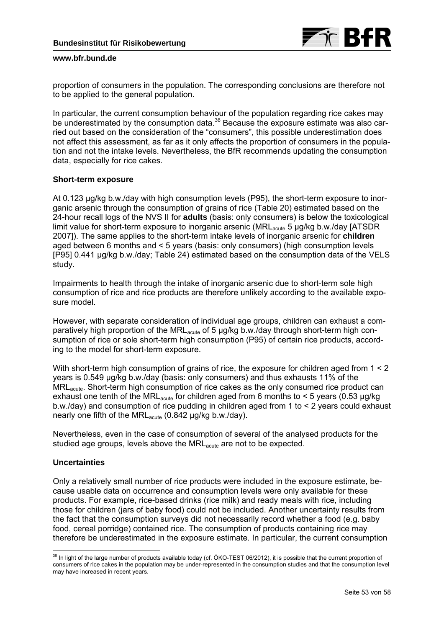proportion of consumers in the population. The corresponding conclusions are therefore not to be applied to the general population.

In particular, the current consumption behaviour of the population regarding rice cakes may be underestimated by the consumption data.<sup>36</sup> Because the exposure estimate was also carried out based on the consideration of the "consumers", this possible underestimation does not affect this assessment, as far as it only affects the proportion of consumers in the population and not the intake levels. Nevertheless, the BfR recommends updating the consumption data, especially for rice cakes.

# **Short-term exposure**

At 0.123 µg/kg b.w./day with high consumption levels (P95), the short-term exposure to inorganic arsenic through the consumption of grains of rice (Table 20) estimated based on the 24-hour recall logs of the NVS II for **adults** (basis: only consumers) is below the toxicological limit value for short-term exposure to inorganic arsenic (MRL<sub>acute</sub> 5 µg/kg b.w./day [ATSDR] 2007]). The same applies to the short-term intake levels of inorganic arsenic for **children**  aged between 6 months and < 5 years (basis: only consumers) (high consumption levels [P95] 0.441 µg/kg b.w./day; Table 24) estimated based on the consumption data of the VELS study.

Impairments to health through the intake of inorganic arsenic due to short-term sole high consumption of rice and rice products are therefore unlikely according to the available exposure model.

However, with separate consideration of individual age groups, children can exhaust a comparatively high proportion of the MRL<sub>acute</sub> of 5  $\mu$ g/kg b.w./day through short-term high consumption of rice or sole short-term high consumption (P95) of certain rice products, according to the model for short-term exposure.

With short-term high consumption of grains of rice, the exposure for children aged from  $1 < 2$ years is 0.549 µg/kg b.w./day (basis: only consumers) and thus exhausts 11% of the MRLacute. Short-term high consumption of rice cakes as the only consumed rice product can exhaust one tenth of the MRL<sub>acute</sub> for children aged from 6 months to  $<$  5 years (0.53 µg/kg) b.w./day) and consumption of rice pudding in children aged from 1 to < 2 years could exhaust nearly one fifth of the MRL<sub>acute</sub> (0.842 µg/kg b.w./day).

Nevertheless, even in the case of consumption of several of the analysed products for the studied age groups, levels above the MRL<sub>acute</sub> are not to be expected.

# **Uncertainties**

Only a relatively small number of rice products were included in the exposure estimate, because usable data on occurrence and consumption levels were only available for these products. For example, rice-based drinks (rice milk) and ready meals with rice, including those for children (jars of baby food) could not be included. Another uncertainty results from the fact that the consumption surveys did not necessarily record whether a food (e.g. baby food, cereal porridge) contained rice. The consumption of products containing rice may therefore be underestimated in the exposure estimate. In particular, the current consumption

 $\overline{a}$  $36$  In light of the large number of products available today (cf. ÖKO-TEST 06/2012), it is possible that the current proportion of consumers of rice cakes in the population may be under-represented in the consumption studies and that the consumption level may have increased in recent years.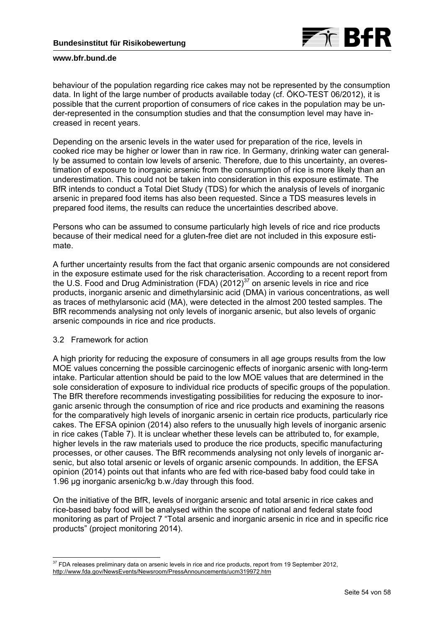

behaviour of the population regarding rice cakes may not be represented by the consumption data. In light of the large number of products available today (cf. ÖKO-TEST 06/2012), it is possible that the current proportion of consumers of rice cakes in the population may be under-represented in the consumption studies and that the consumption level may have increased in recent years.

Depending on the arsenic levels in the water used for preparation of the rice, levels in cooked rice may be higher or lower than in raw rice. In Germany, drinking water can generally be assumed to contain low levels of arsenic. Therefore, due to this uncertainty, an overestimation of exposure to inorganic arsenic from the consumption of rice is more likely than an underestimation. This could not be taken into consideration in this exposure estimate. The BfR intends to conduct a Total Diet Study (TDS) for which the analysis of levels of inorganic arsenic in prepared food items has also been requested. Since a TDS measures levels in prepared food items, the results can reduce the uncertainties described above.

Persons who can be assumed to consume particularly high levels of rice and rice products because of their medical need for a gluten-free diet are not included in this exposure estimate.

A further uncertainty results from the fact that organic arsenic compounds are not considered in the exposure estimate used for the risk characterisation. According to a recent report from the U.S. Food and Drug Administration (FDA) (2012) $37$  on arsenic levels in rice and rice products, inorganic arsenic and dimethylarsinic acid (DMA) in various concentrations, as well as traces of methylarsonic acid (MA), were detected in the almost 200 tested samples. The BfR recommends analysing not only levels of inorganic arsenic, but also levels of organic arsenic compounds in rice and rice products.

# 3.2 Framework for action

-

A high priority for reducing the exposure of consumers in all age groups results from the low MOE values concerning the possible carcinogenic effects of inorganic arsenic with long-term intake. Particular attention should be paid to the low MOE values that are determined in the sole consideration of exposure to individual rice products of specific groups of the population. The BfR therefore recommends investigating possibilities for reducing the exposure to inorganic arsenic through the consumption of rice and rice products and examining the reasons for the comparatively high levels of inorganic arsenic in certain rice products, particularly rice cakes. The EFSA opinion (2014) also refers to the unusually high levels of inorganic arsenic in rice cakes (Table 7). It is unclear whether these levels can be attributed to, for example, higher levels in the raw materials used to produce the rice products, specific manufacturing processes, or other causes. The BfR recommends analysing not only levels of inorganic arsenic, but also total arsenic or levels of organic arsenic compounds. In addition, the EFSA opinion (2014) points out that infants who are fed with rice-based baby food could take in 1.96 µg inorganic arsenic/kg b.w./day through this food.

On the initiative of the BfR, levels of inorganic arsenic and total arsenic in rice cakes and rice-based baby food will be analysed within the scope of national and federal state food monitoring as part of Project 7 "Total arsenic and inorganic arsenic in rice and in specific rice products" (project monitoring 2014).

 $37$  FDA releases preliminary data on arsenic levels in rice and rice products, report from 19 September 2012, http://www.fda.gov/NewsEvents/Newsroom/PressAnnouncements/ucm319972.htm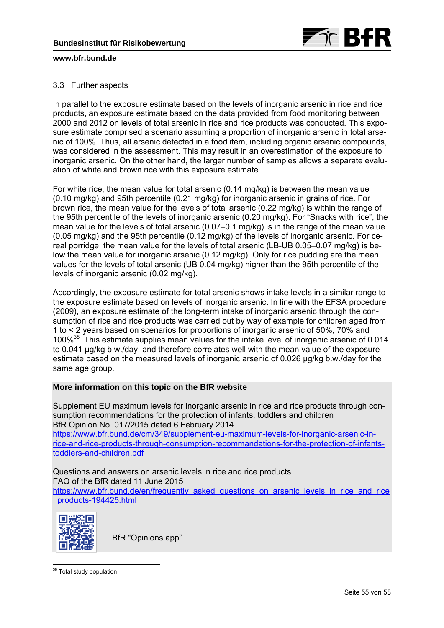

# 3.3 Further aspects

In parallel to the exposure estimate based on the levels of inorganic arsenic in rice and rice products, an exposure estimate based on the data provided from food monitoring between 2000 and 2012 on levels of total arsenic in rice and rice products was conducted. This exposure estimate comprised a scenario assuming a proportion of inorganic arsenic in total arsenic of 100%. Thus, all arsenic detected in a food item, including organic arsenic compounds, was considered in the assessment. This may result in an overestimation of the exposure to inorganic arsenic. On the other hand, the larger number of samples allows a separate evaluation of white and brown rice with this exposure estimate.

For white rice, the mean value for total arsenic (0.14 mg/kg) is between the mean value (0.10 mg/kg) and 95th percentile (0.21 mg/kg) for inorganic arsenic in grains of rice. For brown rice, the mean value for the levels of total arsenic (0.22 mg/kg) is within the range of the 95th percentile of the levels of inorganic arsenic (0.20 mg/kg). For "Snacks with rice", the mean value for the levels of total arsenic (0.07–0.1 mg/kg) is in the range of the mean value (0.05 mg/kg) and the 95th percentile (0.12 mg/kg) of the levels of inorganic arsenic. For cereal porridge, the mean value for the levels of total arsenic (LB-UB 0.05–0.07 mg/kg) is below the mean value for inorganic arsenic (0.12 mg/kg). Only for rice pudding are the mean values for the levels of total arsenic (UB 0.04 mg/kg) higher than the 95th percentile of the levels of inorganic arsenic (0.02 mg/kg).

Accordingly, the exposure estimate for total arsenic shows intake levels in a similar range to the exposure estimate based on levels of inorganic arsenic. In line with the EFSA procedure (2009), an exposure estimate of the long-term intake of inorganic arsenic through the consumption of rice and rice products was carried out by way of example for children aged from 1 to < 2 years based on scenarios for proportions of inorganic arsenic of 50%, 70% and 100%38. This estimate supplies mean values for the intake level of inorganic arsenic of 0.014 to 0.041 µg/kg b.w./day, and therefore correlates well with the mean value of the exposure estimate based on the measured levels of inorganic arsenic of 0.026 µg/kg b.w./day for the same age group.

# **More information on this topic on the BfR website**

Supplement EU maximum levels for inorganic arsenic in rice and rice products through consumption recommendations for the protection of infants, toddlers and children BfR Opinion No. 017/2015 dated 6 February 2014

https://www.bfr.bund.de/cm/349/supplement-eu-maximum-levels-for-inorganic-arsenic-inrice-and-rice-products-through-consumption-recommandations-for-the-protection-of-infantstoddlers-and-children.pdf

Questions and answers on arsenic levels in rice and rice products FAQ of the BfR dated 11 June 2015 [https://www.bfr.bund.de/en/frequently\\_asked\\_questions\\_on\\_arsenic\\_levels\\_in\\_rice\\_and\\_rice](https://www.bfr.bund.de/en/frequently_asked_questions_on_arsenic_levels_in_rice_and_rice_products-194425.html) \_products-194425.html



BfR "Opinions app"

-<sup>38</sup> Total study population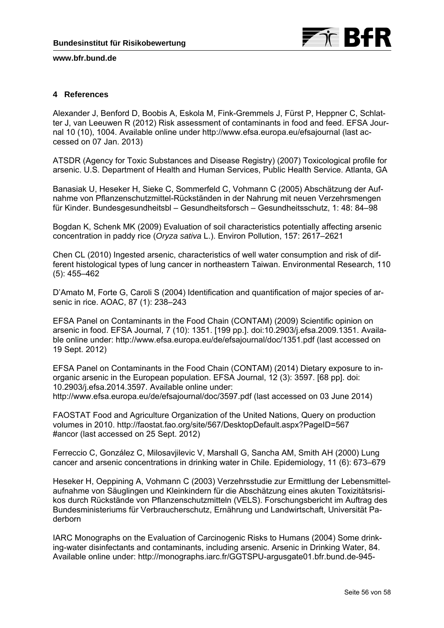

# **4 References**

Alexander J, Benford D, Boobis A, Eskola M, Fink-Gremmels J, Fürst P, Heppner C, Schlatter J, van Leeuwen R (2012) Risk assessment of contaminants in food and feed. EFSA Journal 10 (10), 1004. Available online under http://www.efsa.europa.eu/efsajournal (last accessed on 07 Jan. 2013)

ATSDR (Agency for Toxic Substances and Disease Registry) (2007) Toxicological profile for arsenic. U.S. Department of Health and Human Services, Public Health Service. Atlanta, GA

Banasiak U, Heseker H, Sieke C, Sommerfeld C, Vohmann C (2005) Abschätzung der Aufnahme von Pflanzenschutzmittel-Rückständen in der Nahrung mit neuen Verzehrsmengen für Kinder. Bundesgesundheitsbl – Gesundheitsforsch – Gesundheitsschutz, 1: 48: 84–98

Bogdan K, Schenk MK (2009) Evaluation of soil characteristics potentially affecting arsenic concentration in paddy rice (*Oryza sativa* L.). Environ Pollution, 157: 2617–2621

Chen CL (2010) Ingested arsenic, characteristics of well water consumption and risk of different histological types of lung cancer in northeastern Taiwan. Environmental Research, 110 (5): 455–462

D'Amato M, Forte G, Caroli S (2004) Identification and quantification of major species of arsenic in rice. AOAC, 87 (1): 238–243

EFSA Panel on Contaminants in the Food Chain (CONTAM) (2009) Scientific opinion on arsenic in food. EFSA Journal, 7 (10): 1351. [199 pp.]. doi:10.2903/j.efsa.2009.1351. Available online under: http://www.efsa.europa.eu/de/efsajournal/doc/1351.pdf (last accessed on 19 Sept. 2012)

EFSA Panel on Contaminants in the Food Chain (CONTAM) (2014) Dietary exposure to inorganic arsenic in the European population. EFSA Journal, 12 (3): 3597. [68 pp]. doi: 10.2903/j.efsa.2014.3597. Available online under: http://www.efsa.europa.eu/de/efsajournal/doc/3597.pdf (last accessed on 03 June 2014)

FAOSTAT Food and Agriculture Organization of the United Nations, Query on production volumes in 2010. http://faostat.fao.org/site/567/DesktopDefault.aspx?PageID=567 #ancor (last accessed on 25 Sept. 2012)

Ferreccio C, González C, Milosavjilevic V, Marshall G, Sancha AM, Smith AH (2000) Lung cancer and arsenic concentrations in drinking water in Chile. Epidemiology, 11 (6): 673–679

Heseker H, Oeppining A, Vohmann C (2003) Verzehrsstudie zur Ermittlung der Lebensmittelaufnahme von Säuglingen und Kleinkindern für die Abschätzung eines akuten Toxizitätsrisikos durch Rückstände von Pflanzenschutzmitteln (VELS). Forschungsbericht im Auftrag des Bundesministeriums für Verbraucherschutz, Ernährung und Landwirtschaft, Universität Paderborn

IARC Monographs on the Evaluation of Carcinogenic Risks to Humans (2004) Some drinking-water disinfectants and contaminants, including arsenic. Arsenic in Drinking Water, 84. Available online under: http://monographs.iarc.fr/GGTSPU-argusgate01.bfr.bund.de-945-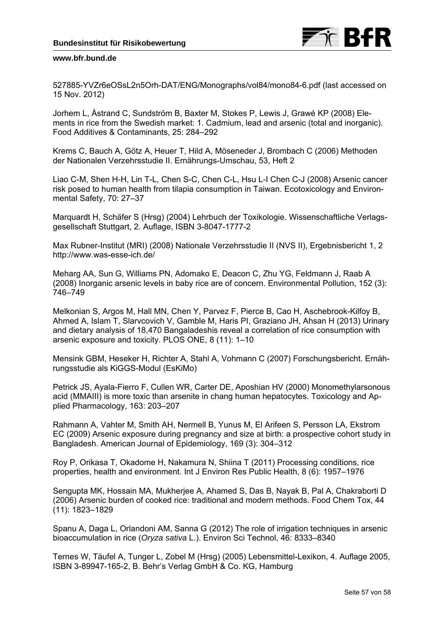

527885-YVZr6eOSsL2n5Orh-DAT/ENG/Monographs/vol84/mono84-6.pdf (last accessed on 15 Nov. 2012)

Jorhem L, Åstrand C, Sundström B, Baxter M, Stokes P, Lewis J, Grawé KP (2008) Elements in rice from the Swedish market: 1. Cadmium, lead and arsenic (total and inorganic). Food Additives & Contaminants, 25: 284–292

Krems C, Bauch A, Götz A, Heuer T, Hild A, Möseneder J, Brombach C (2006) Methoden der Nationalen Verzehrsstudie II. Ernährungs-Umschau, 53, Heft 2

Liao C-M, Shen H-H, Lin T-L, Chen S-C, Chen C-L, Hsu L-I Chen C-J (2008) Arsenic cancer risk posed to human health from tilapia consumption in Taiwan. Ecotoxicology and Environmental Safety, 70: 27–37

Marquardt H, Schäfer S (Hrsg) (2004) Lehrbuch der Toxikologie. Wissenschaftliche Verlagsgesellschaft Stuttgart, 2. Auflage, ISBN 3-8047-1777-2

Max Rubner-Institut (MRI) (2008) Nationale Verzehrsstudie II (NVS II), Ergebnisbericht 1, 2 http://www.was-esse-ich.de/

Meharg AA, Sun G, Williams PN, Adomako E, Deacon C, Zhu YG, Feldmann J, Raab A (2008) Inorganic arsenic levels in baby rice are of concern. Environmental Pollution, 152 (3): 746–749

Melkonian S, Argos M, Hall MN, Chen Y, Parvez F, Pierce B, Cao H, Aschebrook-Kilfoy B, Ahmed A, Islam T, Slarvcovich V, Gamble M, Haris PI, Graziano JH, Ahsan H (2013) Urinary and dietary analysis of 18,470 Bangaladeshis reveal a correlation of rice consumption with arsenic exposure and toxicity. PLOS ONE, 8 (11): 1–10

Mensink GBM, Heseker H, Richter A, Stahl A, Vohmann C (2007) Forschungsbericht. Ernährungsstudie als KiGGS-Modul (EsKiMo)

Petrick JS, Ayala-Fierro F, Cullen WR, Carter DE, Aposhian HV (2000) Monomethylarsonous acid (MMAIII) is more toxic than arsenite in chang human hepatocytes. Toxicology and Applied Pharmacology, 163: 203–207

Rahmann A, Vahter M, Smith AH, Nermell B, Yunus M, El Arifeen S, Persson LA, Ekstrom EC (2009) Arsenic exposure during pregnancy and size at birth: a prospective cohort study in Bangladesh. American Journal of Epidemiology, 169 (3): 304–312

Roy P, Orikasa T, Okadome H, Nakamura N, Shiina T (2011) Processing conditions, rice properties, health and environment. Int J Environ Res Public Health, 8 (6): 1957–1976

Sengupta MK, Hossain MA, Mukherjee A, Ahamed S, Das B, Nayak B, Pal A, Chakraborti D (2006) Arsenic burden of cooked rice: traditional and modern methods. Food Chem Tox, 44 (11): 1823–1829

Spanu A, Daga L, Orlandoni AM, Sanna G (2012) The role of irrigation techniques in arsenic bioaccumulation in rice (*Oryza sativa* L.). Environ Sci Technol, 46: 8333–8340

Ternes W, Täufel A, Tunger L, Zobel M (Hrsg) (2005) Lebensmittel-Lexikon, 4. Auflage 2005, ISBN 3-89947-165-2, B. Behr's Verlag GmbH & Co. KG, Hamburg